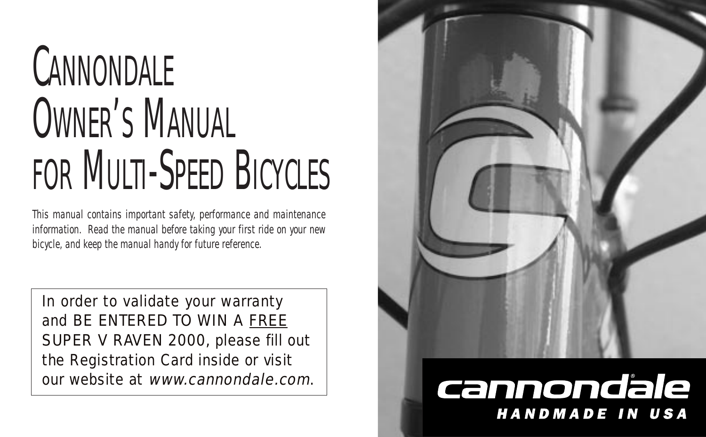# **CANNONDALE** OWNER'S MANUAL FOR MULTI-SPEED BICYCLES

This manual contains important safety, performance and maintenance information. Read the manual before taking your first ride on your new bicycle, and keep the manual handy for future reference.

In order to validate your warranty and BE ENTERED TO WIN A FREE SUPER V RAVEN 2000, please fill out the Registration Card inside or visit our website at www.cannondale.com.



### cannondale **HANDMADE IN USA**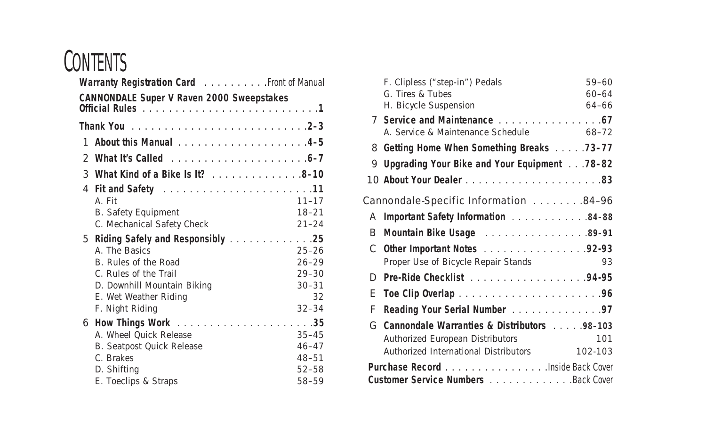### **CONTENTS**

| Warranty Registration Card Front of Manual |                                                                                                                          |                                                           |  |
|--------------------------------------------|--------------------------------------------------------------------------------------------------------------------------|-----------------------------------------------------------|--|
|                                            | <b>CANNONDALE Super V Raven 2000 Sweepstakes</b>                                                                         |                                                           |  |
|                                            |                                                                                                                          |                                                           |  |
|                                            |                                                                                                                          |                                                           |  |
|                                            |                                                                                                                          |                                                           |  |
|                                            | <b>3</b> What Kind of a Bike Is It? 8-10                                                                                 |                                                           |  |
|                                            | A Fit<br><b>B.</b> Safety Equipment<br>C. Mechanical Safety Check<br>5 Riding Safely and Responsibly 25<br>A The Basics  | $11 - 17$<br>$18 - 21$<br>$21 - 24$<br>$25 - 26$          |  |
|                                            | B. Rules of the Road<br>C. Rules of the Trail<br>D. Downhill Mountain Biking<br>E. Wet Weather Riding<br>F. Night Riding | $26 - 29$<br>$29 - 30$<br>$30 - 31$<br>32<br>$32 - 34$    |  |
|                                            | A. Wheel Quick Release<br>B. Seatpost Quick Release<br>C. Brakes<br>D. Shifting<br>E. Toeclips & Straps                  | $35 - 45$<br>$46 - 47$<br>$48 - 51$<br>$52 - 58$<br>58-59 |  |

|                                          | F. Clipless ("step-in") Pedals                 | 59-60     |  |  |
|------------------------------------------|------------------------------------------------|-----------|--|--|
|                                          | G. Tires & Tubes                               | $60 - 64$ |  |  |
|                                          | H. Bicycle Suspension                          | $64 - 66$ |  |  |
|                                          | 7 Service and Maintenance 67                   |           |  |  |
|                                          | A. Service & Maintenance Schedule              | 68–72     |  |  |
|                                          | 8 Getting Home When Something Breaks 73-77     |           |  |  |
|                                          | 9 Upgrading Your Bike and Your Equipment 78-82 |           |  |  |
|                                          |                                                |           |  |  |
| Cannondale-Specific Information 84-96    |                                                |           |  |  |
| A                                        | Important Safety Information 84-88             |           |  |  |
| в.                                       | Mountain Bike Usage 89-91                      |           |  |  |
|                                          | C Other Important Notes 92-93                  |           |  |  |
|                                          | Proper Use of Bicycle Repair Stands            | 93        |  |  |
| D                                        |                                                |           |  |  |
| F.                                       |                                                |           |  |  |
| F                                        | Reading Your Serial Number 97                  |           |  |  |
| G                                        | Cannondale Warranties & Distributors 98-103    |           |  |  |
|                                          | Authorized European Distributors               | 101       |  |  |
|                                          | Authorized International Distributors          | 102-103   |  |  |
| <b>Purchase Record</b> Inside Back Cover |                                                |           |  |  |
| Customer Service Numbers Back Cover      |                                                |           |  |  |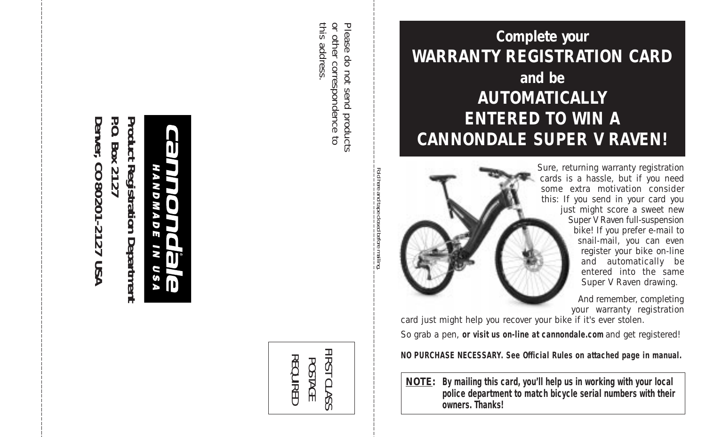P.O. Denver, CO 80201-2127 USA Product **Denver, CO 80201-2127 USA P.O. Box 2127 Product Registration Department** Box 2127 Registration Department

N O M И G n, O rs

> FIRST CLAS FIRST CLASS REQUIRED REQUIRED POSTAGE Šó

this address this address. or other correspondence to or other correspondence to Please do not send products Please do not send products

> Fold here and tape closed before mailing.

**Complete your WARRANTY REGISTRATION CARD and be AUTOMATICALLY ENTERED TO WIN A CANNONDALE SUPER V RAVEN!**

> Sure, returning warranty registration cards is a hassle, but if you need some extra motivation consider this: If you send in your card you just might score a sweet new Super V Raven full-suspension bike! If you prefer e-mail to snail-mail, you can even register your bike on-line and automatically be entered into the same Super V Raven drawing.

> > And remember, completing your warranty registration

card just might help you recover your bike if it's ever stolen.

So grab a pen, **or visit us on-line at cannondale.com** and get registered!

**NO PURCHASE NECESSARY. See Official Rules on attached page in manual.**

**NOTE: By mailing this card, you'll help us in working with your local police department to match bicycle serial numbers with their owners. Thanks!**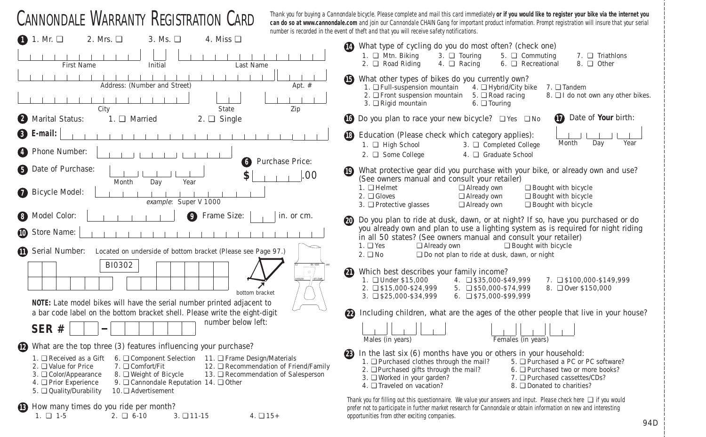| <b>CANNONDALE WARRANTY REGISTRATION CARD</b>                                                                                                                                                                                                                                                  | Thank you for buying a Cannondale bicycle. Please complete and mail this card immediately or if you would like to register your bike via the internet you<br>can do so at www.cannondale.com and join our Cannondale CHAIN Gang for important product information. Prompt registration will insure that your serial<br>number is recorded in the event of theft and that you will receive safety notifications. |
|-----------------------------------------------------------------------------------------------------------------------------------------------------------------------------------------------------------------------------------------------------------------------------------------------|-----------------------------------------------------------------------------------------------------------------------------------------------------------------------------------------------------------------------------------------------------------------------------------------------------------------------------------------------------------------------------------------------------------------|
| 2. Mrs. $\Box$<br>$\bigcap$ 1. Mr. $\Box$<br>3. Ms.<br>4. Miss $\Box$                                                                                                                                                                                                                         |                                                                                                                                                                                                                                                                                                                                                                                                                 |
| First Name<br>Initial<br>Last Name                                                                                                                                                                                                                                                            | What type of cycling do you do most often? (check one)<br>1. Q Mtn. Biking<br>$3. \Box$ Touring<br>5. Q Commuting<br>7. □ Triathlons<br>2. □ Road Riding<br>4. Q Racing<br>6. Q Recreational<br>8. Q Other                                                                                                                                                                                                      |
| Address: (Number and Street)<br>Apt. $#$<br>City<br>Zip<br>State                                                                                                                                                                                                                              | What other types of bikes do you currently own?<br>4. □ Hybrid/City bike<br>1. □ Full-suspension mountain<br>7. □ Tandem<br>2. □ Front suspension mountain<br>5. □ Road racing<br>8. □ I do not own any other bikes.<br>3. □ Rigid mountain<br>6. $\Box$ Touring                                                                                                                                                |
| 2 Marital Status:<br>$2. \Box$ Single<br>1. Q Married                                                                                                                                                                                                                                         | Date of Your birth:<br><b>10</b> Do you plan to race your new bicycle? □ Yes □ No                                                                                                                                                                                                                                                                                                                               |
| <b>B</b> E-mail:                                                                                                                                                                                                                                                                              | ®<br>Education (Please check which category applies):<br>Month<br>Day<br>Year<br>1. Q High School<br>3. □ Completed College                                                                                                                                                                                                                                                                                     |
| Phone Number:<br>Purchase Price:<br>6                                                                                                                                                                                                                                                         | 4. Q Graduate School<br>2. □ Some College                                                                                                                                                                                                                                                                                                                                                                       |
| Date of Purchase:<br>6<br>\$<br>.00<br>Year<br>Dav<br>Month                                                                                                                                                                                                                                   | What protective gear did you purchase with your bike, or already own and use?<br>(See owners manual and consult your retailer)<br>$1. \square$ Helmet<br>Already own<br>Bought with bicycle                                                                                                                                                                                                                     |
| Bicycle Model:<br>⋒<br>example: Super V 1000                                                                                                                                                                                                                                                  | $2. \square$ Gloves<br>Already own<br>Bought with bicycle<br>$\Box$ Bought with bicycle<br>3. □ Protective glasses<br>□ Already own                                                                                                                                                                                                                                                                             |
| Model Color:<br><b>9</b> Frame Size:<br>in. or cm.<br>8                                                                                                                                                                                                                                       | Do you plan to ride at dusk, dawn, or at night? If so, have you purchased or do                                                                                                                                                                                                                                                                                                                                 |
| Store Name:<br>⋒                                                                                                                                                                                                                                                                              | you already own and plan to use a lighting system as is required for night riding<br>in all 50 states? (See owners manual and consult your retailer)<br>Bought with bicycle<br>$1. \square$ Yes<br>Already own                                                                                                                                                                                                  |
| M<br>Serial Number:<br>Located on underside of bottom bracket (Please see Page 97.)                                                                                                                                                                                                           | $2. \Box$ No<br>□ Do not plan to ride at dusk, dawn, or night                                                                                                                                                                                                                                                                                                                                                   |
| BI0302<br>$\circ$<br>bottom bracket<br>NOTE: Late model bikes will have the serial number printed adjacent to                                                                                                                                                                                 | Which best describes your family income?<br>M<br>1. □ Under \$15,000<br>4. 0 \$35,000-\$49,999<br>7. 0 \$100,000-\$149.999<br>2. 2 \$15,000-\$24,999<br>$5. \square$ \$50,000-\$74,999<br>8. □ Over \$150,000<br>3. 2 \$25,000-\$34,999<br>6. $\Box$ \$75,000-\$99,999                                                                                                                                          |
| a bar code label on the bottom bracket shell. Please write the eight-digit                                                                                                                                                                                                                    | Including children, what are the ages of the other people that live in your house?<br>$\boldsymbol{2}$                                                                                                                                                                                                                                                                                                          |
| number below left:<br>SER#                                                                                                                                                                                                                                                                    | Males (in years)<br>Females (in years)                                                                                                                                                                                                                                                                                                                                                                          |
| What are the top three (3) features influencing your purchase?<br>(12)<br>1. $\Box$ Received as a Gift<br>6. □ Component Selection 11. □ Frame Design/Materials                                                                                                                               | In the last six (6) months have you or others in your household:                                                                                                                                                                                                                                                                                                                                                |
| 2. □ Value for Price<br>7. □ Comfort/Fit<br>12. □ Recommendation of Friend/Family<br>3. □ Color/Appearance<br>8. □ Weight of Bicycle<br>13. □ Recommendation of Salesperson<br>4. □ Prior Experience<br>9. □ Cannondale Reputation 14. □ Other<br>5. Quality/Durability<br>10.□ Advertisement | 1. □ Purchased clothes through the mail?<br>5. □ Purchased a PC or PC software?<br>2. □ Purchased gifts through the mail?<br>6. Q Purchased two or more books?<br>3. □ Worked in your garden?<br>7. Purchased cassettes/CDs?<br>4. Traveled on vacation?<br>8. □ Donated to charities?                                                                                                                          |
| How many times do you ride per month?<br>$1. \square$ 1-5<br>$2. \Box 6-10$<br>$3. \Box$ 11-15<br>$4. \Box 15+$                                                                                                                                                                               | Thank you for filling out this questionnaire. We value your answers and input. Please check here $\Box$ if you would<br>prefer not to participate in further market research for Cannondale or obtain information on new and interesting<br>opportunities from other exciting companies.                                                                                                                        |

94D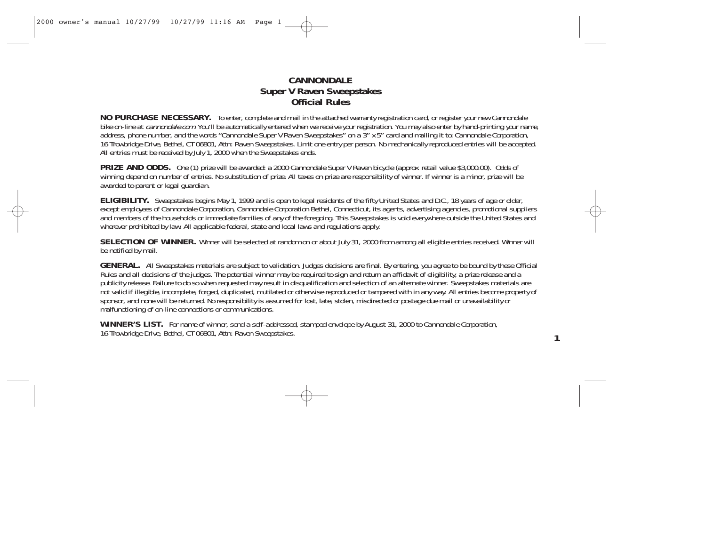#### **CANNONDALE Super V Raven Sweepstakes Official Rules**

**NO PURCHASE NECESSARY.** To enter, complete and mail in the attached warranty registration card, or register your new Cannondale bike on-line at *cannondale.com*. You'll be automatically entered when we receive your registration. You may also enter by hand-printing your name, address, phone number, and the words "Cannondale Super V Raven Sweepstakes" on a 3" x 5" card and mailing it to: Cannondale Corporation, 16 Trowbridge Drive, Bethel, CT 06801, Attn: Raven Sweepstakes. Limit one entry per person. No mechanically reproduced entries will be accepted. All entries must be received by July 1, 2000 when the Sweepstakes ends.

**PRIZE AND ODDS.** One (1) prize will be awarded: a 2000 Cannondale Super V Raven bicycle (approx. retail value \$3,000.00). Odds of winning depend on number of entries. No substitution of prize. All taxes on prize are responsibility of winner. If winner is a minor, prize will be awarded to parent or legal guardian.

**ELIGIBILITY.** Sweepstakes begins May 1, 1999 and is open to legal residents of the fifty United States and D.C., 18 years of age or older, except employees of Cannondale Corporation, Cannondale Corporation Bethel, Connecticut, its agents, advertising agencies, promotional suppliers and members of the households or immediate families of any of the foregoing. This Sweepstakes is void everywhere outside the United States and wherever prohibited by law. All applicable federal, state and local laws and regulations apply.

**SELECTION OF WINNER.** Winner will be selected at random on or about July 31, 2000 from among all eligible entries received. Winner will be notified by mail.

**GENERAL.** All Sweepstakes materials are subject to validation. Judges decisions are final. By entering, you agree to be bound by these Official Rules and all decisions of the judges. The potential winner may be required to sign and return an affidavit of eligibility, a prize release and a publicity release. Failure to do so when requested may result in disqualification and selection of an alternate winner. Sweepstakes materials are not valid if illegible, incomplete, forged, duplicated, mutilated or otherwise reproduced or tampered with in any way. All entries become property of sponsor, and none will be returned. No responsibility is assumed for lost, late, stolen, misdirected or postage due mail or unavailability or malfunctioning of on-line connections or communications.

**1**

**WINNER'S LIST.** For name of winner, send a self-addressed, stamped envelope by August 31, 2000 to Cannondale Corporation, 16 Trowbridge Drive, Bethel, CT 06801, Attn: Raven Sweepstakes.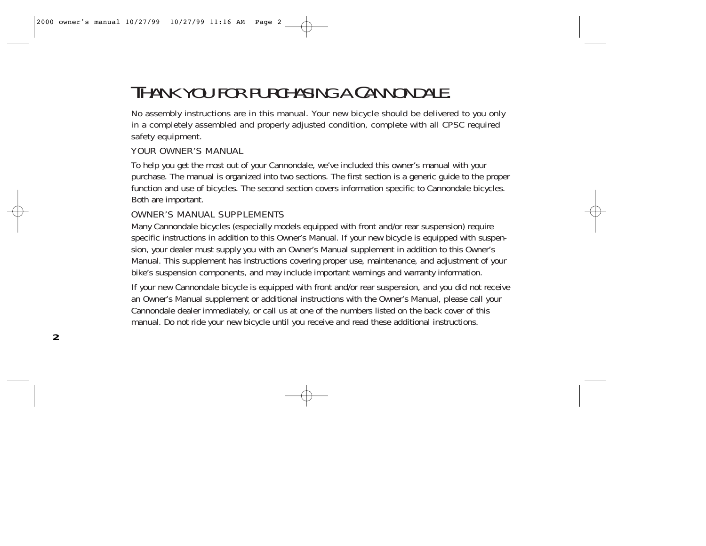## THANK YOU FOR PURCHASING A CANNONDALE.

No assembly instructions are in this manual. Your new bicycle should be delivered to you only in a completely assembled and properly adjusted condition, complete with all CPSC required safety equipment.

#### YOUR OWNER'S MANUAL

To help you get the most out of your Cannondale, we've included this owner's manual with your purchase. The manual is organized into two sections. The first section is a generic guide to the proper function and use of bicycles. The second section covers information specific to Cannondale bicycles. Both are important.

#### OWNER'S MANUAL SUPPLEMENTS

Many Cannondale bicycles (especially models equipped with front and/or rear suspension) require specific instructions in addition to this Owner's Manual. If your new bicycle is equipped with suspension, your dealer must supply you with an Owner's Manual supplement in addition to this Owner's Manual. This supplement has instructions covering proper use, maintenance, and adjustment of your bike's suspension components, and may include important warnings and warranty information.

If your new Cannondale bicycle is equipped with front and/or rear suspension, and you did not receive an Owner's Manual supplement or additional instructions with the Owner's Manual, please call your Cannondale dealer immediately, or call us at one of the numbers listed on the back cover of this manual. Do not ride your new bicycle until you receive and read these additional instructions.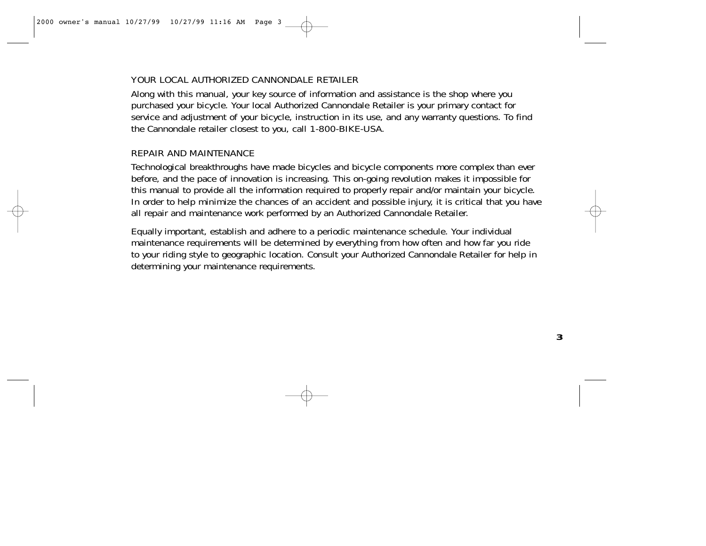#### YOUR LOCAL AUTHORIZED CANNONDALE RETAILER

Along with this manual, your key source of information and assistance is the shop where you purchased your bicycle. Your local Authorized Cannondale Retailer is your primary contact for service and adjustment of your bicycle, instruction in its use, and any warranty questions. To find the Cannondale retailer closest to you, call 1-800-BIKE-USA.

#### REPAIR AND MAINTENANCE

Technological breakthroughs have made bicycles and bicycle components more complex than ever before, and the pace of innovation is increasing. This on-going revolution makes it impossible for this manual to provide all the information required to properly repair and/or maintain your bicycle. In order to help minimize the chances of an accident and possible injury, it is critical that you have all repair and maintenance work performed by an Authorized Cannondale Retailer.

Equally important, establish and adhere to a periodic maintenance schedule. Your individual maintenance requirements will be determined by everything from how often and how far you ride to your riding style to geographic location. Consult your Authorized Cannondale Retailer for help in determining your maintenance requirements.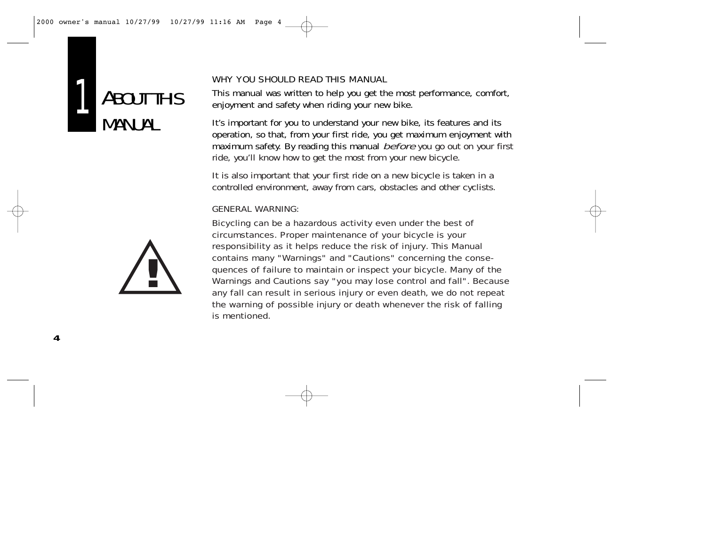



#### WHY YOU SHOULD READ THIS MANUAL

This manual was written to help you get the most performance, comfort, enjoyment and safety when riding your new bike.

It's important for you to understand your new bike, its features and its operation, so that, from your first ride, you get maximum enjoyment with maximum safety. By reading this manual before you go out on your first ride, you'll know how to get the most from your new bicycle.

It is also important that your first ride on a new bicycle is taken in a controlled environment, away from cars, obstacles and other cyclists.

#### GENERAL WARNING:

Bicycling can be a hazardous activity even under the best of circumstances. Proper maintenance of your bicycle is your responsibility as it helps reduce the risk of injury. This Manual contains many "Warnings" and "Cautions" concerning the consequences of failure to maintain or inspect your bicycle. Many of the Warnings and Cautions say "you may lose control and fall". Because any fall can result in serious injury or even death, we do not repeat the warning of possible injury or death whenever the risk of falling is mentioned.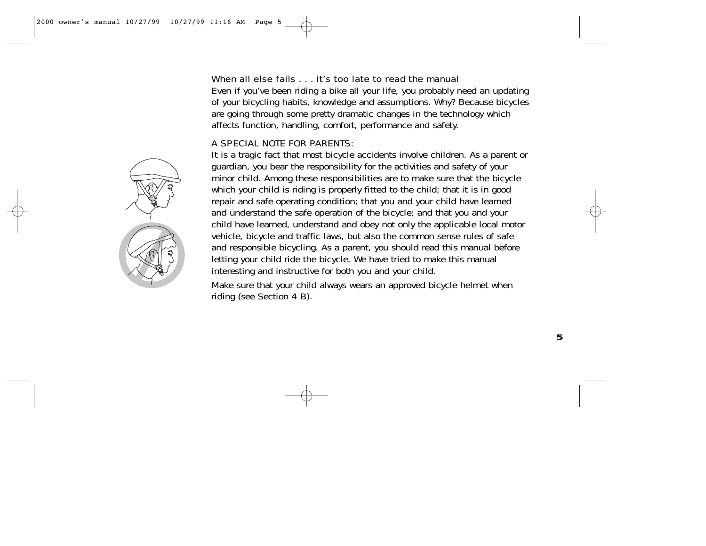#### When all else fails . . . it's too late to read the manual

Even if you've been riding a bike all your life, you probably need an updating of your bicycling habits, knowledge and assumptions. Why? Because bicycles are going through some pretty dramatic changes in the technology which affects function, handling, comfort, performance and safety.

#### A SPECIAL NOTE FOR PARENTS:

It is a tragic fact that most bicycle accidents involve children. As a parent or guardian, you bear the responsibility for the activities and safety of your minor child. Among these responsibilities are to make sure that the bicycle which your child is riding is properly fitted to the child; that it is in good repair and safe operating condition; that you and your child have learned and understand the safe operation of the bicycle; and that you and your child have learned, understand and obey not only the applicable local motor vehicle, bicycle and traffic laws, but also the common sense rules of safe and responsible bicycling. As a parent, you should read this manual before letting your child ride the bicycle. We have tried to make this manual interesting and instructive for both you and your child.

Make sure that your child always wears an approved bicycle helmet when riding (see Section 4 B).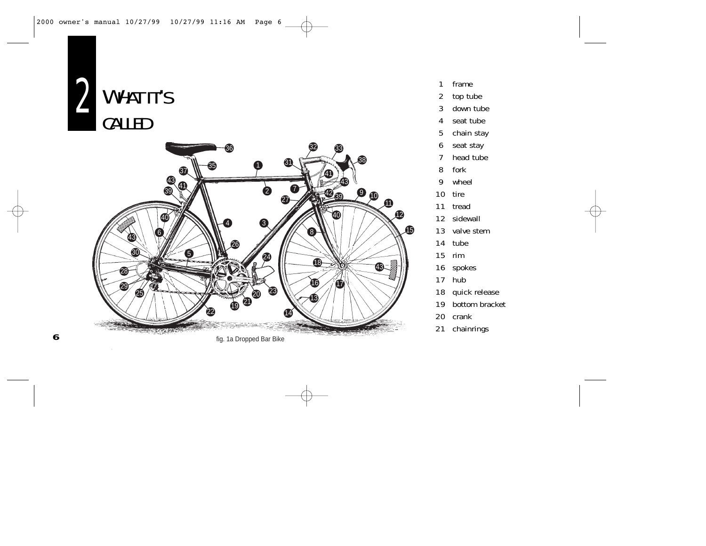

**6**



- frame
- top tube
- down tube
- seat tube
- chain stay
- seat stay
- head tube
- fork
- wheel
- tire
- tread
- sidewall
- valve stem
- tube
- rim
- spokes
- hub
- quick release
- bottom bracket
- crank
- chainrings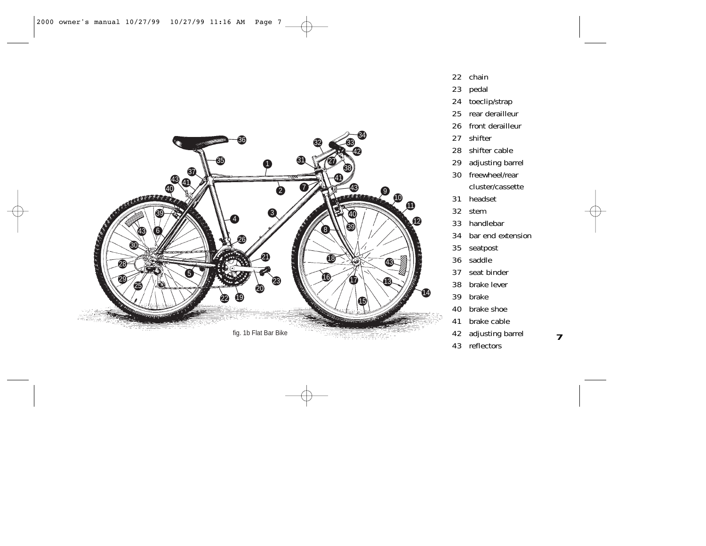

- chain
- pedal
- toeclip/strap
- rear derailleur
- front derailleur
- shifter
- shifter cable
- adjusting barrel
- freewheel/rear cluster/cassette
- headset
- stem
- handlebar
- bar end extension
- seatpost
- saddle
- seat binder
- brake lever
- brake
- brake shoe
- brake cable
- adjusting barrel
- reflectors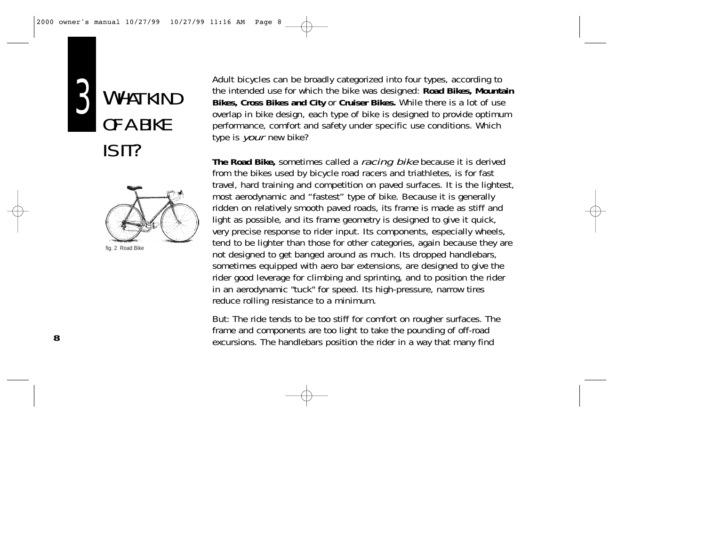

WHAT KIND OF A BIKE IS IT?



fig. 2 Road Bike

Adult bicycles can be broadly categorized into four types, according to the intended use for which the bike was designed: **Road Bikes, Mountain Bikes, Cross Bikes and City** or **Cruiser Bikes.** While there is a lot of use overlap in bike design, each type of bike is designed to provide optimum performance, comfort and safety under specific use conditions. Which type is *your* new bike?

**The Road Bike,** sometimes called a racing bike because it is derived from the bikes used by bicycle road racers and triathletes, is for fast travel, hard training and competition on paved surfaces. It is the lightest, most aerodynamic and "fastest" type of bike. Because it is generally ridden on relatively smooth paved roads, its frame is made as stiff and light as possible, and its frame geometry is designed to give it quick, very precise response to rider input. Its components, especially wheels, tend to be lighter than those for other categories, again because they are not designed to get banged around as much. Its dropped handlebars, sometimes equipped with aero bar extensions, are designed to give the rider good leverage for climbing and sprinting, and to position the rider in an aerodynamic "tuck" for speed. Its high-pressure, narrow tires reduce rolling resistance to a minimum.

But: The ride tends to be too stiff for comfort on rougher surfaces. The frame and components are too light to take the pounding of off-road excursions. The handlebars position the rider in a way that many find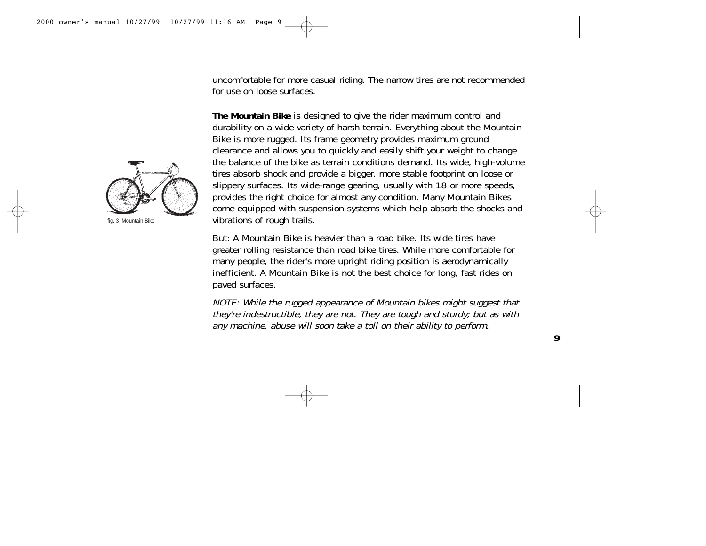uncomfortable for more casual riding. The narrow tires are not recommended for use on loose surfaces.

**The Mountain Bike** is designed to give the rider maximum control and durability on a wide variety of harsh terrain. Everything about the Mountain Bike is more rugged. Its frame geometry provides maximum ground clearance and allows you to quickly and easily shift your weight to change the balance of the bike as terrain conditions demand. Its wide, high-volume tires absorb shock and provide a bigger, more stable footprint on loose or slippery surfaces. Its wide-range gearing, usually with 18 or more speeds, provides the right choice for almost any condition. Many Mountain Bikes come equipped with suspension systems which help absorb the shocks and vibrations of rough trails.

But: A Mountain Bike is heavier than a road bike. Its wide tires have greater rolling resistance than road bike tires. While more comfortable for many people, the rider's more upright riding position is aerodynamically inefficient. A Mountain Bike is not the best choice for long, fast rides on paved surfaces.

NOTE: While the rugged appearance of Mountain bikes might suggest that they're indestructible, they are not. They are tough and sturdy; but as with any machine, abuse will soon take a toll on their ability to perform.



fig. 3 Mountain Bike

**9**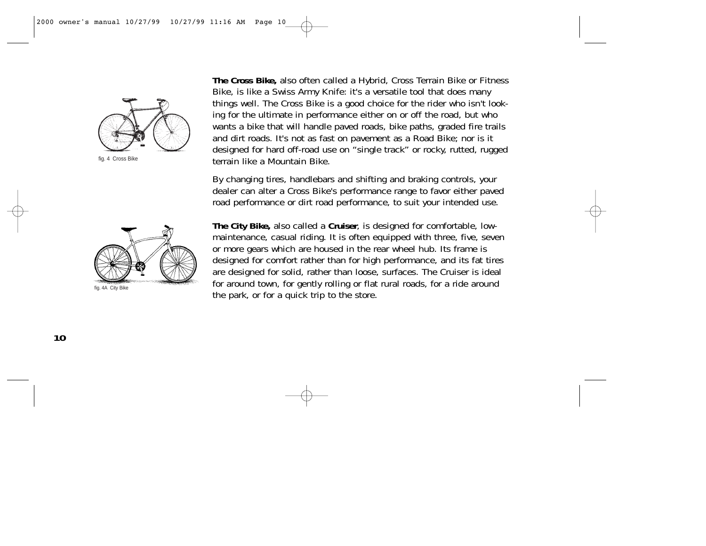

fig. 4 Cross Bike



fig. 4A City Bike

**The Cross Bike,** also often called a Hybrid, Cross Terrain Bike or Fitness Bike, is like a Swiss Army Knife: it's a versatile tool that does many things well. The Cross Bike is a good choice for the rider who isn't looking for the ultimate in performance either on or off the road, but who wants a bike that will handle paved roads, bike paths, graded fire trails and dirt roads. It's not as fast on pavement as a Road Bike; nor is it designed for hard off-road use on "single track" or rocky, rutted, rugged terrain like a Mountain Bike.

By changing tires, handlebars and shifting and braking controls, your dealer can alter a Cross Bike's performance range to favor either paved road performance or dirt road performance, to suit your intended use.

**The City Bike,** also called a **Cruiser**, is designed for comfortable, lowmaintenance, casual riding. It is often equipped with three, five, seven or more gears which are housed in the rear wheel hub. Its frame is designed for comfort rather than for high performance, and its fat tires are designed for solid, rather than loose, surfaces. The Cruiser is ideal for around town, for gently rolling or flat rural roads, for a ride around the park, or for a quick trip to the store.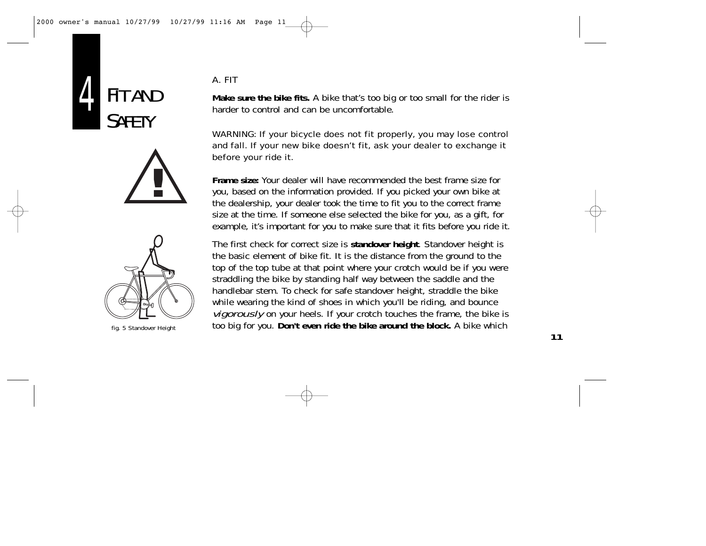





fig. 5 Standover Height

### A. FIT

**Make sure the bike fits.** A bike that's too big or too small for the rider is harder to control and can be uncomfortable.

#### WARNING: If your bicycle does not fit properly, you may lose control and fall. If your new bike doesn't fit, ask your dealer to exchange it before your ride it.

**Frame size:** Your dealer will have recommended the best frame size for you, based on the information provided. If you picked your own bike at the dealership, your dealer took the time to fit you to the correct frame size at the time. If someone else selected the bike for you, as a gift, for example, it's important for you to make sure that it fits before you ride it.

The first check for correct size is **standover height**. Standover height is the basic element of bike fit. It is the distance from the ground to the top of the top tube at that point where your crotch would be if you were straddling the bike by standing half way between the saddle and the handlebar stem. To check for safe standover height, straddle the bike while wearing the kind of shoes in which you'll be riding, and bounce vigorously on your heels. If your crotch touches the frame, the bike is too big for you. **Don't even ride the bike around the block.** A bike which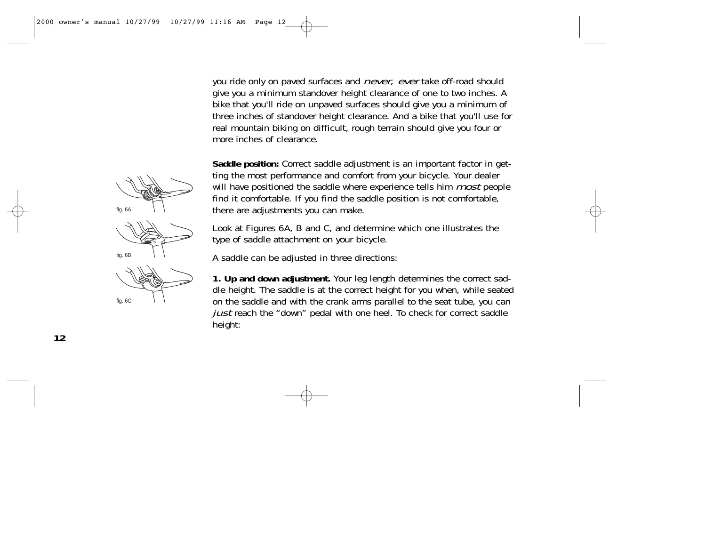you ride only on paved surfaces and *never, ever* take off-road should give you a minimum standover height clearance of one to two inches. A bike that you'll ride on unpaved surfaces should give you a minimum of three inches of standover height clearance. And a bike that you'll use for real mountain biking on difficult, rough terrain should give you four or more inches of clearance.

**Saddle position:** Correct saddle adjustment is an important factor in getting the most performance and comfort from your bicycle. Your dealer will have positioned the saddle where experience tells him *most* people find it comfortable. If you find the saddle position is not comfortable, there are adjustments you can make.

Look at Figures 6A, B and C, and determine which one illustrates the type of saddle attachment on your bicycle.

A saddle can be adjusted in three directions:

**1. Up and down adjustment.** Your leg length determines the correct saddle height. The saddle is at the correct height for you when, while seated on the saddle and with the crank arms parallel to the seat tube, you can just reach the "down" pedal with one heel. To check for correct saddle height:

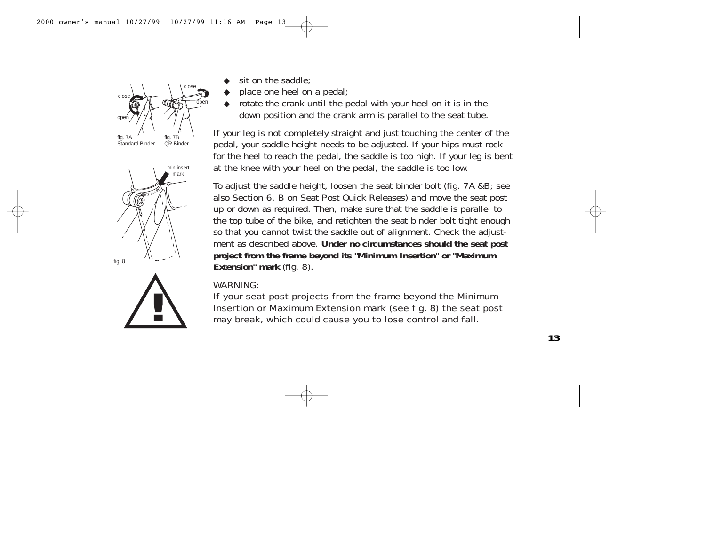

- sit on the saddle:
- place one heel on a pedal;
- rotate the crank until the pedal with your heel on it is in the down position and the crank arm is parallel to the seat tube.

If your leg is not completely straight and just touching the center of the pedal, your saddle height needs to be adjusted. If your hips must rock for the heel to reach the pedal, the saddle is too high. If your leg is bent at the knee with your heel on the pedal, the saddle is too low.

To adjust the saddle height, loosen the seat binder bolt (fig. 7A &B; see also Section 6. B on Seat Post Quick Releases) and move the seat post up or down as required. Then, make sure that the saddle is parallel to the top tube of the bike, and retighten the seat binder bolt tight enough so that you cannot twist the saddle out of alignment. Check the adjustment as described above. **Under no circumstances should the seat post project from the frame beyond its "Minimum Insertion" or "Maximum Extension" mark** (fig. 8).

#### WARNING:

If your seat post projects from the frame beyond the Minimum Insertion or Maximum Extension mark (see fig. 8) the seat post may break, which could cause you to lose control and fall.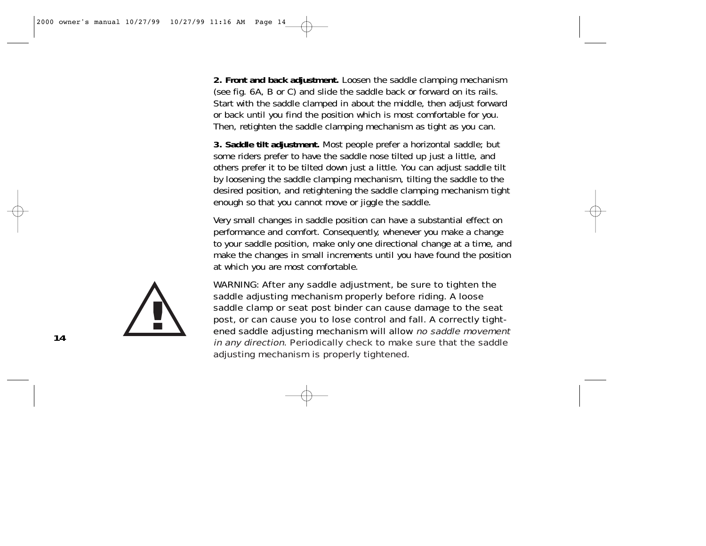**2. Front and back adjustment.** Loosen the saddle clamping mechanism (see fig. 6A, B or C) and slide the saddle back or forward on its rails. Start with the saddle clamped in about the middle, then adjust forward or back until you find the position which is most comfortable for you. Then, retighten the saddle clamping mechanism as tight as you can.

**3. Saddle tilt adjustment.** Most people prefer a horizontal saddle; but some riders prefer to have the saddle nose tilted up just a little, and others prefer it to be tilted down just a little. You can adjust saddle tilt by loosening the saddle clamping mechanism, tilting the saddle to the desired position, and retightening the saddle clamping mechanism tight enough so that you cannot move or jiggle the saddle.

Very small changes in saddle position can have a substantial effect on performance and comfort. Consequently, whenever you make a change to your saddle position, make only one directional change at a time, and make the changes in small increments until you have found the position at which you are most comfortable.

WARNING: After any saddle adjustment, be sure to tighten the saddle adjusting mechanism properly before riding. A loose saddle clamp or seat post binder can cause damage to the seat post, or can cause you to lose control and fall. A correctly tightened saddle adjusting mechanism will allow no saddle movement in any direction. Periodically check to make sure that the saddle adjusting mechanism is properly tightened.

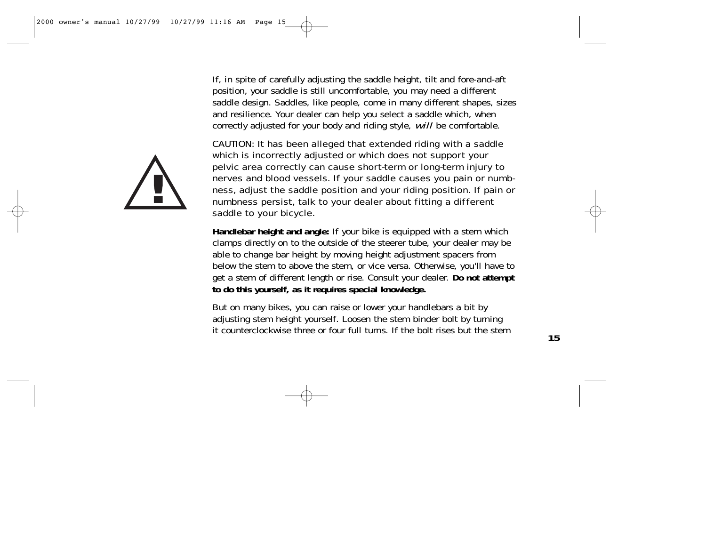If, in spite of carefully adjusting the saddle height, tilt and fore-and-aft position, your saddle is still uncomfortable, you may need a different saddle design. Saddles, like people, come in many different shapes, sizes and resilience. Your dealer can help you select a saddle which, when correctly adjusted for your body and riding style, will be comfortable.

**!**

CAUTION: It has been alleged that extended riding with a saddle which is incorrectly adjusted or which does not support your pelvic area correctly can cause short-term or long-term injury to nerves and blood vessels. If your saddle causes you pain or numbness, adjust the saddle position and your riding position. If pain or numbness persist, talk to your dealer about fitting a different saddle to your bicycle.

**Handlebar height and angle:** If your bike is equipped with a stem which clamps directly on to the outside of the steerer tube, your dealer may be able to change bar height by moving height adjustment spacers from below the stem to above the stem, or vice versa. Otherwise, you'll have to get a stem of different length or rise. Consult your dealer. **Do not attempt to do this yourself, as it requires special knowledge.**

But on many bikes, you can raise or lower your handlebars a bit by adjusting stem height yourself. Loosen the stem binder bolt by turning it counterclockwise three or four full turns. If the bolt rises but the stem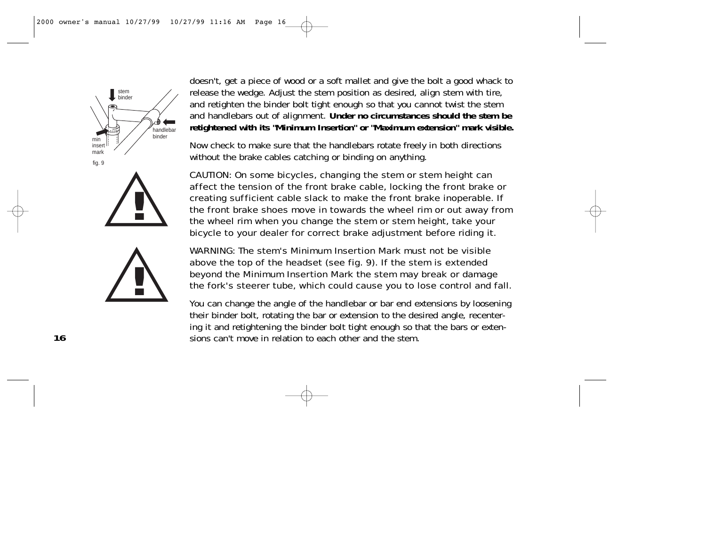

**!**



doesn't, get a piece of wood or a soft mallet and give the bolt a good whack to release the wedge. Adjust the stem position as desired, align stem with tire, and retighten the binder bolt tight enough so that you cannot twist the stem and handlebars out of alignment. **Under no circumstances should the stem be retightened with its "Minimum Insertion" or "Maximum extension" mark visible.** 

Now check to make sure that the handlebars rotate freely in both directions without the brake cables catching or binding on anything.

CAUTION: On some bicycles, changing the stem or stem height can affect the tension of the front brake cable, locking the front brake or creating sufficient cable slack to make the front brake inoperable. If the front brake shoes move in towards the wheel rim or out away from the wheel rim when you change the stem or stem height, take your bicycle to your dealer for correct brake adjustment before riding it.

WARNING: The stem's Minimum Insertion Mark must not be visible above the top of the headset (see fig. 9). If the stem is extended beyond the Minimum Insertion Mark the stem may break or damage the fork's steerer tube, which could cause you to lose control and fall.

You can change the angle of the handlebar or bar end extensions by loosening their binder bolt, rotating the bar or extension to the desired angle, recentering it and retightening the binder bolt tight enough so that the bars or extensions can't move in relation to each other and the stem.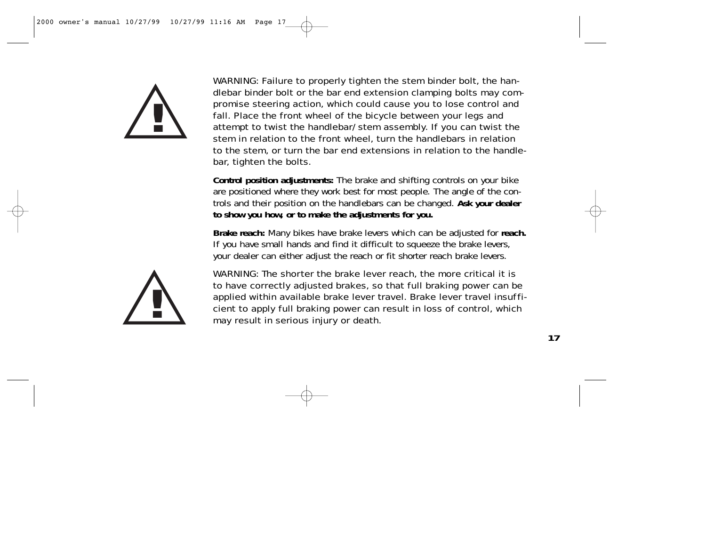

WARNING: Failure to properly tighten the stem binder bolt, the handlebar binder bolt or the bar end extension clamping bolts may compromise steering action, which could cause you to lose control and fall. Place the front wheel of the bicycle between your legs and attempt to twist the handlebar/stem assembly. If you can twist the stem in relation to the front wheel, turn the handlebars in relation to the stem, or turn the bar end extensions in relation to the handlebar, tighten the bolts.

**Control position adjustments:** The brake and shifting controls on your bike are positioned where they work best for most people. The angle of the controls and their position on the handlebars can be changed. **Ask your dealer to show you how, or to make the adjustments for you.**

**Brake reach:** Many bikes have brake levers which can be adjusted for **reach.** If you have small hands and find it difficult to squeeze the brake levers, your dealer can either adjust the reach or fit shorter reach brake levers.



WARNING: The shorter the brake lever reach, the more critical it is to have correctly adjusted brakes, so that full braking power can be applied within available brake lever travel. Brake lever travel insufficient to apply full braking power can result in loss of control, which may result in serious injury or death.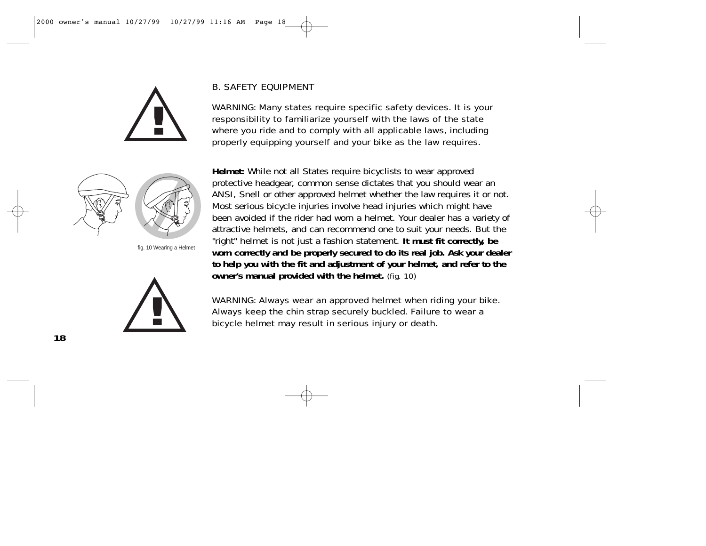



fig. 10 Wearing a Helmet



#### B. SAFETY EQUIPMENT

WARNING: Many states require specific safety devices. It is your responsibility to familiarize yourself with the laws of the state where you ride and to comply with all applicable laws, including properly equipping yourself and your bike as the law requires.

**Helmet:** While not all States require bicyclists to wear approved protective headgear, common sense dictates that you should wear an ANSI, Snell or other approved helmet whether the law requires it or not. Most serious bicycle injuries involve head injuries which might have been avoided if the rider had worn a helmet. Your dealer has a variety of attractive helmets, and can recommend one to suit your needs. But the "right" helmet is not just a fashion statement. **It must fit correctly, be worn correctly and be properly secured to do its real job. Ask your dealer to help you with the fit and adjustment of your helmet, and refer to the owner's manual provided with the helmet.** (fig. 10)

WARNING: Always wear an approved helmet when riding your bike. Always keep the chin strap securely buckled. Failure to wear a bicycle helmet may result in serious injury or death.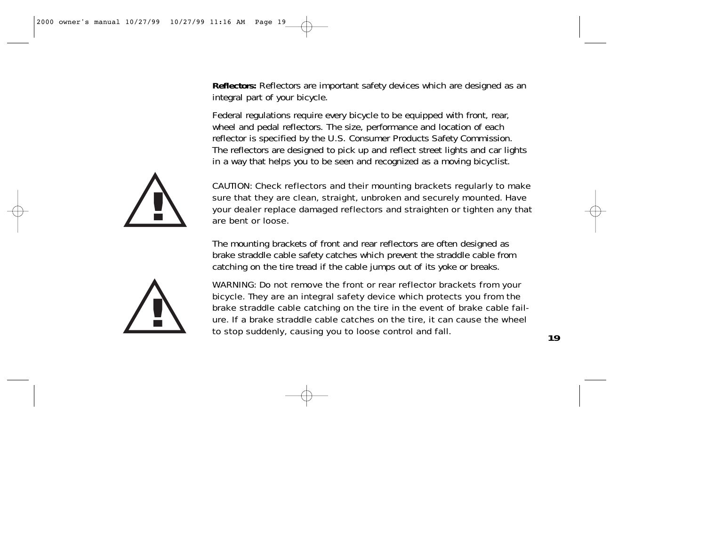**Reflectors:** Reflectors are important safety devices which are designed as an integral part of your bicycle.

Federal regulations require every bicycle to be equipped with front, rear, wheel and pedal reflectors. The size, performance and location of each reflector is specified by the U.S. Consumer Products Safety Commission. The reflectors are designed to pick up and reflect street lights and car lights in a way that helps you to be seen and recognized as a moving bicyclist.



CAUTION: Check reflectors and their mounting brackets regularly to make sure that they are clean, straight, unbroken and securely mounted. Have your dealer replace damaged reflectors and straighten or tighten any that are bent or loose.

The mounting brackets of front and rear reflectors are often designed as brake straddle cable safety catches which prevent the straddle cable from catching on the tire tread if the cable jumps out of its yoke or breaks.



WARNING: Do not remove the front or rear reflector brackets from your bicycle. They are an integral safety device which protects you from the brake straddle cable catching on the tire in the event of brake cable failure. If a brake straddle cable catches on the tire, it can cause the wheel to stop suddenly, causing you to loose control and fall.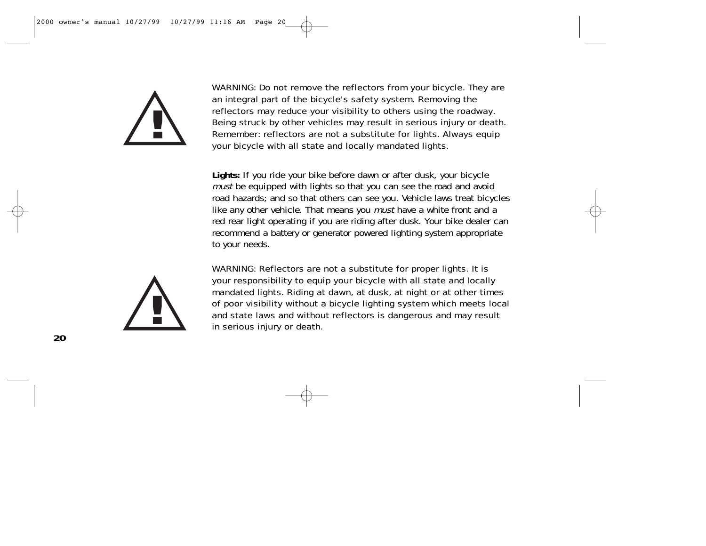

WARNING: Do not remove the reflectors from your bicycle. They are an integral part of the bicycle's safety system. Removing the reflectors may reduce your visibility to others using the roadway. Being struck by other vehicles may result in serious injury or death. Remember: reflectors are not a substitute for lights. Always equip your bicycle with all state and locally mandated lights.

**Lights:** If you ride your bike before dawn or after dusk, your bicycle must be equipped with lights so that you can see the road and avoid road hazards; and so that others can see you. Vehicle laws treat bicycles like any other vehicle. That means you *must* have a white front and a red rear light operating if you are riding after dusk. Your bike dealer can recommend a battery or generator powered lighting system appropriate to your needs.



WARNING: Reflectors are not a substitute for proper lights. It is your responsibility to equip your bicycle with all state and locally mandated lights. Riding at dawn, at dusk, at night or at other times of poor visibility without a bicycle lighting system which meets local and state laws and without reflectors is dangerous and may result in serious injury or death.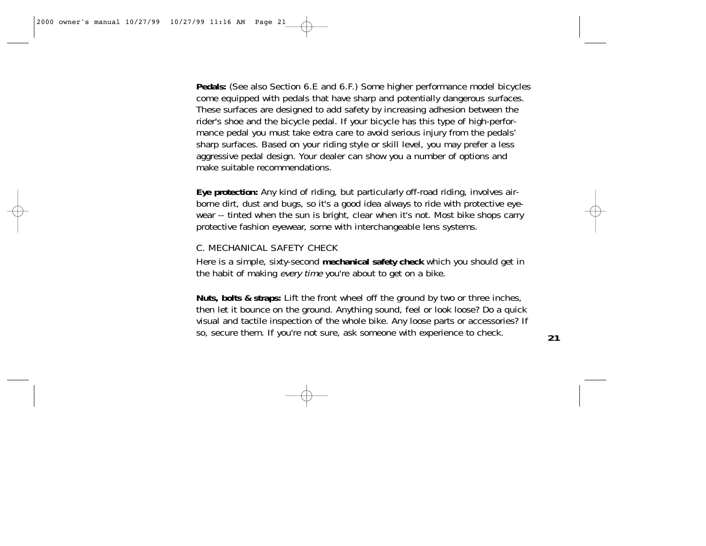**Pedals:** (See also Section 6.E and 6.F.) Some higher performance model bicycles come equipped with pedals that have sharp and potentially dangerous surfaces. These surfaces are designed to add safety by increasing adhesion between the rider's shoe and the bicycle pedal. If your bicycle has this type of high-performance pedal you must take extra care to avoid serious injury from the pedals' sharp surfaces. Based on your riding style or skill level, you may prefer a less aggressive pedal design. Your dealer can show you a number of options and make suitable recommendations.

**Eye protection:** Any kind of riding, but particularly off-road riding, involves airborne dirt, dust and bugs, so it's a good idea always to ride with protective eyewear -- tinted when the sun is bright, clear when it's not. Most bike shops carry protective fashion eyewear, some with interchangeable lens systems.

#### C. MECHANICAL SAFETY CHECK

Here is a simple, sixty-second **mechanical safety check** which you should get in the habit of making every time you're about to get on a bike.

**Nuts, bolts & straps:** Lift the front wheel off the ground by two or three inches, then let it bounce on the ground. Anything sound, feel or look loose? Do a quick visual and tactile inspection of the whole bike. Any loose parts or accessories? If so, secure them. If you're not sure, ask someone with experience to check.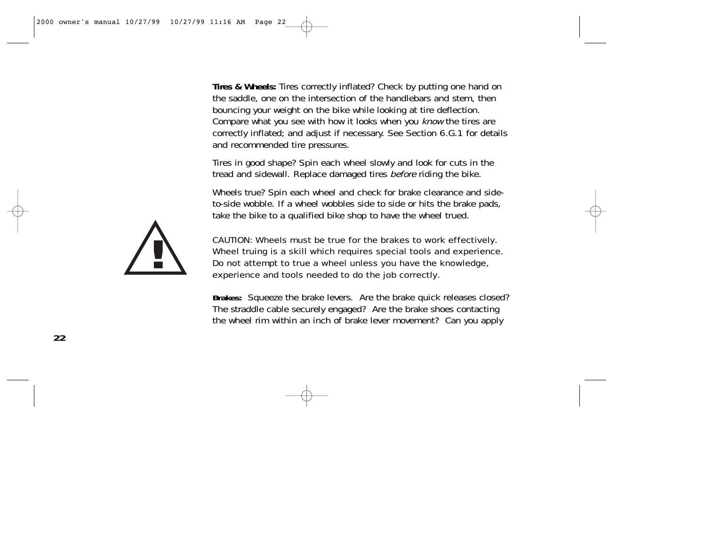**Tires & Wheels:** Tires correctly inflated? Check by putting one hand on the saddle, one on the intersection of the handlebars and stem, then bouncing your weight on the bike while looking at tire deflection. Compare what you see with how it looks when you know the tires are correctly inflated; and adjust if necessary. See Section 6.G.1 for details and recommended tire pressures.

Tires in good shape? Spin each wheel slowly and look for cuts in the tread and sidewall. Replace damaged tires before riding the bike.

Wheels true? Spin each wheel and check for brake clearance and sideto-side wobble. If a wheel wobbles side to side or hits the brake pads, take the bike to a qualified bike shop to have the wheel trued.



CAUTION: Wheels must be true for the brakes to work effectively. Wheel truing is a skill which requires special tools and experience. Do not attempt to true a wheel unless you have the knowledge, experience and tools needed to do the job correctly.

**Brakes:** Squeeze the brake levers. Are the brake quick releases closed? The straddle cable securely engaged? Are the brake shoes contacting the wheel rim within an inch of brake lever movement? Can you apply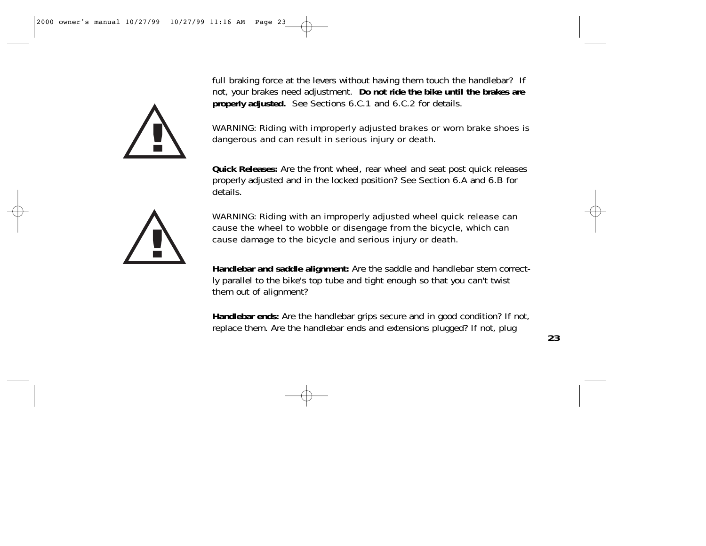**!**

full braking force at the levers without having them touch the handlebar? If not, your brakes need adjustment. **Do not ride the bike until the brakes are properly adjusted.** See Sections 6.C.1 and 6.C.2 for details.

WARNING: Riding with improperly adjusted brakes or worn brake shoes is dangerous and can result in serious injury or death.

**Quick Releases:** Are the front wheel, rear wheel and seat post quick releases properly adjusted and in the locked position? See Section 6.A and 6.B for details.



WARNING: Riding with an improperly adjusted wheel quick release can cause the wheel to wobble or disengage from the bicycle, which can cause damage to the bicycle and serious injury or death.

**Handlebar and saddle alignment:** Are the saddle and handlebar stem correctly parallel to the bike's top tube and tight enough so that you can't twist them out of alignment?

**Handlebar ends:** Are the handlebar grips secure and in good condition? If not, replace them. Are the handlebar ends and extensions plugged? If not, plug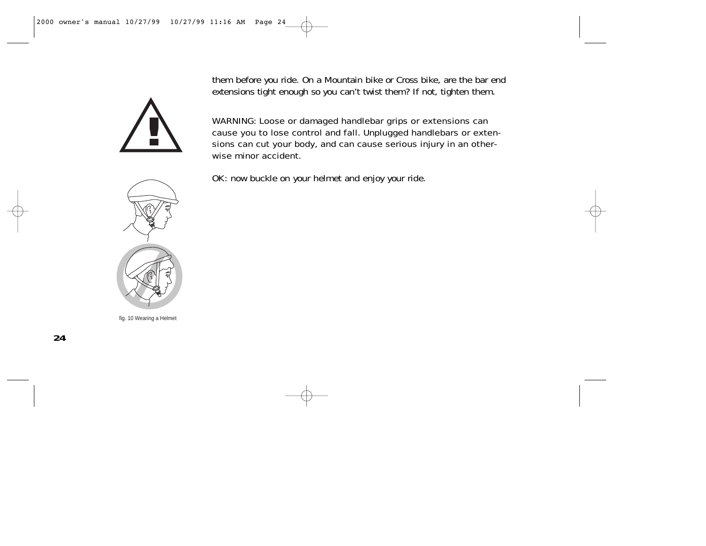them before you ride. On a Mountain bike or Cross bike, are the bar end extensions tight enough so you can't twist them? If not, tighten them.



WARNING: Loose or damaged handlebar grips or extensions can cause you to lose control and fall. Unplugged handlebars or extensions can cut your body, and can cause serious injury in an otherwise minor accident.



fig. 10 Wearing a Helmet

OK: now buckle on your helmet and enjoy your ride.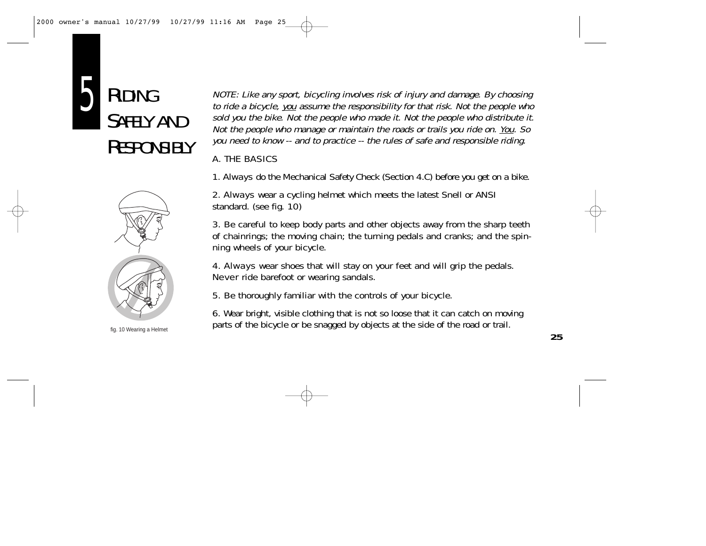



fig. 10 Wearing a Helmet

NOTE: Like any sport, bicycling involves risk of injury and damage. By choosing to ride a bicycle, you assume the responsibility for that risk. Not the people who sold you the bike. Not the people who made it. Not the people who distribute it. Not the people who manage or maintain the roads or trails you ride on. You. So you need to know -- and to practice -- the rules of safe and responsible riding.

#### A. THE BASICS

1. Always do the Mechanical Safety Check (Section 4.C) before you get on a bike.

2. **Always** wear a cycling helmet which meets the latest Snell or ANSI standard. (see fig. 10)

3. Be careful to keep body parts and other objects away from the sharp teeth of chainrings; the moving chain; the turning pedals and cranks; and the spinning wheels of your bicycle.

4. **Always** wear shoes that will stay on your feet and will grip the pedals. Never ride barefoot or wearing sandals.

5. Be thoroughly familiar with the controls of your bicycle.

6. Wear bright, visible clothing that is not so loose that it can catch on moving parts of the bicycle or be snagged by objects at the side of the road or trail.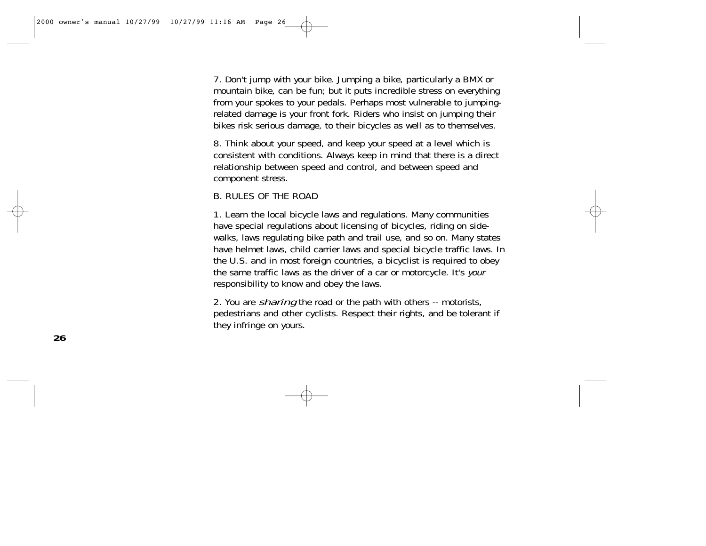7. Don't jump with your bike. Jumping a bike, particularly a BMX or mountain bike, can be fun; but it puts incredible stress on everything from your spokes to your pedals. Perhaps most vulnerable to jumpingrelated damage is your front fork. Riders who insist on jumping their bikes risk serious damage, to their bicycles as well as to themselves.

8. Think about your speed, and keep your speed at a level which is consistent with conditions. Always keep in mind that there is a direct relationship between speed and control, and between speed and component stress.

#### B. RULES OF THE ROAD

1. Learn the local bicycle laws and regulations. Many communities have special regulations about licensing of bicycles, riding on sidewalks, laws regulating bike path and trail use, and so on. Many states have helmet laws, child carrier laws and special bicycle traffic laws. In the U.S. and in most foreign countries, a bicyclist is required to obey the same traffic laws as the driver of a car or motorcycle. It's your responsibility to know and obey the laws.

2. You are *sharing* the road or the path with others -- motorists, pedestrians and other cyclists. Respect their rights, and be tolerant if they infringe on yours.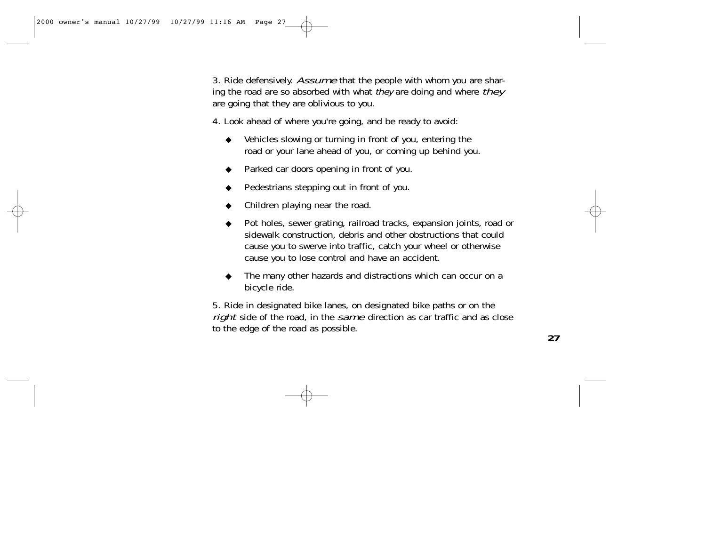3. Ride defensively. Assume that the people with whom you are sharing the road are so absorbed with what they are doing and where they are going that they are oblivious to you.

4. Look ahead of where you're going, and be ready to avoid:

- ◆ Vehicles slowing or turning in front of you, entering the road or your lane ahead of you, or coming up behind you.
- ◆ Parked car doors opening in front of you.
- Pedestrians stepping out in front of you.
- Children playing near the road.
- ◆ Pot holes, sewer grating, railroad tracks, expansion joints, road or sidewalk construction, debris and other obstructions that could cause you to swerve into traffic, catch your wheel or otherwise cause you to lose control and have an accident.
- The many other hazards and distractions which can occur on a bicycle ride.

5. Ride in designated bike lanes, on designated bike paths or on the right side of the road, in the same direction as car traffic and as close to the edge of the road as possible.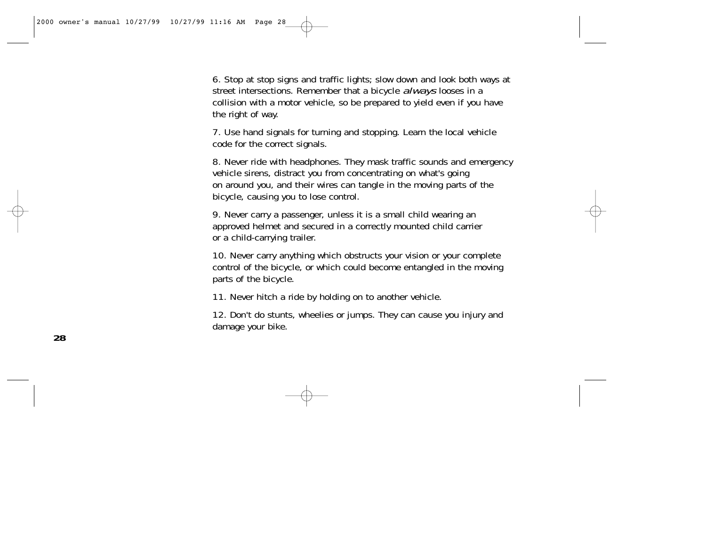6. Stop at stop signs and traffic lights; slow down and look both ways at street intersections. Remember that a bicycle *always* looses in a collision with a motor vehicle, so be prepared to yield even if you have the right of way.

7. Use hand signals for turning and stopping. Learn the local vehicle code for the correct signals.

8. Never ride with headphones. They mask traffic sounds and emergency vehicle sirens, distract you from concentrating on what's going on around you, and their wires can tangle in the moving parts of the bicycle, causing you to lose control.

9. Never carry a passenger, unless it is a small child wearing an approved helmet and secured in a correctly mounted child carrier or a child-carrying trailer.

10. Never carry anything which obstructs your vision or your complete control of the bicycle, or which could become entangled in the moving parts of the bicycle.

11. Never hitch a ride by holding on to another vehicle.

12. Don't do stunts, wheelies or jumps. They can cause you injury and damage your bike.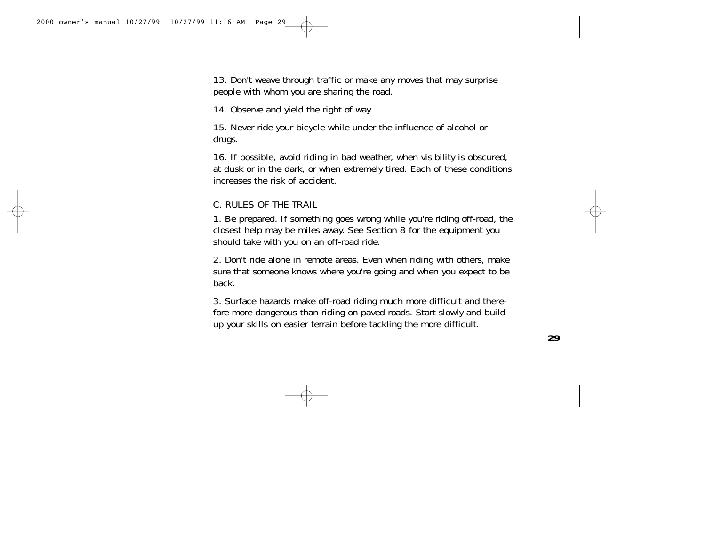13. Don't weave through traffic or make any moves that may surprise people with whom you are sharing the road.

14. Observe and yield the right of way.

15. Never ride your bicycle while under the influence of alcohol or drugs.

16. If possible, avoid riding in bad weather, when visibility is obscured, at dusk or in the dark, or when extremely tired. Each of these conditions increases the risk of accident.

#### C. RULES OF THE TRAIL

1. Be prepared. If something goes wrong while you're riding off-road, the closest help may be miles away. See Section 8 for the equipment you should take with you on an off-road ride.

2. Don't ride alone in remote areas. Even when riding with others, make sure that someone knows where you're going and when you expect to be back.

3. Surface hazards make off-road riding much more difficult and therefore more dangerous than riding on paved roads. Start slowly and build up your skills on easier terrain before tackling the more difficult.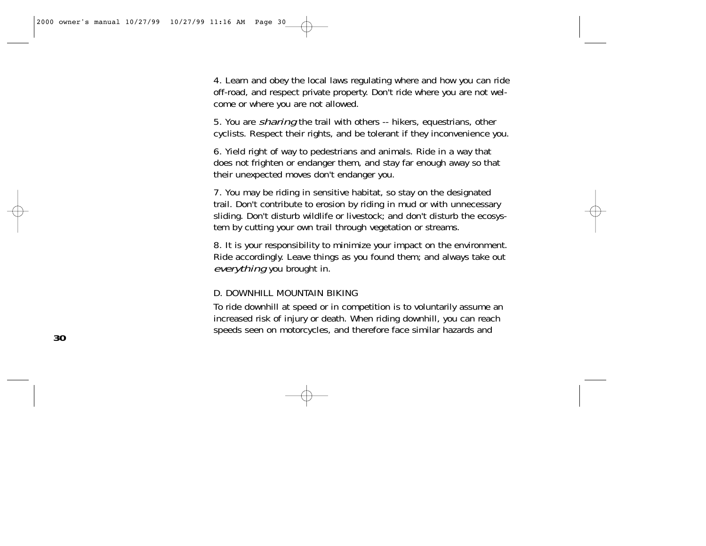4. Learn and obey the local laws regulating where and how you can ride off-road, and respect private property. Don't ride where you are not welcome or where you are not allowed.

5. You are sharing the trail with others -- hikers, equestrians, other cyclists. Respect their rights, and be tolerant if they inconvenience you.

6. Yield right of way to pedestrians and animals. Ride in a way that does not frighten or endanger them, and stay far enough away so that their unexpected moves don't endanger you.

7. You may be riding in sensitive habitat, so stay on the designated trail. Don't contribute to erosion by riding in mud or with unnecessary sliding. Don't disturb wildlife or livestock; and don't disturb the ecosystem by cutting your own trail through vegetation or streams.

8. It is your responsibility to minimize your impact on the environment. Ride accordingly. Leave things as you found them; and always take out everything you brought in.

#### D. DOWNHILL MOUNTAIN BIKING

To ride downhill at speed or in competition is to voluntarily assume an increased risk of injury or death. When riding downhill, you can reach speeds seen on motorcycles, and therefore face similar hazards and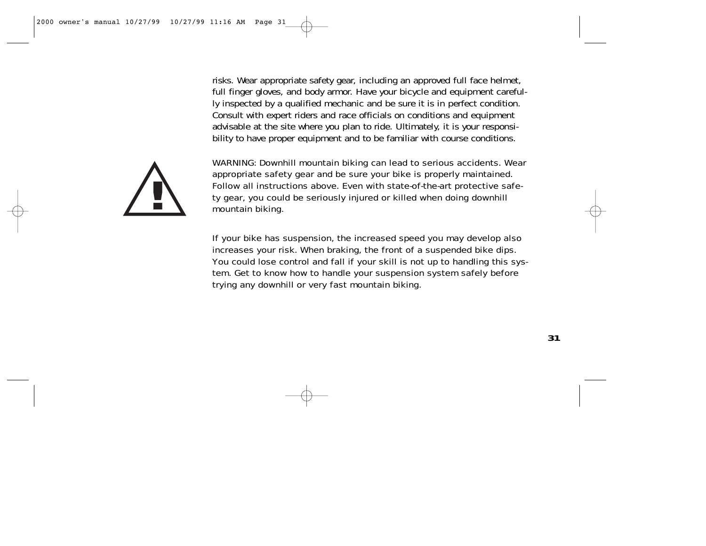risks. Wear appropriate safety gear, including an approved full face helmet, full finger gloves, and body armor. Have your bicycle and equipment carefully inspected by a qualified mechanic and be sure it is in perfect condition. Consult with expert riders and race officials on conditions and equipment advisable at the site where you plan to ride. Ultimately, it is your responsibility to have proper equipment and to be familiar with course conditions.



WARNING: Downhill mountain biking can lead to serious accidents. Wear appropriate safety gear and be sure your bike is properly maintained. Follow all instructions above. Even with state-of-the-art protective safety gear, you could be seriously injured or killed when doing downhill mountain biking.

If your bike has suspension, the increased speed you may develop also increases your risk. When braking, the front of a suspended bike dips. You could lose control and fall if your skill is not up to handling this system. Get to know how to handle your suspension system safely before trying any downhill or very fast mountain biking.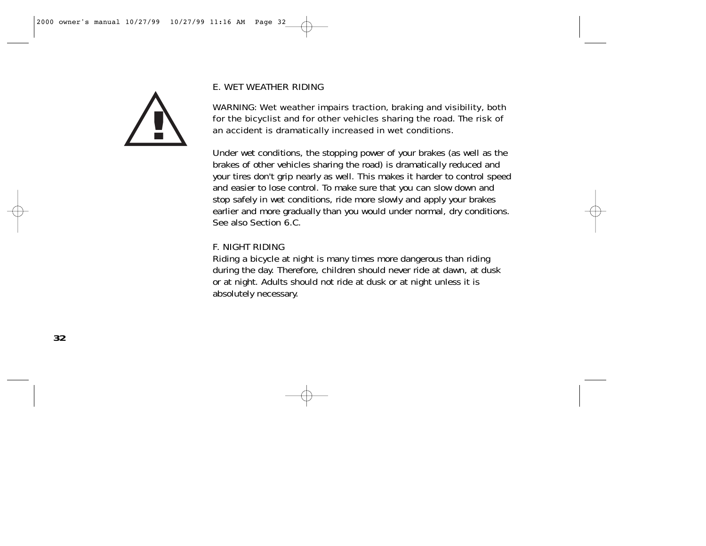

#### E. WET WEATHER RIDING

WARNING: Wet weather impairs traction, braking and visibility, both for the bicyclist and for other vehicles sharing the road. The risk of an accident is dramatically increased in wet conditions.

Under wet conditions, the stopping power of your brakes (as well as the brakes of other vehicles sharing the road) is dramatically reduced and your tires don't grip nearly as well. This makes it harder to control speed and easier to lose control. To make sure that you can slow down and stop safely in wet conditions, ride more slowly and apply your brakes earlier and more gradually than you would under normal, dry conditions. See also Section 6.C.

#### F. NIGHT RIDING

Riding a bicycle at night is many times more dangerous than riding during the day. Therefore, children should never ride at dawn, at dusk or at night. Adults should not ride at dusk or at night unless it is absolutely necessary.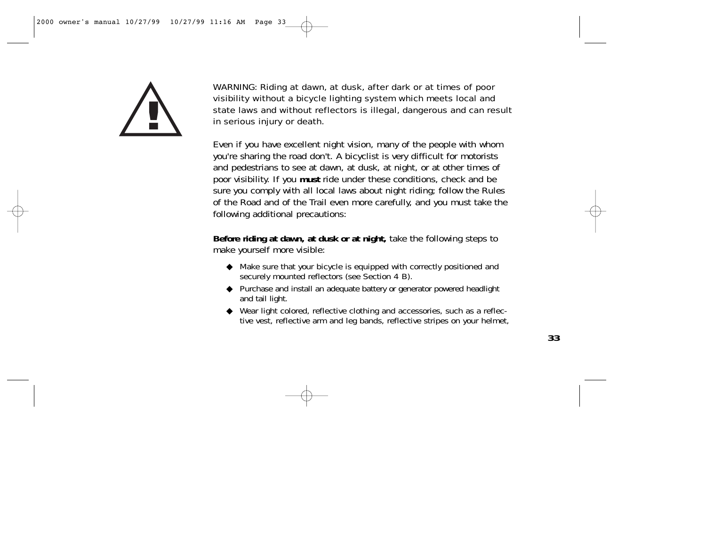

WARNING: Riding at dawn, at dusk, after dark or at times of poor visibility without a bicycle lighting system which meets local and state laws and without reflectors is illegal, dangerous and can result in serious injury or death.

Even if you have excellent night vision, many of the people with whom you're sharing the road don't. A bicyclist is very difficult for motorists and pedestrians to see at dawn, at dusk, at night, or at other times of poor visibility. If you **must** ride under these conditions, check and be sure you comply with all local laws about night riding; follow the Rules of the Road and of the Trail even more carefully, and you must take the following additional precautions:

**Before riding at dawn, at dusk or at night,** take the following steps to make yourself more visible:

- ◆ Make sure that your bicycle is equipped with correctly positioned and securely mounted reflectors (see Section 4 B).
- ◆ Purchase and install an adequate battery or generator powered headlight and tail light.
- ◆ Wear light colored, reflective clothing and accessories, such as a reflective vest, reflective arm and leg bands, reflective stripes on your helmet,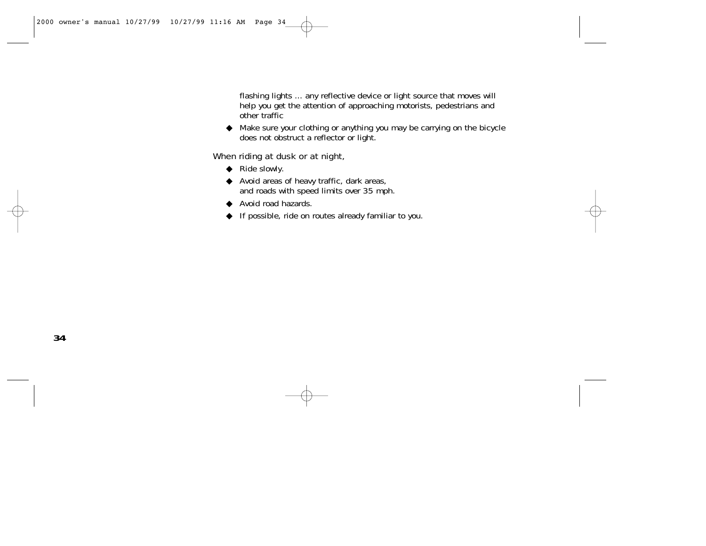flashing lights ... any reflective device or light source that moves will help you get the attention of approaching motorists, pedestrians and other traffic

◆ Make sure your clothing or anything you may be carrying on the bicycle does not obstruct a reflector or light.

## When riding at dusk or at night,

- ◆ Ride slowly.
- ◆ Avoid areas of heavy traffic, dark areas, and roads with speed limits over 35 mph.
- ◆ Avoid road hazards.
- ◆ If possible, ride on routes already familiar to you.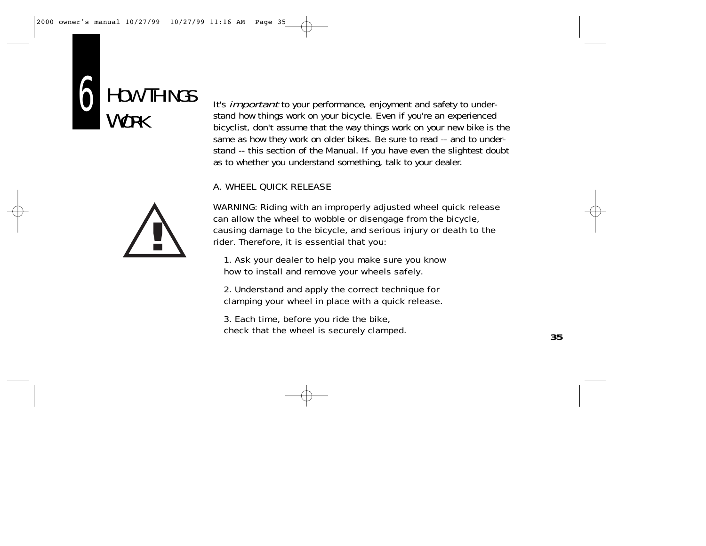



It's *important* to your performance, enjoyment and safety to understand how things work on your bicycle. Even if you're an experienced bicyclist, don't assume that the way things work on your new bike is the same as how they work on older bikes. Be sure to read -- and to understand -- this section of the Manual. If you have even the slightest doubt as to whether you understand something, talk to your dealer.

# A. WHEEL QUICK RELEASE

WARNING: Riding with an improperly adjusted wheel quick release can allow the wheel to wobble or disengage from the bicycle, causing damage to the bicycle, and serious injury or death to the rider. Therefore, it is essential that you:

1. Ask your dealer to help you make sure you know how to install and remove your wheels safely.

2. Understand and apply the correct technique for clamping your wheel in place with a quick release.

3. Each time, before you ride the bike, check that the wheel is securely clamped.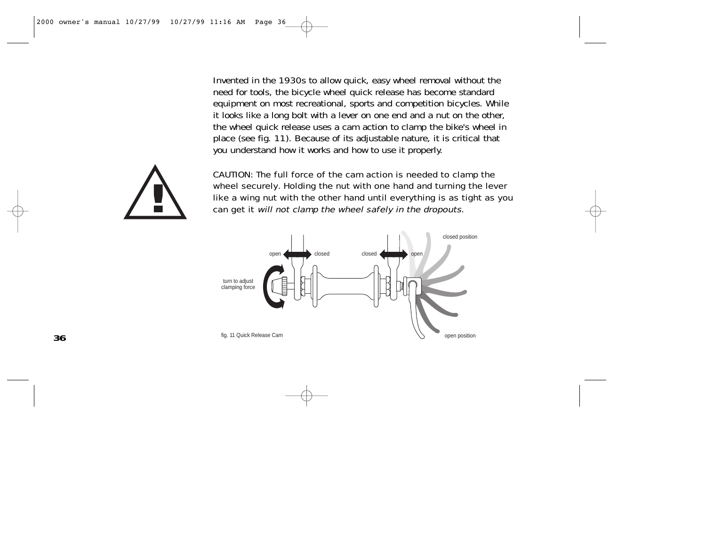Invented in the 1930s to allow quick, easy wheel removal without the need for tools, the bicycle wheel quick release has become standard equipment on most recreational, sports and competition bicycles. While it looks like a long bolt with a lever on one end and a nut on the other, the wheel quick release uses a cam action to clamp the bike's wheel in place (see fig. 11). Because of its adjustable nature, it is critical that you understand how it works and how to use it properly.



CAUTION: The full force of the cam action is needed to clamp the wheel securely. Holding the nut with one hand and turning the lever<br>like a wing nut with the other hand until everything is as tight as you<br>can get it will not clamp the wheel safely in the dropouts. like a wing nut with the other hand until everything is as tight as you

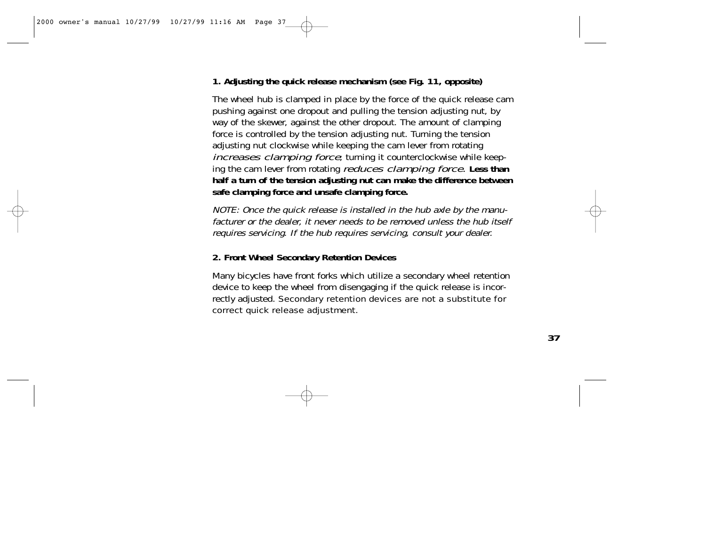# **1. Adjusting the quick release mechanism (see Fig. 11, opposite)**

The wheel hub is clamped in place by the force of the quick release cam pushing against one dropout and pulling the tension adjusting nut, by way of the skewer, against the other dropout. The amount of clamping force is controlled by the tension adjusting nut. Turning the tension adjusting nut clockwise while keeping the cam lever from rotating increases clamping force; turning it counterclockwise while keeping the cam lever from rotating reduces clamping force. **Less than half a turn of the tension adjusting nut can make the difference between safe clamping force and unsafe clamping force.**

NOTE: Once the quick release is installed in the hub axle by the manufacturer or the dealer, it never needs to be removed unless the hub itself requires servicing. If the hub requires servicing, consult your dealer.

# **2. Front Wheel Secondary Retention Devices**

Many bicycles have front forks which utilize a secondary wheel retention device to keep the wheel from disengaging if the quick release is incorrectly adjusted. Secondary retention devices are not a substitute for correct quick release adjustment.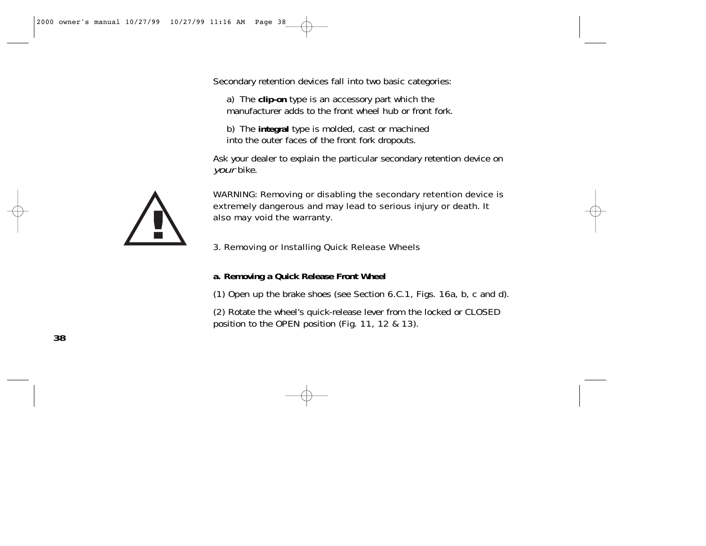Secondary retention devices fall into two basic categories:

a) The **clip-on** type is an accessory part which the manufacturer adds to the front wheel hub or front fork.

b) The **integral** type is molded, cast or machined into the outer faces of the front fork dropouts.

Ask your dealer to explain the particular secondary retention device on your bike.



WARNING: Removing or disabling the secondary retention device is extremely dangerous and may lead to serious injury or death. It also may void the warranty.

#### 3. Removing or Installing Quick Release Wheels

#### **a. Removing a Quick Release Front Wheel**

(1) Open up the brake shoes (see Section 6.C.1, Figs. 16a, b, c and d).

(2) Rotate the wheel's quick-release lever from the locked or CLOSED position to the OPEN position (Fig. 11, 12 & 13).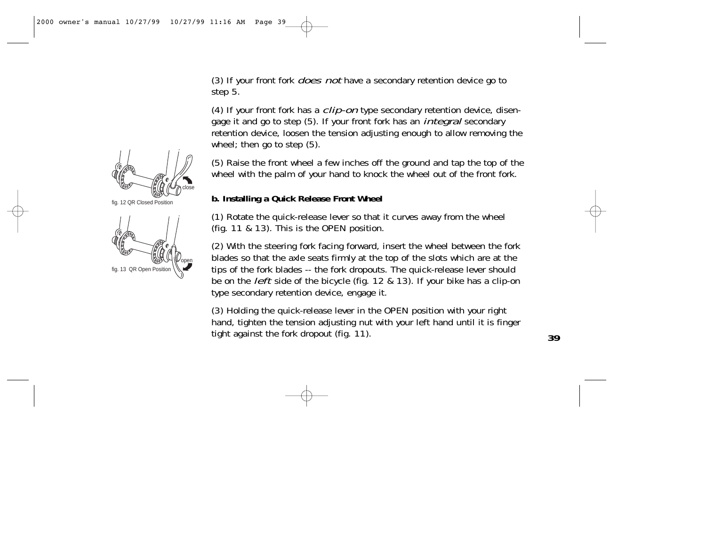(3) If your front fork *does not* have a secondary retention device go to step 5.

(4) If your front fork has a  $clip-on$  type secondary retention device, disengage it and go to step (5). If your front fork has an *integral* secondary retention device, loosen the tension adjusting enough to allow removing the wheel; then go to step (5).

(5) Raise the front wheel a few inches off the ground and tap the top of the wheel with the palm of your hand to knock the wheel out of the front fork.

# **b. Installing a Quick Release Front Wheel**

(1) Rotate the quick-release lever so that it curves away from the wheel (fig. 11 & 13). This is the OPEN position.

(2) With the steering fork facing forward, insert the wheel between the fork blades so that the axle seats firmly at the top of the slots which are at the tips of the fork blades -- the fork dropouts. The quick-release lever should be on the *left* side of the bicycle (fig. 12 & 13). If your bike has a clip-on type secondary retention device, engage it.

(3) Holding the quick-release lever in the OPEN position with your right hand, tighten the tension adjusting nut with your left hand until it is finger tight against the fork dropout (fig. 11).

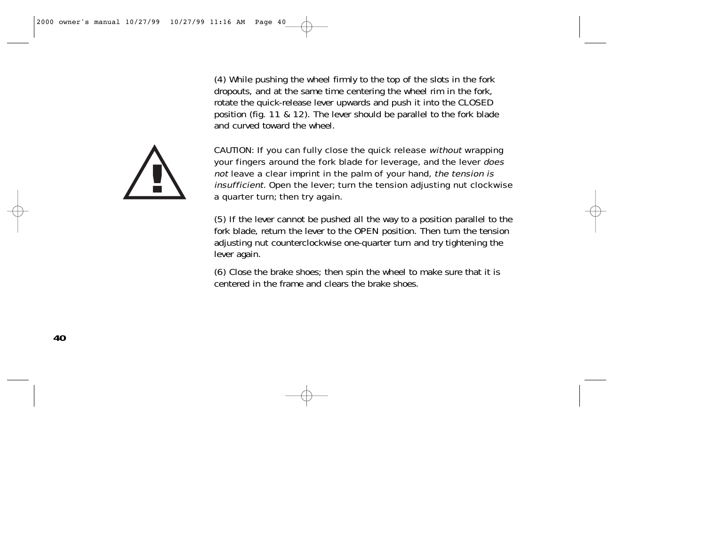(4) While pushing the wheel firmly to the top of the slots in the fork dropouts, and at the same time centering the wheel rim in the fork, rotate the quick-release lever upwards and push it into the CLOSED position (fig. 11 & 12). The lever should be parallel to the fork blade and curved toward the wheel.



CAUTION: If you can fully close the quick release without wrapping your fingers around the fork blade for leverage, and the lever does not leave a clear imprint in the palm of your hand, the tension is insufficient. Open the lever; turn the tension adjusting nut clockwise a quarter turn; then try again.

(5) If the lever cannot be pushed all the way to a position parallel to the fork blade, return the lever to the OPEN position. Then turn the tension adjusting nut counterclockwise one-quarter turn and try tightening the lever again.

(6) Close the brake shoes; then spin the wheel to make sure that it is centered in the frame and clears the brake shoes.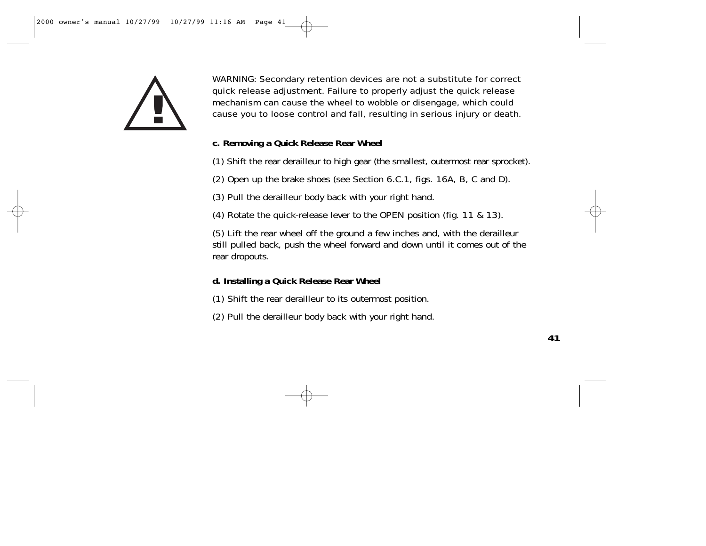

WARNING: Secondary retention devices are not a substitute for correct quick release adjustment. Failure to properly adjust the quick release mechanism can cause the wheel to wobble or disengage, which could cause you to loose control and fall, resulting in serious injury or death.

## **c. Removing a Quick Release Rear Wheel**

(1) Shift the rear derailleur to high gear (the smallest, outermost rear sprocket).

(2) Open up the brake shoes (see Section 6.C.1, figs. 16A, B, C and D).

(3) Pull the derailleur body back with your right hand.

(4) Rotate the quick-release lever to the OPEN position (fig. 11 & 13).

(5) Lift the rear wheel off the ground a few inches and, with the derailleur still pulled back, push the wheel forward and down until it comes out of the rear dropouts.

### **d. Installing a Quick Release Rear Wheel**

- (1) Shift the rear derailleur to its outermost position.
- (2) Pull the derailleur body back with your right hand.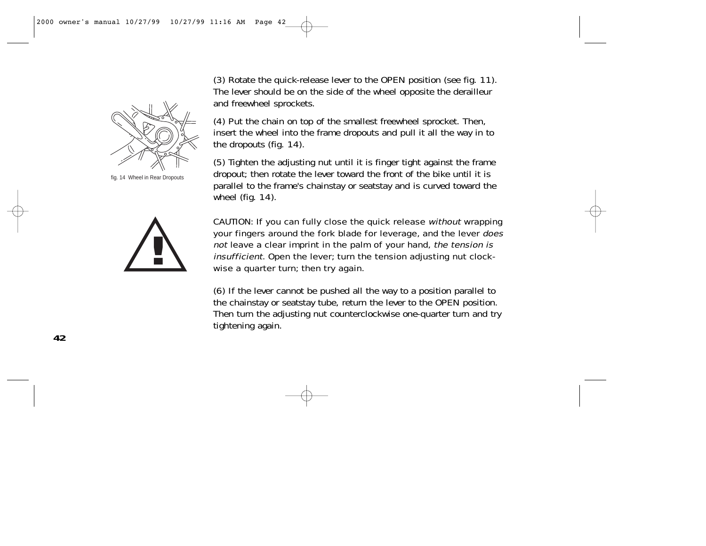fig. 14 Wheel in Rear Dropouts



(3) Rotate the quick-release lever to the OPEN position (see fig. 11). The lever should be on the side of the wheel opposite the derailleur and freewheel sprockets.

(4) Put the chain on top of the smallest freewheel sprocket. Then, insert the wheel into the frame dropouts and pull it all the way in to the dropouts (fig. 14).

(5) Tighten the adjusting nut until it is finger tight against the frame dropout; then rotate the lever toward the front of the bike until it is parallel to the frame's chainstay or seatstay and is curved toward the wheel (fig. 14).

CAUTION: If you can fully close the quick release without wrapping your fingers around the fork blade for leverage, and the lever does not leave a clear imprint in the palm of your hand, the tension is insufficient. Open the lever; turn the tension adjusting nut clockwise a quarter turn; then try again.

(6) If the lever cannot be pushed all the way to a position parallel to the chainstay or seatstay tube, return the lever to the OPEN position. Then turn the adjusting nut counterclockwise one-quarter turn and try tightening again.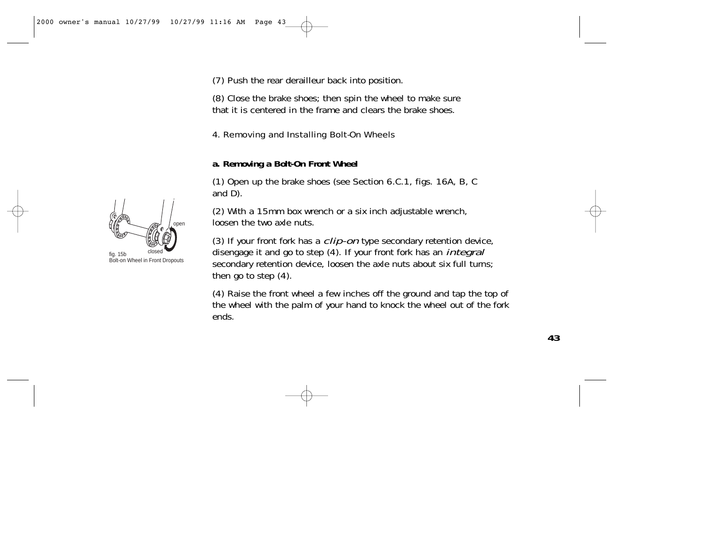(7) Push the rear derailleur back into position.

(8) Close the brake shoes; then spin the wheel to make sure that it is centered in the frame and clears the brake shoes.

## 4. Removing and Installing Bolt-On Wheels

### **a. Removing a Bolt-On Front Wheel**

(1) Open up the brake shoes (see Section 6.C.1, figs. 16A, B, C and D).

(2) With a 15mm box wrench or a six inch adjustable wrench, loosen the two axle nuts.

(3) If your front fork has a *clip-on* type secondary retention device, disengage it and go to step (4). If your front fork has an *integral* secondary retention device, loosen the axle nuts about six full turns; then go to step (4).

(4) Raise the front wheel a few inches off the ground and tap the top of the wheel with the palm of your hand to knock the wheel out of the fork ends.



 $f$ ia. 15b Bolt-on Wheel in Front Dropouts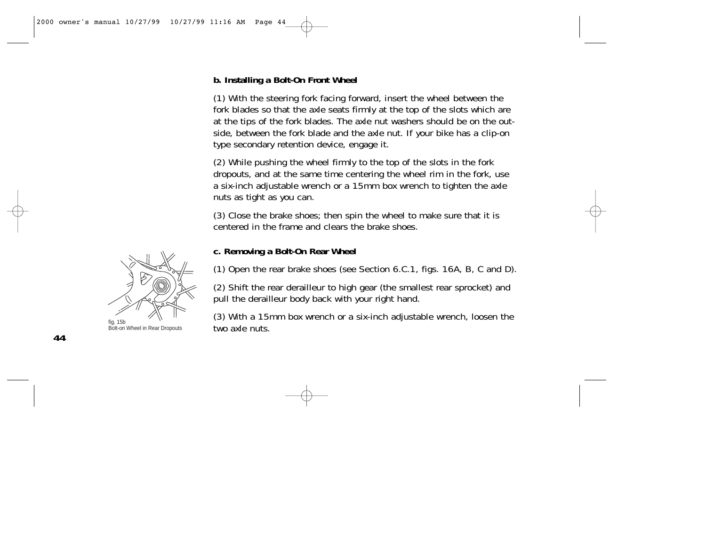# **b. Installing a Bolt-On Front Wheel**

(1) With the steering fork facing forward, insert the wheel between the fork blades so that the axle seats firmly at the top of the slots which are at the tips of the fork blades. The axle nut washers should be on the outside, between the fork blade and the axle nut. If your bike has a clip-on type secondary retention device, engage it.

(2) While pushing the wheel firmly to the top of the slots in the fork dropouts, and at the same time centering the wheel rim in the fork, use a six-inch adjustable wrench or a 15mm box wrench to tighten the axle nuts as tight as you can.

(3) Close the brake shoes; then spin the wheel to make sure that it is centered in the frame and clears the brake shoes.



fig. 15b  $(2)$  must be number of two axiences bott-on Wheel in Rear Dropouts  $\sim$  two axiences  $\sim$  1.115.

### **c. Removing a Bolt-On Rear Wheel**

(1) Open the rear brake shoes (see Section 6.C.1, figs. 16A, B, C and D).

(2) Shift the rear derailleur to high gear (the smallest rear sprocket) and pull the derailleur body back with your right hand.

(3) With a 15mm box wrench or a six-inch adjustable wrench, loosen the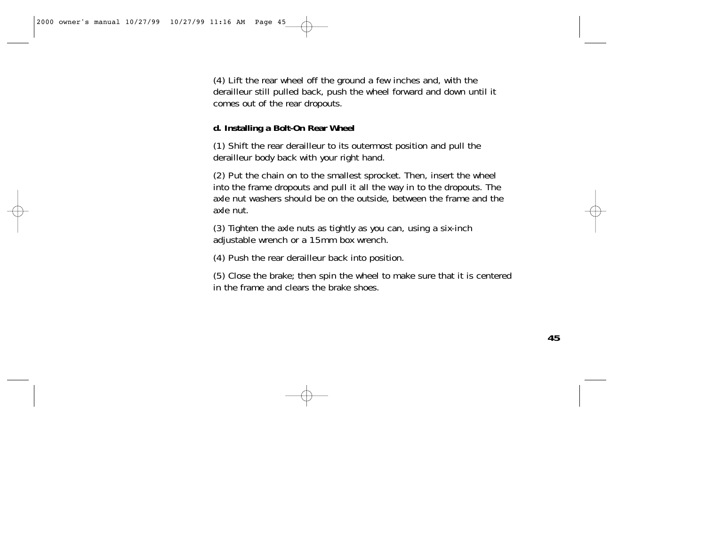(4) Lift the rear wheel off the ground a few inches and, with the derailleur still pulled back, push the wheel forward and down until it comes out of the rear dropouts.

## **d. Installing a Bolt-On Rear Wheel**

(1) Shift the rear derailleur to its outermost position and pull the derailleur body back with your right hand.

(2) Put the chain on to the smallest sprocket. Then, insert the wheel into the frame dropouts and pull it all the way in to the dropouts. The axle nut washers should be on the outside, between the frame and the axle nut.

(3) Tighten the axle nuts as tightly as you can, using a six-inch adjustable wrench or a 15mm box wrench.

(4) Push the rear derailleur back into position.

(5) Close the brake; then spin the wheel to make sure that it is centered in the frame and clears the brake shoes.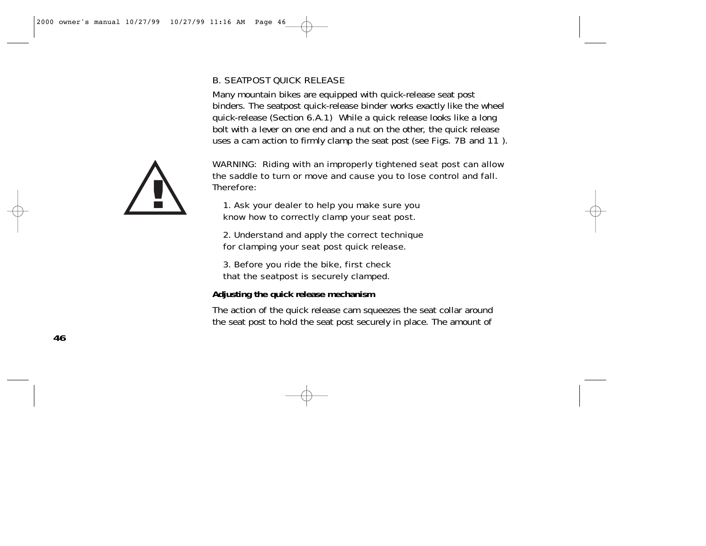# B. SEATPOST QUICK RELEASE

Many mountain bikes are equipped with quick-release seat post binders. The seatpost quick-release binder works exactly like the wheel quick-release (Section 6.A.1) While a quick release looks like a long bolt with a lever on one end and a nut on the other, the quick release uses a cam action to firmly clamp the seat post (see Figs. 7B and 11 ).



WARNING: Riding with an improperly tightened seat post can allow the saddle to turn or move and cause you to lose control and fall. Therefore:

1. Ask your dealer to help you make sure you know how to correctly clamp your seat post.

2. Understand and apply the correct technique for clamping your seat post quick release.

3. Before you ride the bike, first check that the seatpost is securely clamped.

**Adjusting the quick release mechanism**

The action of the quick release cam squeezes the seat collar around the seat post to hold the seat post securely in place. The amount of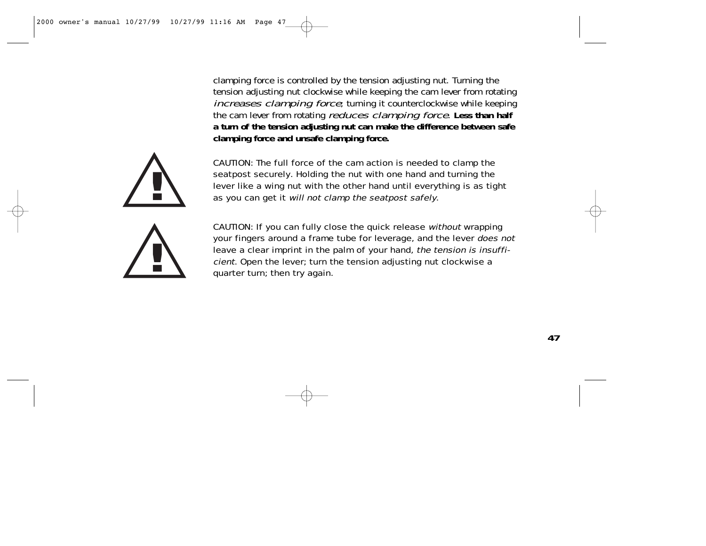clamping force is controlled by the tension adjusting nut. Turning the tension adjusting nut clockwise while keeping the cam lever from rotating increases clamping force; turning it counterclockwise while keeping the cam lever from rotating reduces clamping force. **Less than half a turn of the tension adjusting nut can make the difference between safe clamping force and unsafe clamping force.**



CAUTION: The full force of the cam action is needed to clamp the seatpost securely. Holding the nut with one hand and turning the lever like a wing nut with the other hand until everything is as tight as you can get it will not clamp the seatpost safely.

CAUTION: If you can fully close the quick release without wrapping your fingers around a frame tube for leverage, and the lever does not leave a clear imprint in the palm of your hand, the tension is insufficient. Open the lever; turn the tension adjusting nut clockwise a quarter turn; then try again.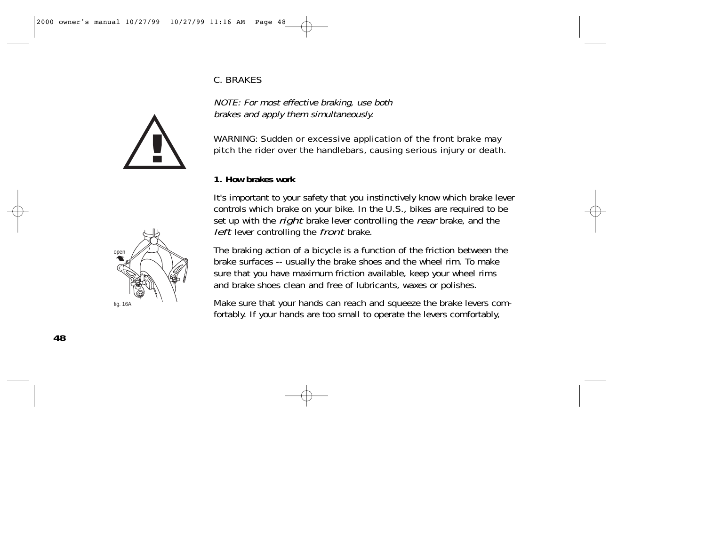# C. BRAKES

NOTE: For most effective braking, use both brakes and apply them simultaneously.



#### **1. How brakes work**

It's important to your safety that you instinctively know which brake lever controls which brake on your bike. In the U.S., bikes are required to be set up with the *right* brake lever controlling the *rear* brake, and the left lever controlling the front brake.

The braking action of a bicycle is a function of the friction between the brake surfaces -- usually the brake shoes and the wheel rim. To make sure that you have maximum friction available, keep your wheel rims and brake shoes clean and free of lubricants, waxes or polishes.

Make sure that your hands can reach and squeeze the brake levers comfortably. If your hands are too small to operate the levers comfortably,



**!**

**48**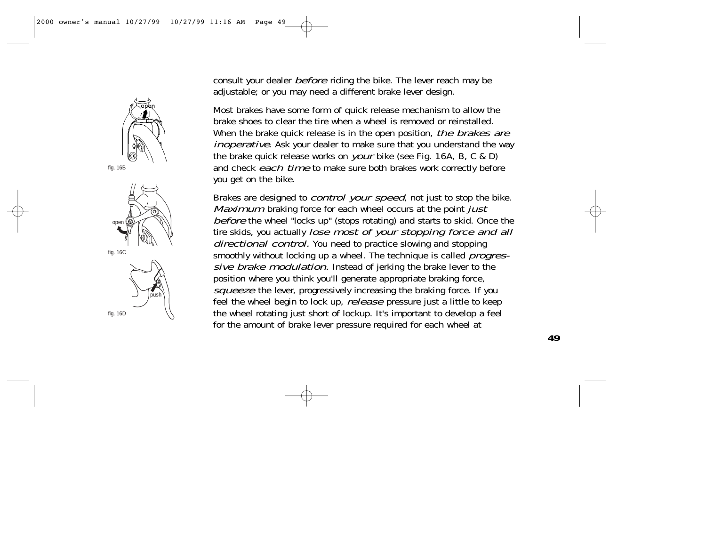

fig. 16C



consult your dealer *before* riding the bike. The lever reach may be adjustable; or you may need a different brake lever design.

Most brakes have some form of quick release mechanism to allow the brake shoes to clear the tire when a wheel is removed or reinstalled. When the brake quick release is in the open position, the brakes are inoperative. Ask your dealer to make sure that you understand the way the brake quick release works on your bike (see Fig. 16A, B, C & D) and check each time to make sure both brakes work correctly before you get on the bike.

Brakes are designed to *control your speed*, not just to stop the bike. Maximum braking force for each wheel occurs at the point just before the wheel "locks up" (stops rotating) and starts to skid. Once the tire skids, you actually *lose most of your stopping force and all* directional control. You need to practice slowing and stopping smoothly without locking up a wheel. The technique is called *progres*sive brake modulation. Instead of jerking the brake lever to the position where you think you'll generate appropriate braking force, squeeze the lever, progressively increasing the braking force. If you feel the wheel begin to lock up, *release* pressure just a little to keep the wheel rotating just short of lockup. It's important to develop a feel for the amount of brake lever pressure required for each wheel at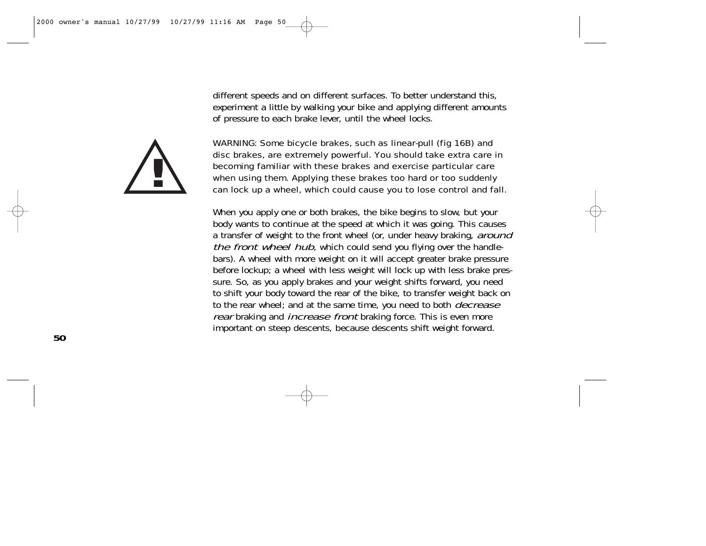different speeds and on different surfaces. To better understand this, experiment a little by walking your bike and applying different amounts of pressure to each brake lever, until the wheel locks.



WARNING: Some bicycle brakes, such as linear-pull (fig 16B) and disc brakes, are extremely powerful. You should take extra care in becoming familiar with these brakes and exercise particular care when using them. Applying these brakes too hard or too suddenly can lock up a wheel, which could cause you to lose control and fall.

When you apply one or both brakes, the bike begins to slow, but your body wants to continue at the speed at which it was going. This causes a transfer of weight to the front wheel (or, under heavy braking, around the front wheel hub, which could send you flying over the handlebars). A wheel with more weight on it will accept greater brake pressure before lockup; a wheel with less weight will lock up with less brake pressure. So, as you apply brakes and your weight shifts forward, you need to shift your body toward the rear of the bike, to transfer weight back on to the rear wheel; and at the same time, you need to both *decrease* rear braking and *increase front* braking force. This is even more important on steep descents, because descents shift weight forward.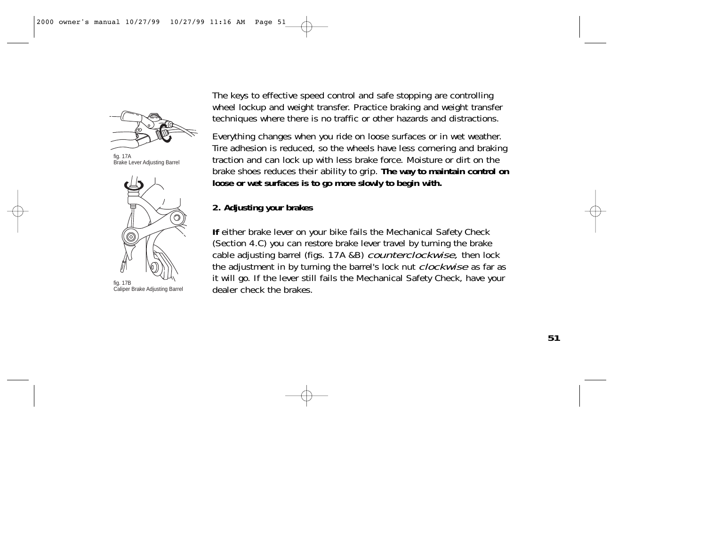

fig. 17A Brake Lever Adjusting Barrel



fig. 17B Caliper Brake Adjusting Barrel

The keys to effective speed control and safe stopping are controlling wheel lockup and weight transfer. Practice braking and weight transfer techniques where there is no traffic or other hazards and distractions.

Everything changes when you ride on loose surfaces or in wet weather. Tire adhesion is reduced, so the wheels have less cornering and braking traction and can lock up with less brake force. Moisture or dirt on the brake shoes reduces their ability to grip. **The way to maintain control on loose or wet surfaces is to go more slowly to begin with.**

# **2. Adjusting your brakes**

**If** either brake lever on your bike fails the Mechanical Safety Check (Section 4.C) you can restore brake lever travel by turning the brake cable adjusting barrel (figs. 17A &B) counterclockwise, then lock the adjustment in by turning the barrel's lock nut *clockwise* as far as it will go. If the lever still fails the Mechanical Safety Check, have your dealer check the brakes.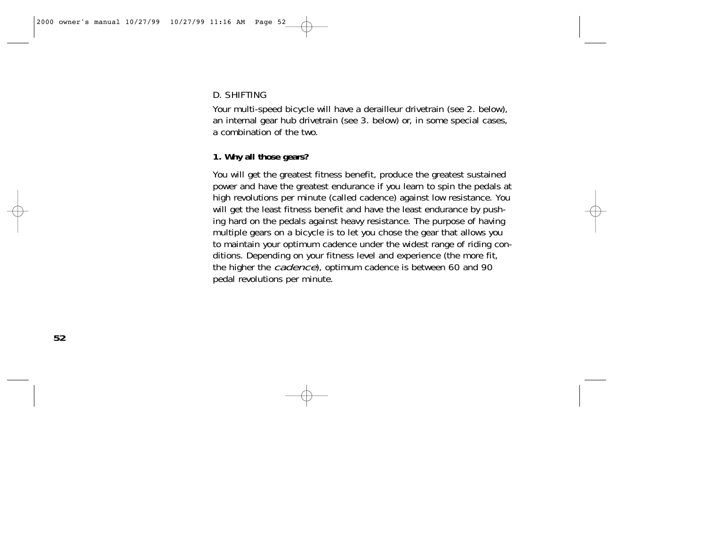# D. SHIFTING

Your multi-speed bicycle will have a derailleur drivetrain (see 2. below), an internal gear hub drivetrain (see 3. below) or, in some special cases, a combination of the two.

# **1. Why all those gears?**

You will get the greatest fitness benefit, produce the greatest sustained power and have the greatest endurance if you learn to spin the pedals at high revolutions per minute (called cadence) against low resistance. You will get the least fitness benefit and have the least endurance by pushing hard on the pedals against heavy resistance. The purpose of having multiple gears on a bicycle is to let you chose the gear that allows you to maintain your optimum cadence under the widest range of riding conditions. Depending on your fitness level and experience (the more fit, the higher the cadence), optimum cadence is between 60 and 90 pedal revolutions per minute.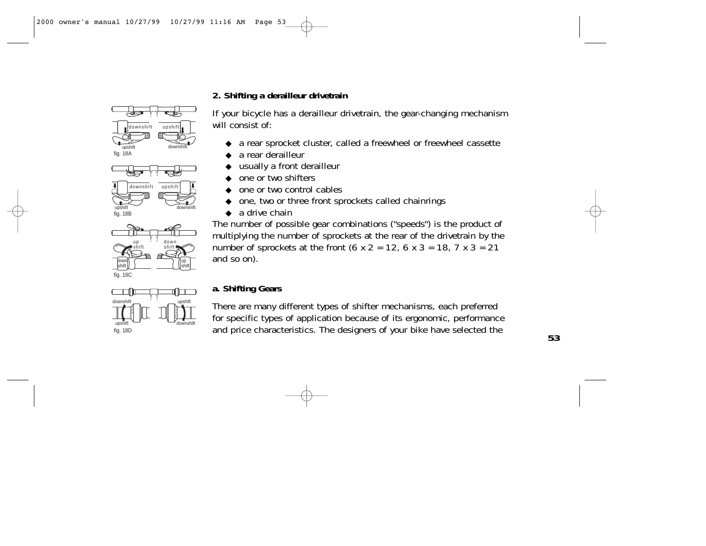# **2. Shifting a derailleur drivetrain**











If your bicycle has a derailleur drivetrain, the gear-changing mechanism

- a rear sprocket cluster, called a freewheel or freewheel cassette
- a rear derailleur

will consist of:

- usually a front derailleur
- one or two shifters
- one or two control cables
- one, two or three front sprockets called chainrings
- $\bullet$  a drive chain

The number of possible gear combinations ("speeds") is the product of multiplying the number of sprockets at the rear of the drivetrain by the number of sprockets at the front (6 x 2 = 12, 6 x 3 = 18, 7 x 3 = 21 and so on).

# **a. Shifting Gears**

There are many different types of shifter mechanisms, each preferred for specific types of application because of its ergonomic, performance and price characteristics. The designers of your bike have selected the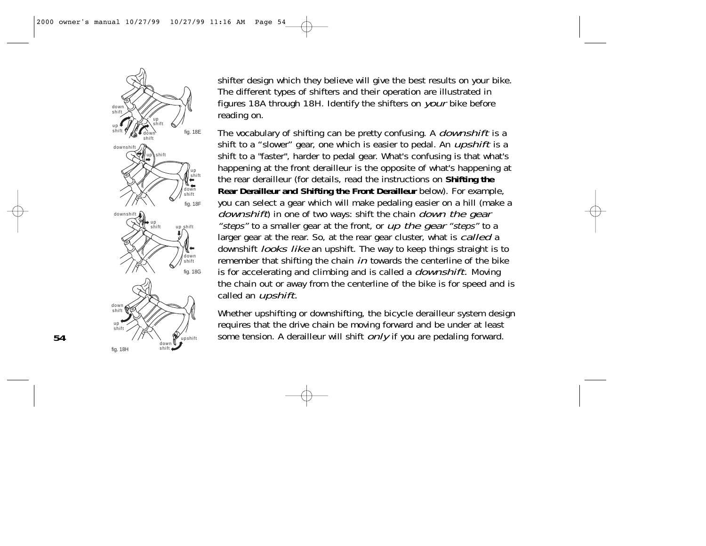

shifter design which they believe will give the best results on your bike. The different types of shifters and their operation are illustrated in figures 18A through 18H. Identify the shifters on your bike before reading on.

The vocabulary of shifting can be pretty confusing. A *downshift* is a shift to a "slower" gear, one which is easier to pedal. An *upshift* is a shift to a "faster", harder to pedal gear. What's confusing is that what's happening at the front derailleur is the opposite of what's happening at the rear derailleur (for details, read the instructions on **Shifting the Rear Derailleur and Shifting the Front Derailleur** below). For example, you can select a gear which will make pedaling easier on a hill (make a downshift) in one of two ways: shift the chain down the gear "steps" to a smaller gear at the front, or up the gear "steps" to a larger gear at the rear. So, at the rear gear cluster, what is *called* a downshift *looks like* an upshift. The way to keep things straight is to remember that shifting the chain  $in$  towards the centerline of the bike is for accelerating and climbing and is called a *downshift*. Moving the chain out or away from the centerline of the bike is for speed and is called an *upshift*.

Whether upshifting or downshifting, the bicycle derailleur system design requires that the drive chain be moving forward and be under at least some tension. A derailleur will shift *only* if you are pedaling forward.

**54**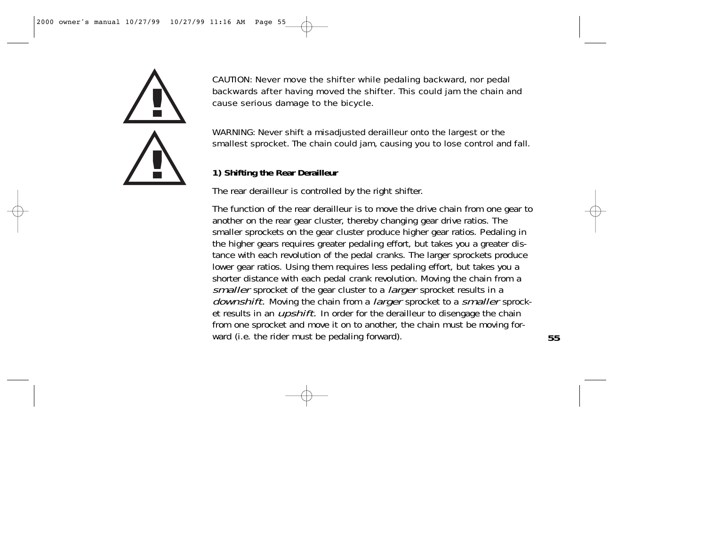

CAUTION: Never move the shifter while pedaling backward, nor pedal backwards after having moved the shifter. This could jam the chain and cause serious damage to the bicycle.

WARNING: Never shift a misadjusted derailleur onto the largest or the smallest sprocket. The chain could jam, causing you to lose control and fall.

# **1) Shifting the Rear Derailleur**

The rear derailleur is controlled by the right shifter.

The function of the rear derailleur is to move the drive chain from one gear to another on the rear gear cluster, thereby changing gear drive ratios. The smaller sprockets on the gear cluster produce higher gear ratios. Pedaling in the higher gears requires greater pedaling effort, but takes you a greater distance with each revolution of the pedal cranks. The larger sprockets produce lower gear ratios. Using them requires less pedaling effort, but takes you a shorter distance with each pedal crank revolution. Moving the chain from a smaller sprocket of the gear cluster to a *larger* sprocket results in a downshift. Moving the chain from a *larger* sprocket to a smaller sprocket results in an *upshift*. In order for the derailleur to disengage the chain from one sprocket and move it on to another, the chain must be moving forward (i.e. the rider must be pedaling forward).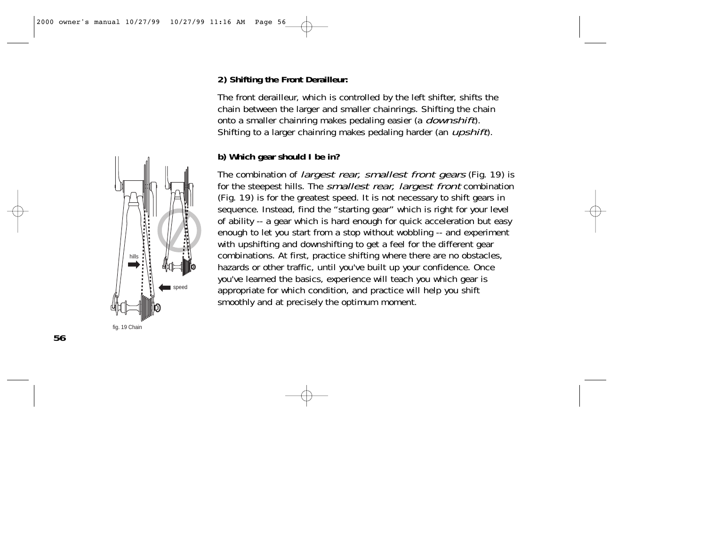## **2) Shifting the Front Derailleur:**

The front derailleur, which is controlled by the left shifter, shifts the chain between the larger and smaller chainrings. Shifting the chain onto a smaller chainring makes pedaling easier (a *downshift*). Shifting to a larger chainring makes pedaling harder (an *upshift*).

# **b) Which gear should I be in?**

The combination of *largest rear, smallest front gears* (Fig. 19) is for the steepest hills. The *smallest rear, largest front* combination (Fig. 19) is for the greatest speed. It is not necessary to shift gears in sequence. Instead, find the "starting gear" which is right for your level of ability -- a gear which is hard enough for quick acceleration but easy enough to let you start from a stop without wobbling -- and experiment with upshifting and downshifting to get a feel for the different gear combinations. At first, practice shifting where there are no obstacles, hazards or other traffic, until you've built up your confidence. Once you've learned the basics, experience will teach you which gear is appropriate for which condition, and practice will help you shift smoothly and at precisely the optimum moment.

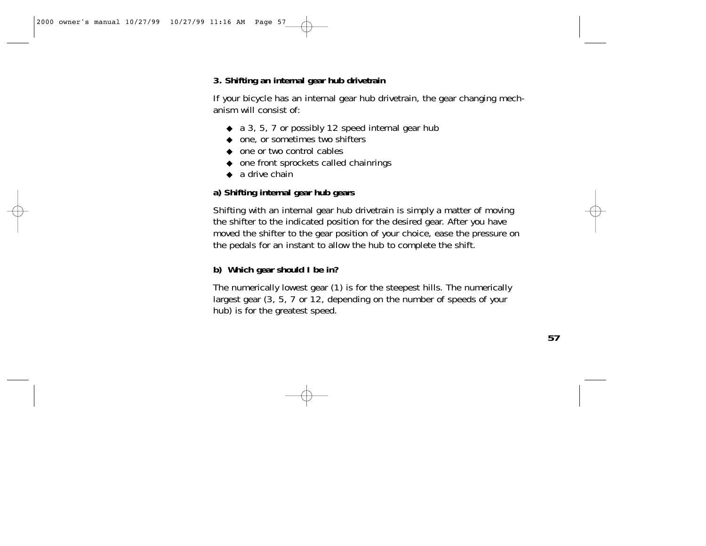# **3. Shifting an internal gear hub drivetrain**

If your bicycle has an internal gear hub drivetrain, the gear changing mechanism will consist of:

- ◆ a 3, 5, 7 or possibly 12 speed internal gear hub
- ◆ one, or sometimes two shifters
- ◆ one or two control cables
- ◆ one front sprockets called chainrings
- $\bullet$  a drive chain

## **a) Shifting internal gear hub gears**

Shifting with an internal gear hub drivetrain is simply a matter of moving the shifter to the indicated position for the desired gear. After you have moved the shifter to the gear position of your choice, ease the pressure on the pedals for an instant to allow the hub to complete the shift.

# **b) Which gear should I be in?**

The numerically lowest gear (1) is for the steepest hills. The numerically largest gear (3, 5, 7 or 12, depending on the number of speeds of your hub) is for the greatest speed.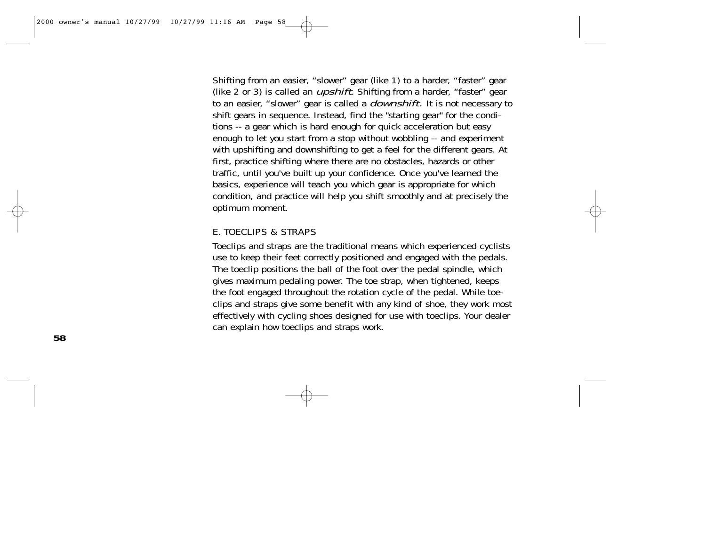Shifting from an easier, "slower" gear (like 1) to a harder, "faster" gear (like 2 or 3) is called an *upshift*. Shifting from a harder, "faster" gear to an easier, "slower" gear is called a *downshift*. It is not necessary to shift gears in sequence. Instead, find the "starting gear" for the conditions -- a gear which is hard enough for quick acceleration but easy enough to let you start from a stop without wobbling -- and experiment with upshifting and downshifting to get a feel for the different gears. At first, practice shifting where there are no obstacles, hazards or other traffic, until you've built up your confidence. Once you've learned the basics, experience will teach you which gear is appropriate for which condition, and practice will help you shift smoothly and at precisely the optimum moment.

#### E. TOECLIPS & STRAPS

Toeclips and straps are the traditional means which experienced cyclists use to keep their feet correctly positioned and engaged with the pedals. The toeclip positions the ball of the foot over the pedal spindle, which gives maximum pedaling power. The toe strap, when tightened, keeps the foot engaged throughout the rotation cycle of the pedal. While toeclips and straps give some benefit with any kind of shoe, they work most effectively with cycling shoes designed for use with toeclips. Your dealer can explain how toeclips and straps work.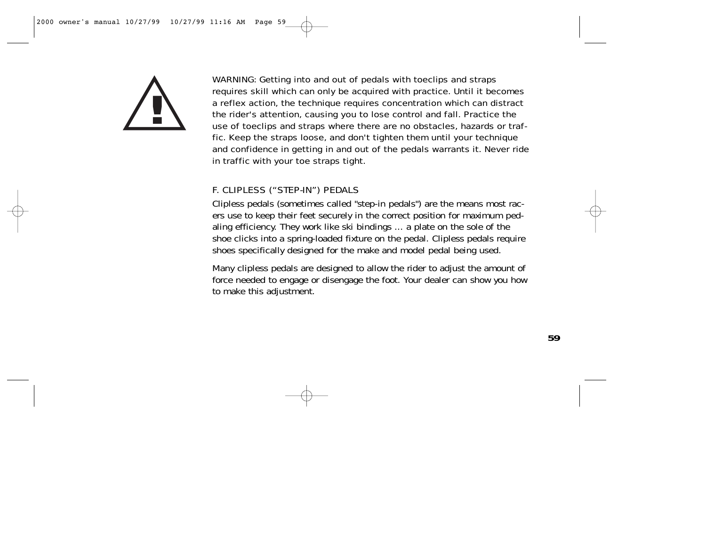

WARNING: Getting into and out of pedals with toeclips and straps requires skill which can only be acquired with practice. Until it becomes a reflex action, the technique requires concentration which can distract the rider's attention, causing you to lose control and fall. Practice the use of toeclips and straps where there are no obstacles, hazards or traffic. Keep the straps loose, and don't tighten them until your technique and confidence in getting in and out of the pedals warrants it. Never ride in traffic with your toe straps tight.

# F. CLIPLESS ("STEP-IN") PEDALS

Clipless pedals (sometimes called "step-in pedals") are the means most racers use to keep their feet securely in the correct position for maximum pedaling efficiency. They work like ski bindings ... a plate on the sole of the shoe clicks into a spring-loaded fixture on the pedal. Clipless pedals require shoes specifically designed for the make and model pedal being used.

Many clipless pedals are designed to allow the rider to adjust the amount of force needed to engage or disengage the foot. Your dealer can show you how to make this adjustment.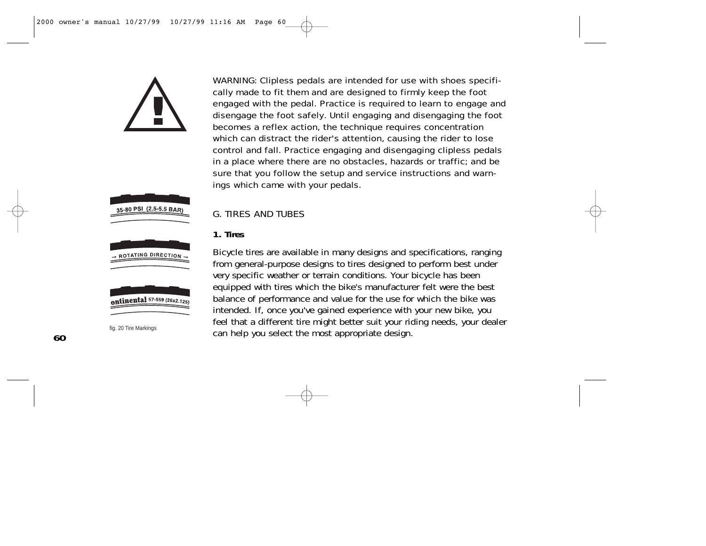







WARNING: Clipless pedals are intended for use with shoes specifically made to fit them and are designed to firmly keep the foot engaged with the pedal. Practice is required to learn to engage and disengage the foot safely. Until engaging and disengaging the foot becomes a reflex action, the technique requires concentration which can distract the rider's attention, causing the rider to lose control and fall. Practice engaging and disengaging clipless pedals in a place where there are no obstacles, hazards or traffic; and be sure that you follow the setup and service instructions and warnings which came with your pedals.

#### G. TIRES AND TUBES

### **1. Tires**

Bicycle tires are available in many designs and specifications, ranging from general-purpose designs to tires designed to perform best under very specific weather or terrain conditions. Your bicycle has been equipped with tires which the bike's manufacturer felt were the best balance of performance and value for the use for which the bike was intended. If, once you've gained experience with your new bike, you feel that a different tire might better suit your riding needs, your dealer fig. 20 Tire Markings<br>Can help you select the most appropriate design.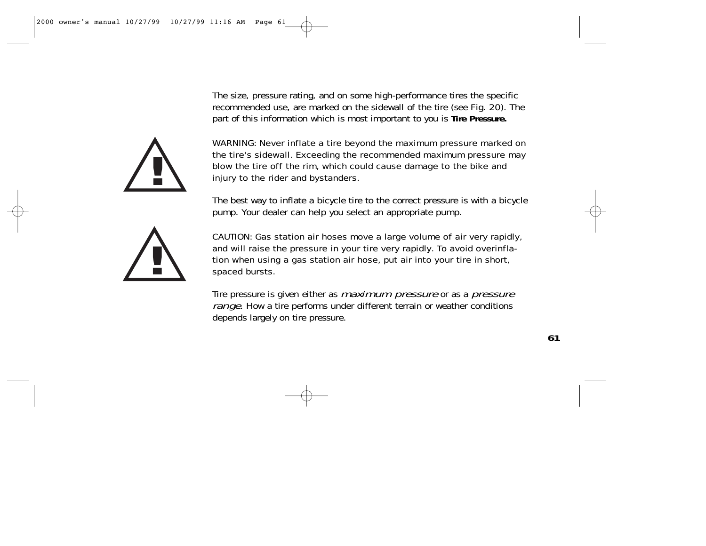The size, pressure rating, and on some high-performance tires the specific recommended use, are marked on the sidewall of the tire (see Fig. 20). The part of this information which is most important to you is **Tire Pressure.**



WARNING: Never inflate a tire beyond the maximum pressure marked on the tire's sidewall. Exceeding the recommended maximum pressure may blow the tire off the rim, which could cause damage to the bike and injury to the rider and bystanders.

The best way to inflate a bicycle tire to the correct pressure is with a bicycle pump. Your dealer can help you select an appropriate pump.



CAUTION: Gas station air hoses move a large volume of air very rapidly, and will raise the pressure in your tire very rapidly. To avoid overinflation when using a gas station air hose, put air into your tire in short, spaced bursts.

Tire pressure is given either as *maximum pressure* or as a *pressure* range. How a tire performs under different terrain or weather conditions depends largely on tire pressure.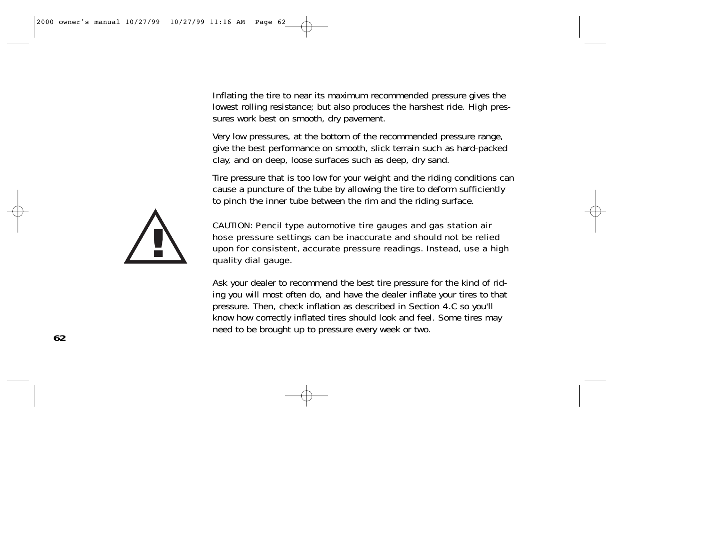Inflating the tire to near its maximum recommended pressure gives the lowest rolling resistance; but also produces the harshest ride. High pressures work best on smooth, dry pavement.

Very low pressures, at the bottom of the recommended pressure range, give the best performance on smooth, slick terrain such as hard-packed clay, and on deep, loose surfaces such as deep, dry sand.

Tire pressure that is too low for your weight and the riding conditions can cause a puncture of the tube by allowing the tire to deform sufficiently to pinch the inner tube between the rim and the riding surface.



CAUTION: Pencil type automotive tire gauges and gas station air hose pressure settings can be inaccurate and should not be relied upon for consistent, accurate pressure readings. Instead, use a high quality dial gauge.

Ask your dealer to recommend the best tire pressure for the kind of riding you will most often do, and have the dealer inflate your tires to that pressure. Then, check inflation as described in Section 4.C so you'll know how correctly inflated tires should look and feel. Some tires may need to be brought up to pressure every week or two.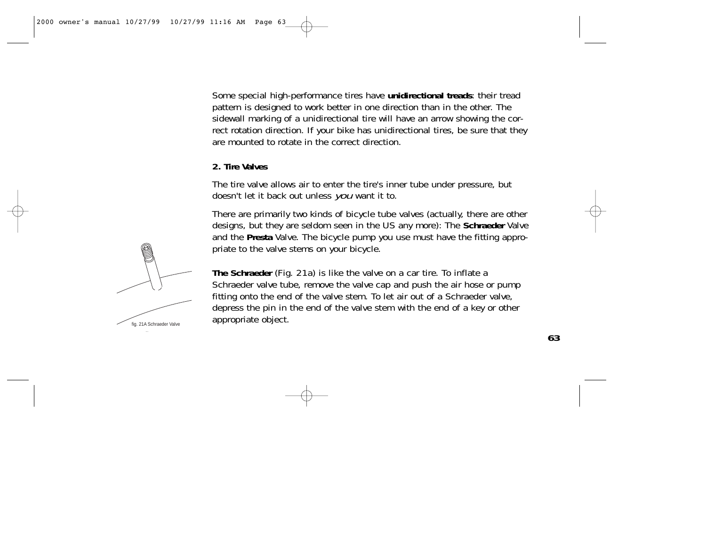Some special high-performance tires have **unidirectional treads**: their tread pattern is designed to work better in one direction than in the other. The sidewall marking of a unidirectional tire will have an arrow showing the correct rotation direction. If your bike has unidirectional tires, be sure that they are mounted to rotate in the correct direction.

#### **2. Tire Valves**

The tire valve allows air to enter the tire's inner tube under pressure, but doesn't let it back out unless you want it to.

There are primarily two kinds of bicycle tube valves (actually, there are other designs, but they are seldom seen in the US any more): The **Schraeder** Valve and the **Presta** Valve. The bicycle pump you use must have the fitting appropriate to the valve stems on your bicycle.



**The Schraeder** (Fig. 21a) is like the valve on a car tire. To inflate a Schraeder valve tube, remove the valve cap and push the air hose or pump fitting onto the end of the valve stem. To let air out of a Schraeder valve, depress the pin in the end of the valve stem with the end of a key or other appropriate object.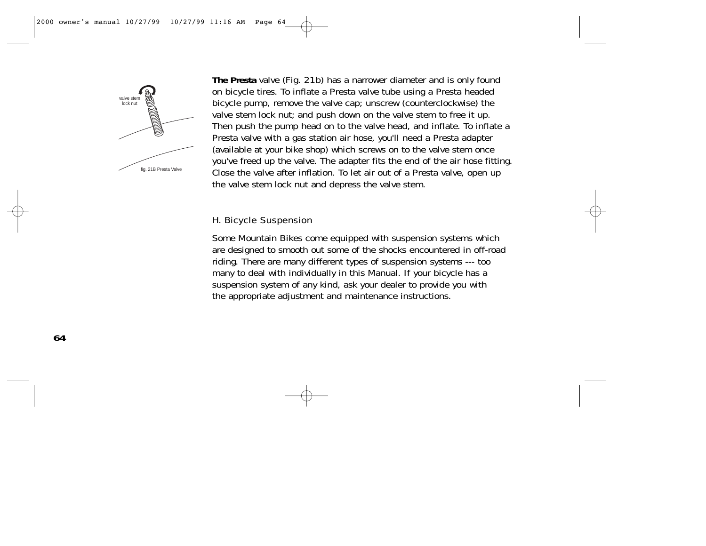

**The Presta** valve (Fig. 21b) has a narrower diameter and is only found on bicycle tires. To inflate a Presta valve tube using a Presta headed bicycle pump, remove the valve cap; unscrew (counterclockwise) the valve stem lock nut; and push down on the valve stem to free it up. Then push the pump head on to the valve head, and inflate. To inflate a Presta valve with a gas station air hose, you'll need a Presta adapter (available at your bike shop) which screws on to the valve stem once you've freed up the valve. The adapter fits the end of the air hose fitting. Close the valve after inflation. To let air out of a Presta valve, open up the valve stem lock nut and depress the valve stem.

#### H. Bicycle Suspension

Some Mountain Bikes come equipped with suspension systems which are designed to smooth out some of the shocks encountered in off-road riding. There are many different types of suspension systems --- too many to deal with individually in this Manual. If your bicycle has a suspension system of any kind, ask your dealer to provide you with the appropriate adjustment and maintenance instructions.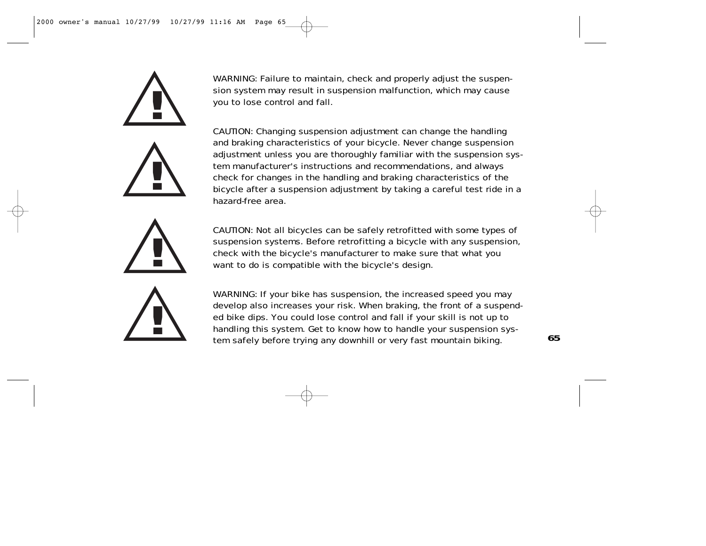







WARNING: Failure to maintain, check and properly adjust the suspension system may result in suspension malfunction, which may cause you to lose control and fall.

CAUTION: Changing suspension adjustment can change the handling and braking characteristics of your bicycle. Never change suspension adjustment unless you are thoroughly familiar with the suspension system manufacturer's instructions and recommendations, and always check for changes in the handling and braking characteristics of the bicycle after a suspension adjustment by taking a careful test ride in a hazard-free area.

CAUTION: Not all bicycles can be safely retrofitted with some types of suspension systems. Before retrofitting a bicycle with any suspension, check with the bicycle's manufacturer to make sure that what you want to do is compatible with the bicycle's design.

WARNING: If your bike has suspension, the increased speed you may develop also increases your risk. When braking, the front of a suspended bike dips. You could lose control and fall if your skill is not up to handling this system. Get to know how to handle your suspension system safely before trying any downhill or very fast mountain biking. **<sup>65</sup>**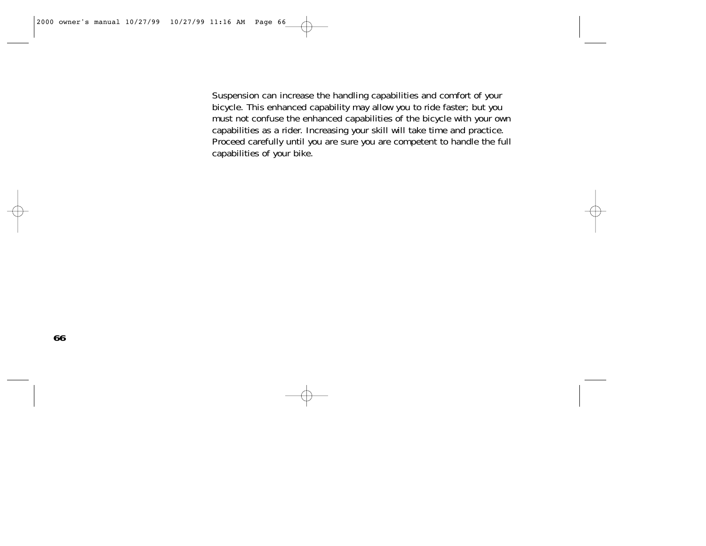Suspension can increase the handling capabilities and comfort of your bicycle. This enhanced capability may allow you to ride faster; but you must not confuse the enhanced capabilities of the bicycle with your own capabilities as a rider. Increasing your skill will take time and practice. Proceed carefully until you are sure you are competent to handle the full capabilities of your bike.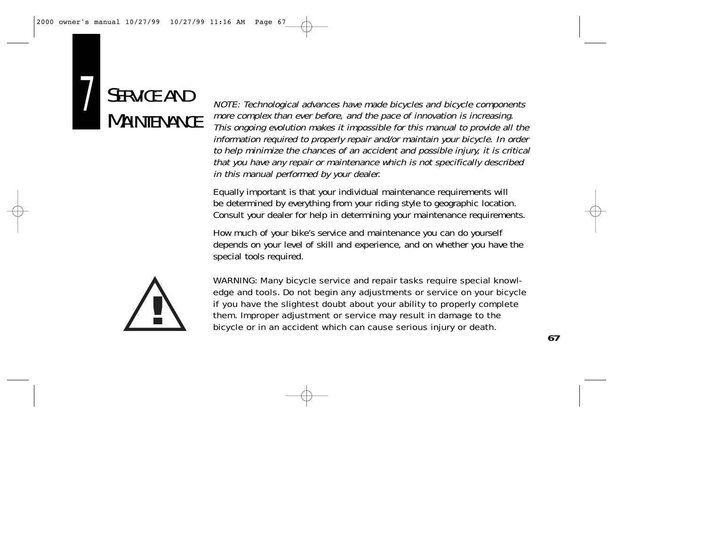

NOTE: Technological advances have made bicycles and bicycle components more complex than ever before, and the pace of innovation is increasing. This ongoing evolution makes it impossible for this manual to provide all the information required to properly repair and/or maintain your bicycle. In order to help minimize the chances of an accident and possible injury, it is critical that you have any repair or maintenance which is not specifically described in this manual performed by your dealer.

Equally important is that your individual maintenance requirements will be determined by everything from your riding style to geographic location. Consult your dealer for help in determining your maintenance requirements.

How much of your bike's service and maintenance you can do yourself depends on your level of skill and experience, and on whether you have the special tools required.



WARNING: Many bicycle service and repair tasks require special knowledge and tools. Do not begin any adjustments or service on your bicycle if you have the slightest doubt about your ability to properly complete them. Improper adjustment or service may result in damage to the bicycle or in an accident which can cause serious injury or death.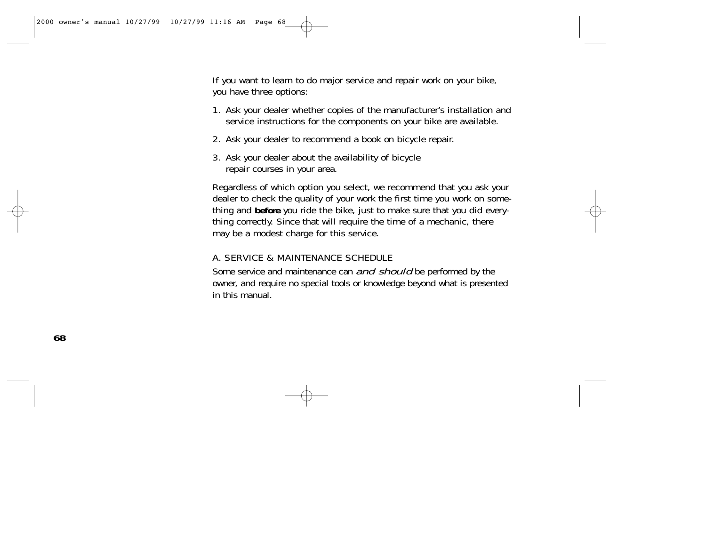If you want to learn to do major service and repair work on your bike, you have three options:

- 1. Ask your dealer whether copies of the manufacturer's installation and service instructions for the components on your bike are available.
- 2. Ask your dealer to recommend a book on bicycle repair.
- 3. Ask your dealer about the availability of bicycle repair courses in your area.

Regardless of which option you select, we recommend that you ask your dealer to check the quality of your work the first time you work on something and **before** you ride the bike, just to make sure that you did everything correctly. Since that will require the time of a mechanic, there may be a modest charge for this service.

### A. SERVICE & MAINTENANCE SCHEDULE

Some service and maintenance can *and should* be performed by the owner, and require no special tools or knowledge beyond what is presented in this manual.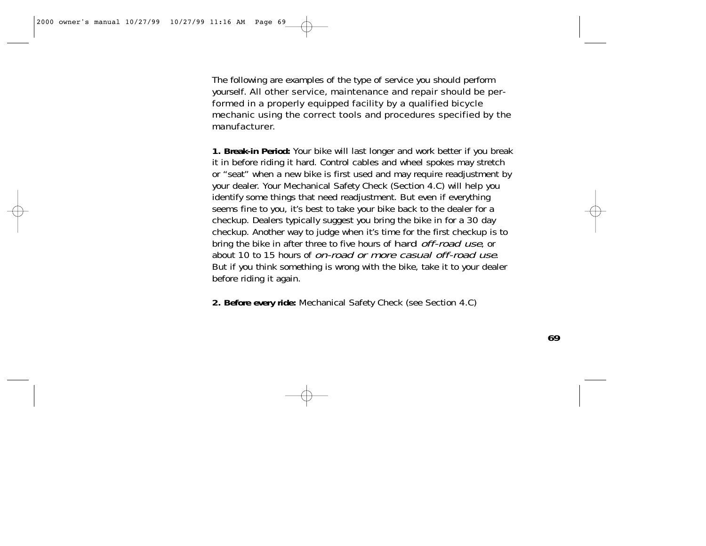The following are examples of the type of service you should perform yourself. All other service, maintenance and repair should be performed in a properly equipped facility by a qualified bicycle mechanic using the correct tools and procedures specified by the manufacturer.

**1. Break-in Period:** Your bike will last longer and work better if you break it in before riding it hard. Control cables and wheel spokes may stretch or "seat" when a new bike is first used and may require readjustment by your dealer. Your Mechanical Safety Check (Section 4.C) will help you identify some things that need readjustment. But even if everything seems fine to you, it's best to take your bike back to the dealer for a checkup. Dealers typically suggest you bring the bike in for a 30 day checkup. Another way to judge when it's time for the first checkup is to bring the bike in after three to five hours of hard *off-road use*, or about 10 to 15 hours of on-road or more casual off-road use. But if you think something is wrong with the bike, take it to your dealer before riding it again.

**2. Before every ride:** Mechanical Safety Check (see Section 4.C)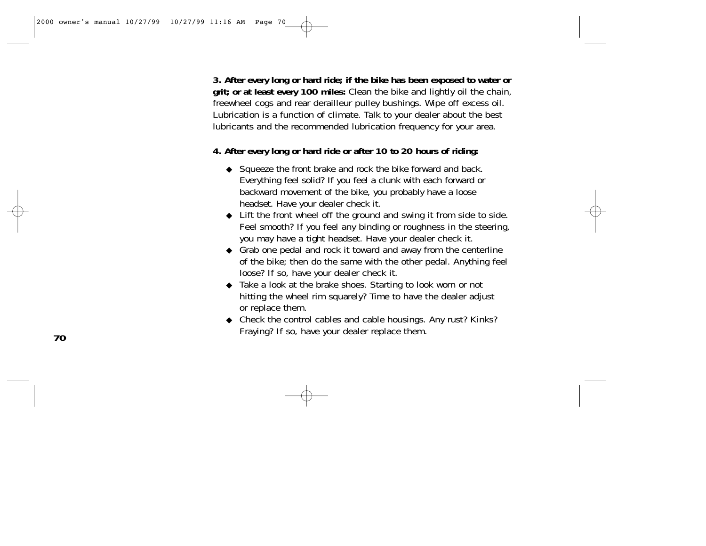**3. After every long or hard ride; if the bike has been exposed to water or grit; or at least every 100 miles:** Clean the bike and lightly oil the chain, freewheel cogs and rear derailleur pulley bushings. Wipe off excess oil. Lubrication is a function of climate. Talk to your dealer about the best lubricants and the recommended lubrication frequency for your area.

#### **4. After every long or hard ride or after 10 to 20 hours of riding:**

- ◆ Squeeze the front brake and rock the bike forward and back. Everything feel solid? If you feel a clunk with each forward or backward movement of the bike, you probably have a loose headset. Have your dealer check it.
- ◆ Lift the front wheel off the ground and swing it from side to side. Feel smooth? If you feel any binding or roughness in the steering, you may have a tight headset. Have your dealer check it.
- ◆ Grab one pedal and rock it toward and away from the centerline of the bike; then do the same with the other pedal. Anything feel loose? If so, have your dealer check it.
- ◆ Take a look at the brake shoes. Starting to look worn or not hitting the wheel rim squarely? Time to have the dealer adjust or replace them.
- ◆ Check the control cables and cable housings. Any rust? Kinks? Fraying? If so, have your dealer replace them.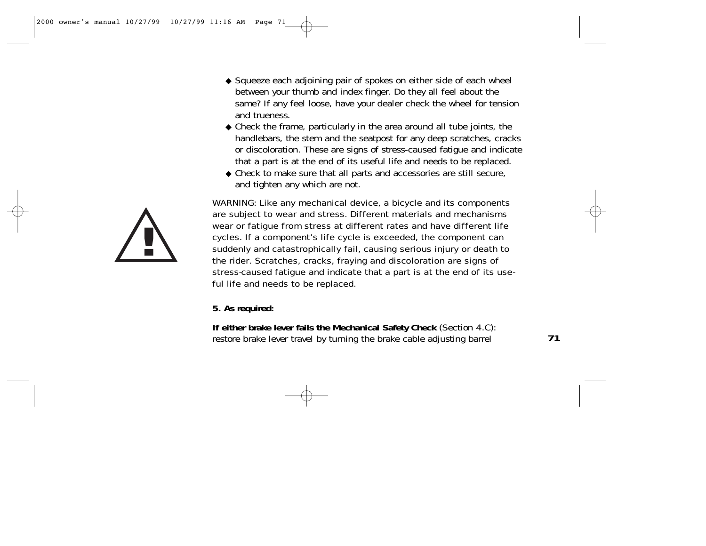- ◆ Squeeze each adjoining pair of spokes on either side of each wheel between your thumb and index finger. Do they all feel about the same? If any feel loose, have your dealer check the wheel for tension and trueness.
- ◆ Check the frame, particularly in the area around all tube joints, the handlebars, the stem and the seatpost for any deep scratches, cracks or discoloration. These are signs of stress-caused fatigue and indicate that a part is at the end of its useful life and needs to be replaced.
- ◆ Check to make sure that all parts and accessories are still secure, and tighten any which are not.

WARNING: Like any mechanical device, a bicycle and its components are subject to wear and stress. Different materials and mechanisms wear or fatigue from stress at different rates and have different life cycles. If a component's life cycle is exceeded, the component can suddenly and catastrophically fail, causing serious injury or death to the rider. Scratches, cracks, fraying and discoloration are signs of stress-caused fatigue and indicate that a part is at the end of its useful life and needs to be replaced.

**5. As required:**

**If either brake lever fails the Mechanical Safety Check** (Section 4.C): restore brake lever travel by turning the brake cable adjusting barrel

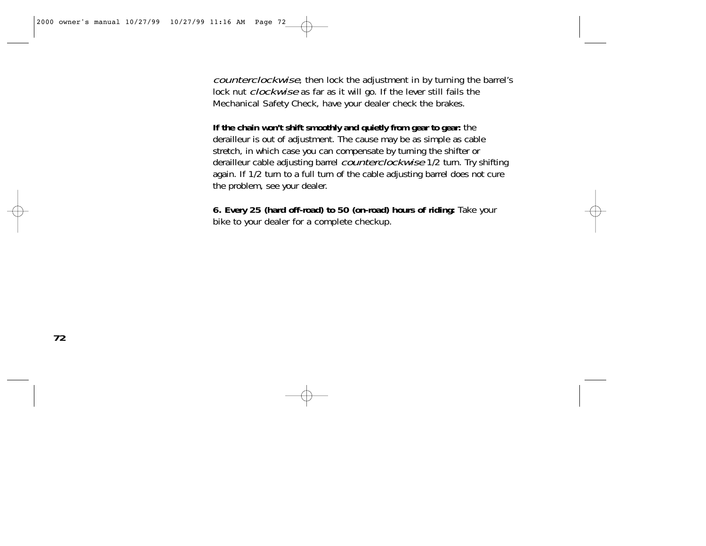counterclockwise, then lock the adjustment in by turning the barrel's lock nut *clockwise* as far as it will go. If the lever still fails the Mechanical Safety Check, have your dealer check the brakes.

**If the chain won't shift smoothly and quietly from gear to gear:** the derailleur is out of adjustment. The cause may be as simple as cable stretch, in which case you can compensate by turning the shifter or derailleur cable adjusting barrel *counterclockwise* 1/2 turn. Try shifting again. If 1/2 turn to a full turn of the cable adjusting barrel does not cure the problem, see your dealer.

**6. Every 25 (hard off-road) to 50 (on-road) hours of riding:** Take your bike to your dealer for a complete checkup.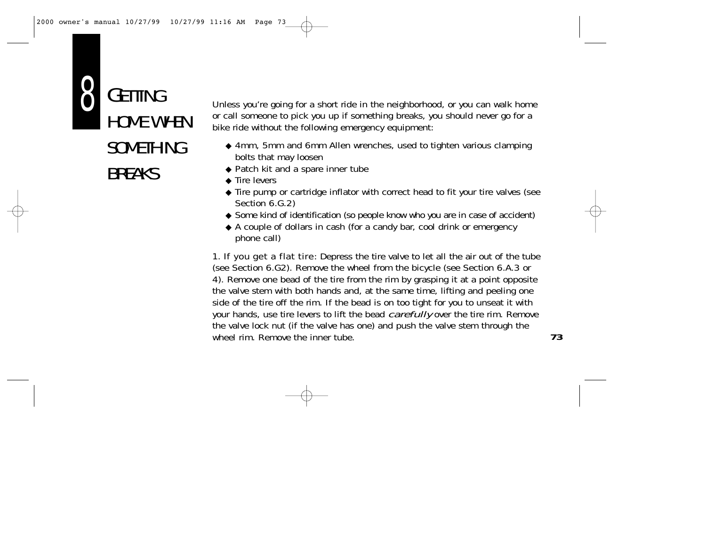

Unless you're going for a short ride in the neighborhood, or you can walk home or call someone to pick you up if something breaks, you should never go for a bike ride without the following emergency equipment:

- ◆ 4mm, 5mm and 6mm Allen wrenches, used to tighten various clamping bolts that may loosen
- ◆ Patch kit and a spare inner tube
- ◆ Tire levers
- ◆ Tire pump or cartridge inflator with correct head to fit your tire valves (see Section 6.G.2)
- ◆ Some kind of identification (so people know who you are in case of accident)
- ◆ A couple of dollars in cash (for a candy bar, cool drink or emergency phone call)

**1. If you get a flat tire**: Depress the tire valve to let all the air out of the tube (see Section 6.G2). Remove the wheel from the bicycle (see Section 6.A.3 or 4). Remove one bead of the tire from the rim by grasping it at a point opposite the valve stem with both hands and, at the same time, lifting and peeling one side of the tire off the rim. If the bead is on too tight for you to unseat it with your hands, use tire levers to lift the bead *carefully* over the tire rim. Remove the valve lock nut (if the valve has one) and push the valve stem through the wheel rim. Remove the inner tube.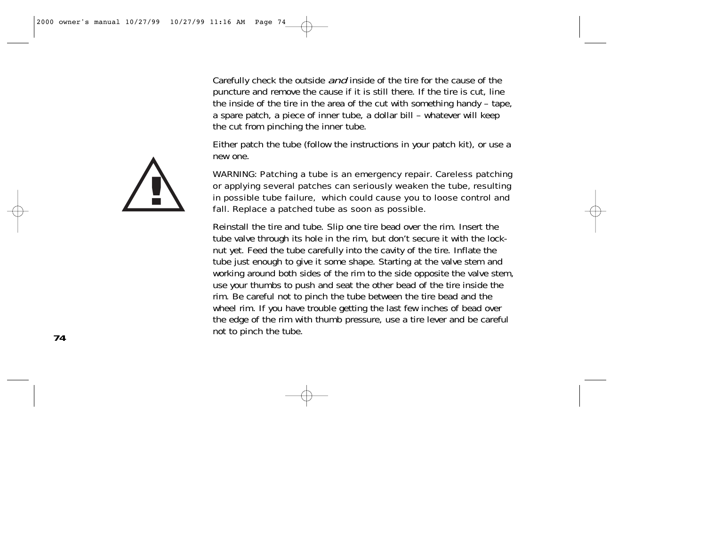Carefully check the outside *and* inside of the tire for the cause of the puncture and remove the cause if it is still there. If the tire is cut, line the inside of the tire in the area of the cut with something handy – tape, a spare patch, a piece of inner tube, a dollar bill – whatever will keep the cut from pinching the inner tube.

Either patch the tube (follow the instructions in your patch kit), or use a new one.

WARNING: Patching a tube is an emergency repair. Careless patching or applying several patches can seriously weaken the tube, resulting in possible tube failure, which could cause you to loose control and fall. Replace a patched tube as soon as possible.

Reinstall the tire and tube. Slip one tire bead over the rim. Insert the tube valve through its hole in the rim, but don't secure it with the locknut yet. Feed the tube carefully into the cavity of the tire. Inflate the tube just enough to give it some shape. Starting at the valve stem and working around both sides of the rim to the side opposite the valve stem, use your thumbs to push and seat the other bead of the tire inside the rim. Be careful not to pinch the tube between the tire bead and the wheel rim. If you have trouble getting the last few inches of bead over the edge of the rim with thumb pressure, use a tire lever and be careful not to pinch the tube.

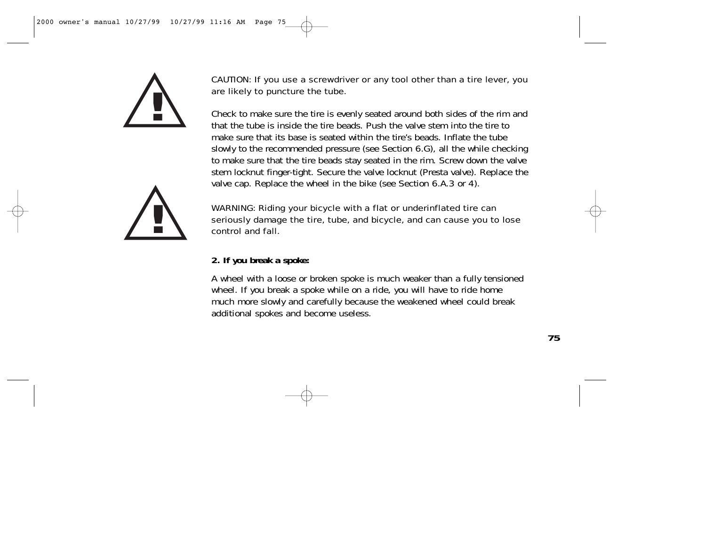



Check to make sure the tire is evenly seated around both sides of the rim and that the tube is inside the tire beads. Push the valve stem into the tire to make sure that its base is seated within the tire's beads. Inflate the tube slowly to the recommended pressure (see Section 6.G), all the while checking to make sure that the tire beads stay seated in the rim. Screw down the valve stem locknut finger-tight. Secure the valve locknut (Presta valve). Replace the valve cap. Replace the wheel in the bike (see Section 6.A.3 or 4).



WARNING: Riding your bicycle with a flat or underinflated tire can seriously damage the tire, tube, and bicycle, and can cause you to lose control and fall.

## **2. If you break a spoke:**

A wheel with a loose or broken spoke is much weaker than a fully tensioned wheel. If you break a spoke while on a ride, you will have to ride home much more slowly and carefully because the weakened wheel could break additional spokes and become useless.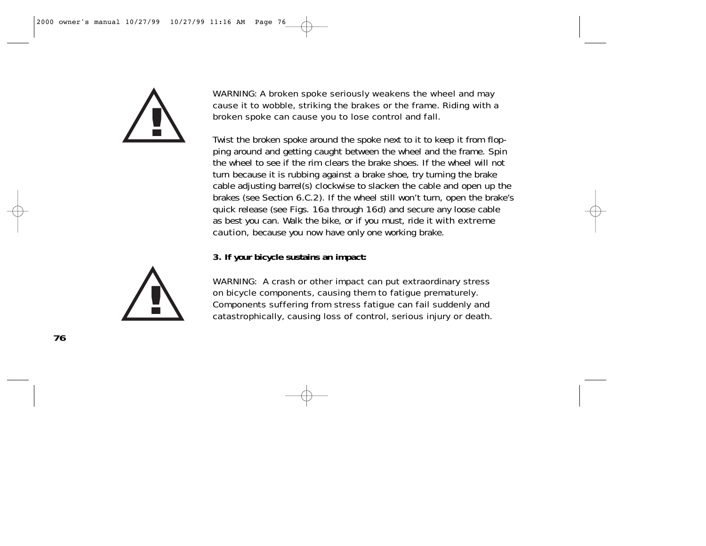

WARNING: A broken spoke seriously weakens the wheel and may cause it to wobble, striking the brakes or the frame. Riding with a broken spoke can cause you to lose control and fall.

Twist the broken spoke around the spoke next to it to keep it from flopping around and getting caught between the wheel and the frame. Spin the wheel to see if the rim clears the brake shoes. If the wheel will not turn because it is rubbing against a brake shoe, try turning the brake cable adjusting barrel(s) clockwise to slacken the cable and open up the brakes (see Section 6.C.2). If the wheel still won't turn, open the brake's quick release (see Figs. 16a through 16d) and secure any loose cable as best you can. Walk the bike, or if you must, ride it with extreme **caution**, because you now have only one working brake.

**3. If your bicycle sustains an impact:**



WARNING: A crash or other impact can put extraordinary stress on bicycle components, causing them to fatigue prematurely. Components suffering from stress fatigue can fail suddenly and catastrophically, causing loss of control, serious injury or death.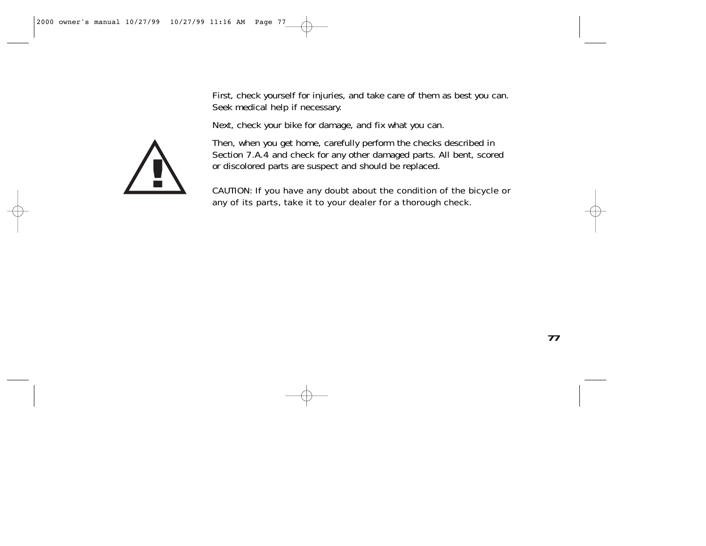First, check yourself for injuries, and take care of them as best you can. Seek medical help if necessary.

Next, check your bike for damage, and fix what you can.



Then, when you get home, carefully perform the checks described in Section 7.A.4 and check for any other damaged parts. All bent, scored or discolored parts are suspect and should be replaced.

CAUTION: If you have any doubt about the condition of the bicycle or any of its parts, take it to your dealer for a thorough check.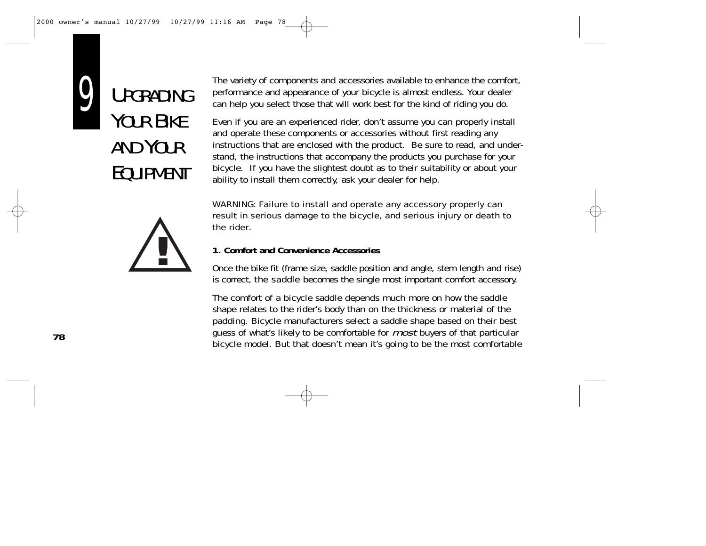

UPGRADING YOUR BIKF AND YOUR EQUIPMENT



The variety of components and accessories available to enhance the comfort, performance and appearance of your bicycle is almost endless. Your dealer can help you select those that will work best for the kind of riding you do.

Even if you are an experienced rider, don't assume you can properly install and operate these components or accessories without first reading any instructions that are enclosed with the product. Be sure to read, and understand, the instructions that accompany the products you purchase for your bicycle. If you have the slightest doubt as to their suitability or about your ability to install them correctly, ask your dealer for help.

WARNING: Failure to install and operate any accessory properly can result in serious damage to the bicycle, and serious injury or death to the rider.

## **1. Comfort and Convenience Accessories**

Once the bike fit (frame size, saddle position and angle, stem length and rise) is correct, the saddle becomes the single most important comfort accessory.

The comfort of a bicycle saddle depends much more on how the saddle shape relates to the rider's body than on the thickness or material of the padding. Bicycle manufacturers select a saddle shape based on their best guess of what's likely to be comfortable for *most* buyers of that particular bicycle model. But that doesn't mean it's going to be the most comfortable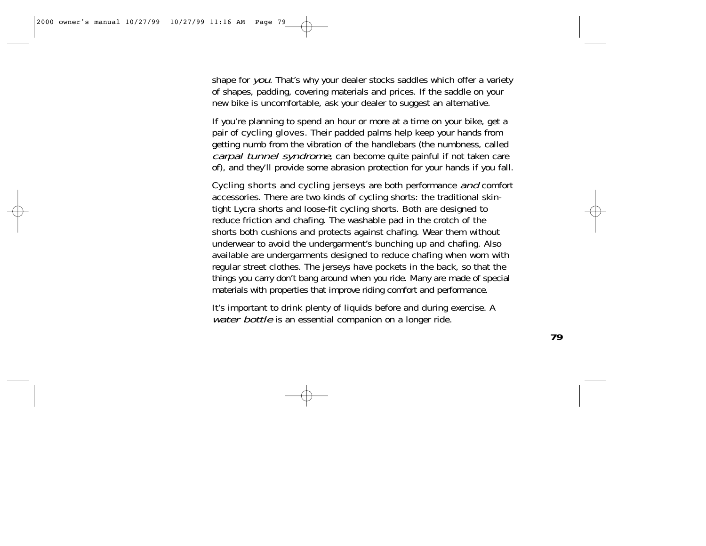shape for you. That's why your dealer stocks saddles which offer a variety of shapes, padding, covering materials and prices. If the saddle on your new bike is uncomfortable, ask your dealer to suggest an alternative.

If you're planning to spend an hour or more at a time on your bike, get a pair of cycling gloves. Their padded palms help keep your hands from getting numb from the vibration of the handlebars (the numbness, called carpal tunnel syndrome, can become quite painful if not taken care of), and they'll provide some abrasion protection for your hands if you fall.

Cycling shorts and cycling jerseys are both performance and comfort accessories. There are two kinds of cycling shorts: the traditional skintight Lycra shorts and loose-fit cycling shorts. Both are designed to reduce friction and chafing. The washable pad in the crotch of the shorts both cushions and protects against chafing. Wear them without underwear to avoid the undergarment's bunching up and chafing. Also available are undergarments designed to reduce chafing when worn with regular street clothes. The jerseys have pockets in the back, so that the things you carry don't bang around when you ride. Many are made of special materials with properties that improve riding comfort and performance.

It's important to drink plenty of liquids before and during exercise. A water bottle is an essential companion on a longer ride.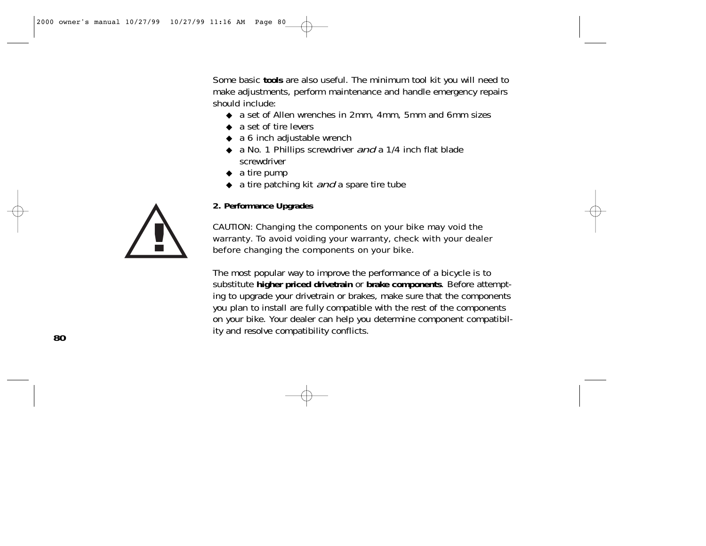Some basic **tools** are also useful. The minimum tool kit you will need to make adjustments, perform maintenance and handle emergency repairs should include:

- ◆ a set of Allen wrenches in 2mm, 4mm, 5mm and 6mm sizes
- ◆ a set of tire levers
- ◆ a 6 inch adjustable wrench
- ◆ a No. 1 Phillips screwdriver and a 1/4 inch flat blade screwdriver
- $\bullet$  a tire pump
- $\bullet$  a tire patching kit *and* a spare tire tube

**2. Performance Upgrades**

CAUTION: Changing the components on your bike may void the warranty. To avoid voiding your warranty, check with your dealer before changing the components on your bike.

The most popular way to improve the performance of a bicycle is to substitute **higher priced drivetrain** or **brake components**. Before attempting to upgrade your drivetrain or brakes, make sure that the components you plan to install are fully compatible with the rest of the components on your bike. Your dealer can help you determine component compatibility and resolve compatibility conflicts.

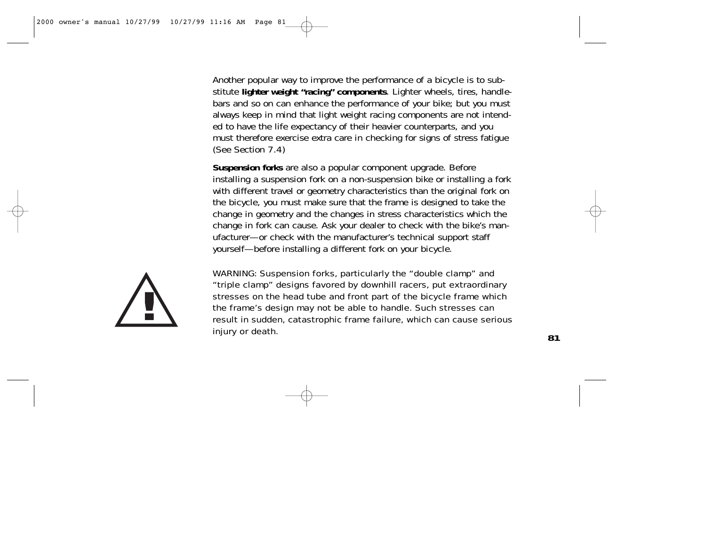Another popular way to improve the performance of a bicycle is to substitute **lighter weight "racing" components**. Lighter wheels, tires, handlebars and so on can enhance the performance of your bike; but you must always keep in mind that light weight racing components are not intended to have the life expectancy of their heavier counterparts, and you must therefore exercise extra care in checking for signs of stress fatigue (See Section 7.4)

**Suspension forks** are also a popular component upgrade. Before installing a suspension fork on a non-suspension bike or installing a fork with different travel or geometry characteristics than the original fork on the bicycle, you must make sure that the frame is designed to take the change in geometry and the changes in stress characteristics which the change in fork can cause. Ask your dealer to check with the bike's manufacturer—or check with the manufacturer's technical support staff yourself—before installing a different fork on your bicycle.



WARNING: Suspension forks, particularly the "double clamp" and "triple clamp" designs favored by downhill racers, put extraordinary stresses on the head tube and front part of the bicycle frame which the frame's design may not be able to handle. Such stresses can result in sudden, catastrophic frame failure, which can cause serious injury or death.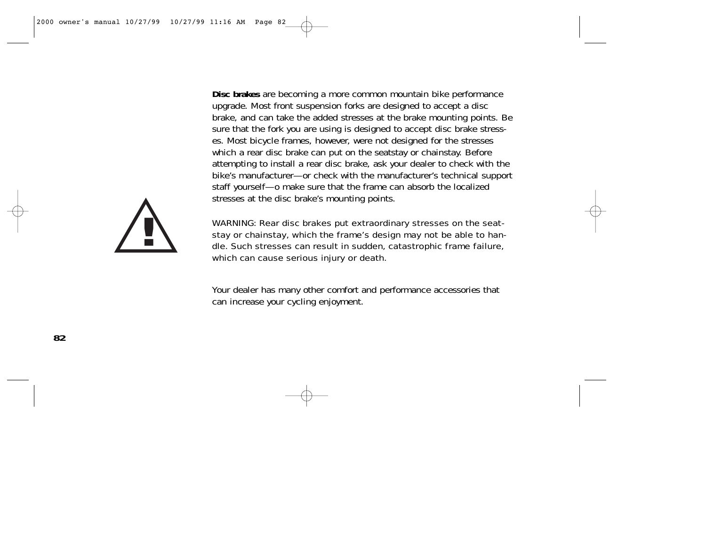**Disc brakes** are becoming a more common mountain bike performance upgrade. Most front suspension forks are designed to accept a disc brake, and can take the added stresses at the brake mounting points. Be sure that the fork you are using is designed to accept disc brake stresses. Most bicycle frames, however, were not designed for the stresses which a rear disc brake can put on the seatstay or chainstay. Before attempting to install a rear disc brake, ask your dealer to check with the bike's manufacturer—or check with the manufacturer's technical support staff yourself—o make sure that the frame can absorb the localized stresses at the disc brake's mounting points.



WARNING: Rear disc brakes put extraordinary stresses on the seatstay or chainstay, which the frame's design may not be able to handle. Such stresses can result in sudden, catastrophic frame failure, which can cause serious injury or death.

Your dealer has many other comfort and performance accessories that can increase your cycling enjoyment.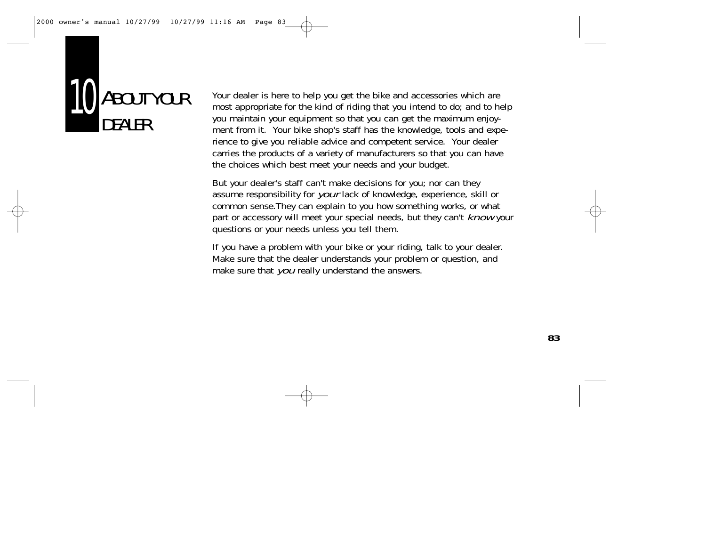

Your dealer is here to help you get the bike and accessories which are most appropriate for the kind of riding that you intend to do; and to help you maintain your equipment so that you can get the maximum enjoyment from it. Your bike shop's staff has the knowledge, tools and experience to give you reliable advice and competent service. Your dealer carries the products of a variety of manufacturers so that you can have the choices which best meet your needs and your budget.

But your dealer's staff can't make decisions for you; nor can they assume responsibility for your lack of knowledge, experience, skill or common sense.They can explain to you how something works, or what part or accessory will meet your special needs, but they can't *know* your questions or your needs unless you tell them.

If you have a problem with your bike or your riding, talk to your dealer. Make sure that the dealer understands your problem or question, and make sure that you really understand the answers.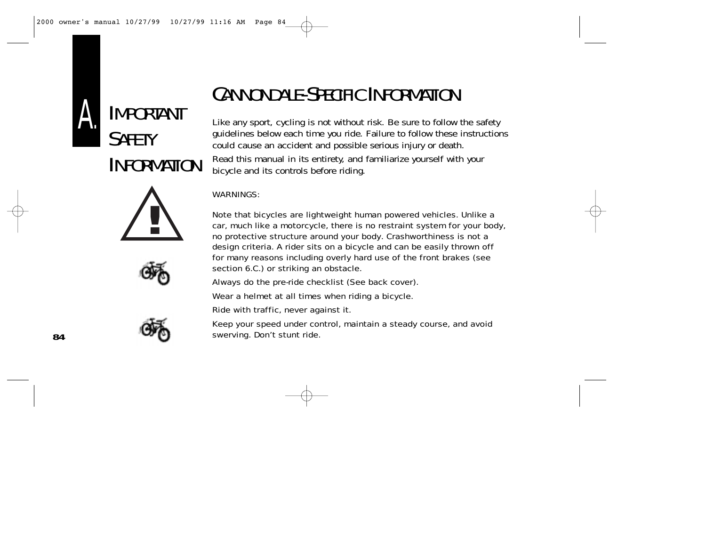









# CANNONDALE-SPECIFIC INFORMATION

Like any sport, cycling is not without risk. Be sure to follow the safety guidelines below each time you ride. Failure to follow these instructions could cause an accident and possible serious injury or death. Read this manual in its entirety, and familiarize yourself with your bicycle and its controls before riding.

#### WARNINGS:

Note that bicycles are lightweight human powered vehicles. Unlike a car, much like a motorcycle, there is no restraint system for your body, no protective structure around your body. Crashworthiness is not a design criteria. A rider sits on a bicycle and can be easily thrown off for many reasons including overly hard use of the front brakes (see section 6.C.) or striking an obstacle.

Always do the pre-ride checklist (See back cover).

Wear a helmet at all times when riding a bicycle.

Ride with traffic, never against it.

Keep your speed under control, maintain a steady course, and avoid swerving. Don't stunt ride.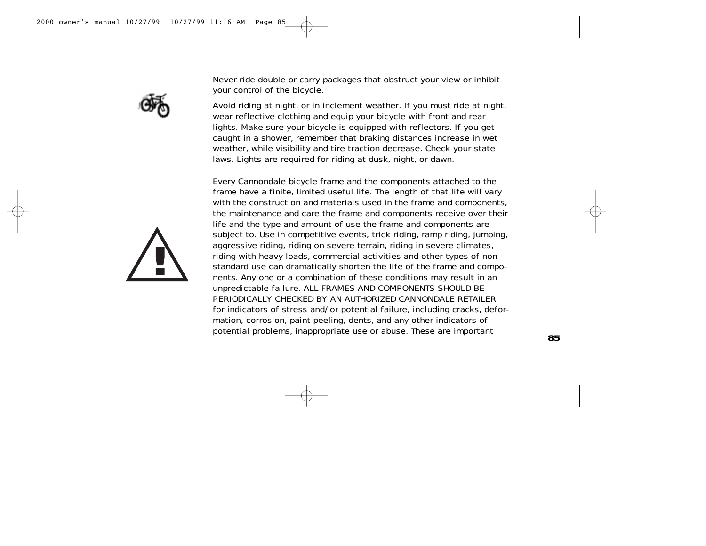

Never ride double or carry packages that obstruct your view or inhibit your control of the bicycle.

Avoid riding at night, or in inclement weather. If you must ride at night, wear reflective clothing and equip your bicycle with front and rear lights. Make sure your bicycle is equipped with reflectors. If you get caught in a shower, remember that braking distances increase in wet weather, while visibility and tire traction decrease. Check your state laws. Lights are required for riding at dusk, night, or dawn.

Every Cannondale bicycle frame and the components attached to the frame have a finite, limited useful life. The length of that life will vary with the construction and materials used in the frame and components, the maintenance and care the frame and components receive over their life and the type and amount of use the frame and components are subject to. Use in competitive events, trick riding, ramp riding, jumping, aggressive riding, riding on severe terrain, riding in severe climates, riding with heavy loads, commercial activities and other types of nonstandard use can dramatically shorten the life of the frame and components. Any one or a combination of these conditions may result in an unpredictable failure. ALL FRAMES AND COMPONENTS SHOULD BE PERIODICALLY CHECKED BY AN AUTHORIZED CANNONDALE RETAILER for indicators of stress and/or potential failure, including cracks, deformation, corrosion, paint peeling, dents, and any other indicators of potential problems, inappropriate use or abuse. These are important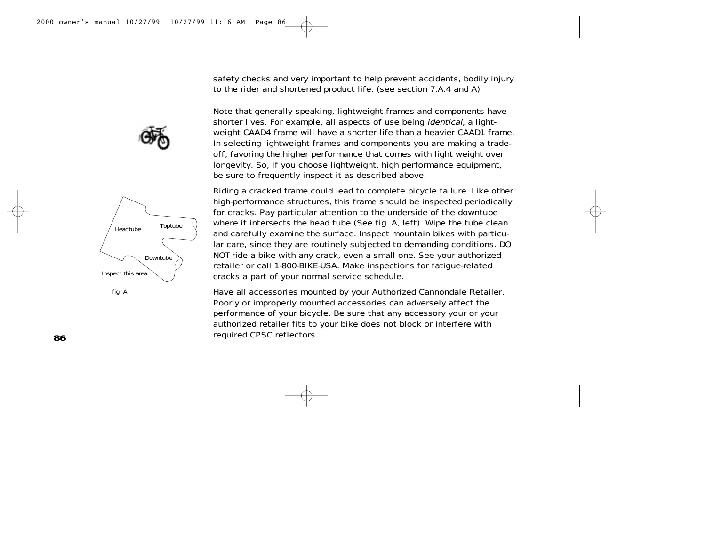

fig. A

safety checks and very important to help prevent accidents, bodily injury to the rider and shortened product life. (see section 7.A.4 and A)

Note that generally speaking, lightweight frames and components have shorter lives. For example, all aspects of use being identical, a lightweight CAAD4 frame will have a shorter life than a heavier CAAD1 frame. In selecting lightweight frames and components you are making a tradeoff, favoring the higher performance that comes with light weight over longevity. So, If you choose lightweight, high performance equipment, be sure to frequently inspect it as described above.

Riding a cracked frame could lead to complete bicycle failure. Like other high-performance structures, this frame should be inspected periodically for cracks. Pay particular attention to the underside of the downtube where it intersects the head tube (See fig. A, left). Wipe the tube clean and carefully examine the surface. Inspect mountain bikes with particular care, since they are routinely subjected to demanding conditions. DO NOT ride a bike with any crack, even a small one. See your authorized retailer or call 1-800-BIKE-USA. Make inspections for fatigue-related cracks a part of your normal service schedule.

Have all accessories mounted by your Authorized Cannondale Retailer. Poorly or improperly mounted accessories can adversely affect the performance of your bicycle. Be sure that any accessory your or your authorized retailer fits to your bike does not block or interfere with required CPSC reflectors.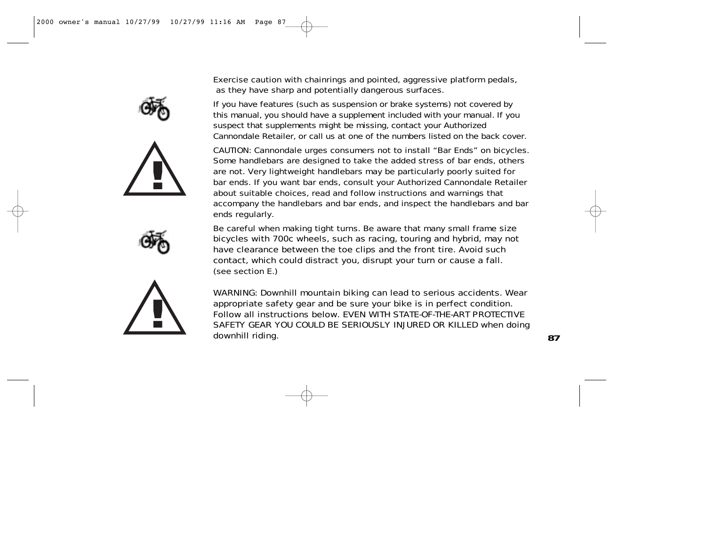







Exercise caution with chainrings and pointed, aggressive platform pedals, as they have sharp and potentially dangerous surfaces.

If you have features (such as suspension or brake systems) not covered by this manual, you should have a supplement included with your manual. If you suspect that supplements might be missing, contact your Authorized Cannondale Retailer, or call us at one of the numbers listed on the back cover.

CAUTION: Cannondale urges consumers not to install "Bar Ends" on bicycles. Some handlebars are designed to take the added stress of bar ends, others are not. Very lightweight handlebars may be particularly poorly suited for bar ends. If you want bar ends, consult your Authorized Cannondale Retailer about suitable choices, read and follow instructions and warnings that accompany the handlebars and bar ends, and inspect the handlebars and bar ends regularly.

Be careful when making tight turns. Be aware that many small frame size bicycles with 700c wheels, such as racing, touring and hybrid, may not have clearance between the toe clips and the front tire. Avoid such contact, which could distract you, disrupt your turn or cause a fall. (see section E.)

WARNING: Downhill mountain biking can lead to serious accidents. Wear appropriate safety gear and be sure your bike is in perfect condition. Follow all instructions below. EVEN WITH STATE-OF-THE-ART PROTECTIVE SAFETY GEAR YOU COULD BE SERIOUSLY INJURED OR KILLED when doing downhill riding.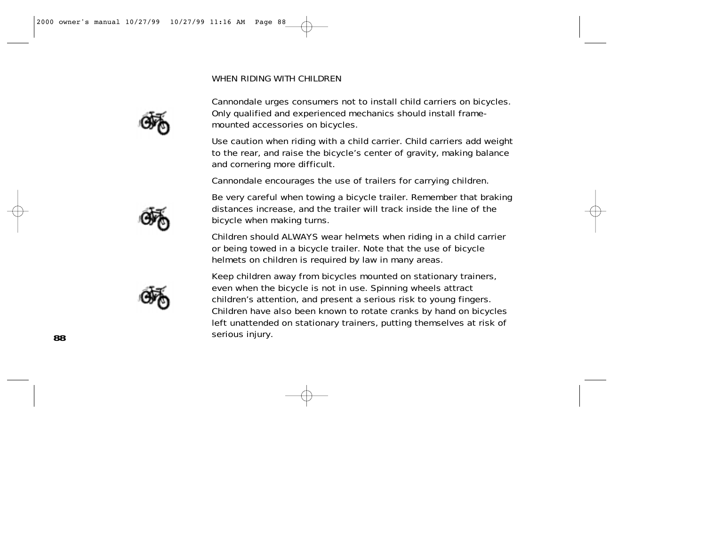### WHEN RIDING WITH CHILDREN



Cannondale urges consumers not to install child carriers on bicycles. Only qualified and experienced mechanics should install framemounted accessories on bicycles.

Use caution when riding with a child carrier. Child carriers add weight to the rear, and raise the bicycle's center of gravity, making balance and cornering more difficult.

Cannondale encourages the use of trailers for carrying children.

Be very careful when towing a bicycle trailer. Remember that braking distances increase, and the trailer will track inside the line of the bicycle when making turns.

Children should ALWAYS wear helmets when riding in a child carrier or being towed in a bicycle trailer. Note that the use of bicycle helmets on children is required by law in many areas.

Keep children away from bicycles mounted on stationary trainers, even when the bicycle is not in use. Spinning wheels attract children's attention, and present a serious risk to young fingers. Children have also been known to rotate cranks by hand on bicycles left unattended on stationary trainers, putting themselves at risk of serious injury.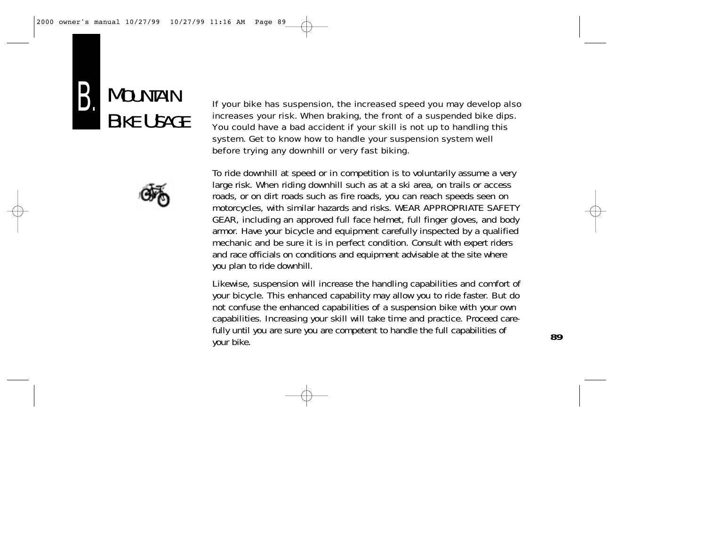



If your bike has suspension, the increased speed you may develop also increases your risk. When braking, the front of a suspended bike dips. You could have a bad accident if your skill is not up to handling this system. Get to know how to handle your suspension system well before trying any downhill or very fast biking.

To ride downhill at speed or in competition is to voluntarily assume a very large risk. When riding downhill such as at a ski area, on trails or access roads, or on dirt roads such as fire roads, you can reach speeds seen on motorcycles, with similar hazards and risks. WEAR APPROPRIATE SAFETY GEAR, including an approved full face helmet, full finger gloves, and body armor. Have your bicycle and equipment carefully inspected by a qualified mechanic and be sure it is in perfect condition. Consult with expert riders and race officials on conditions and equipment advisable at the site where you plan to ride downhill.

Likewise, suspension will increase the handling capabilities and comfort of your bicycle. This enhanced capability may allow you to ride faster. But do not confuse the enhanced capabilities of a suspension bike with your own capabilities. Increasing your skill will take time and practice. Proceed carefully until you are sure you are competent to handle the full capabilities of your bike.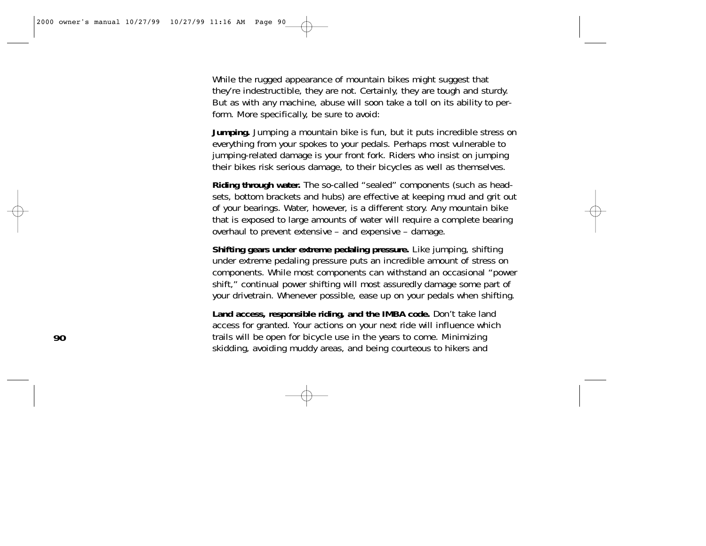While the rugged appearance of mountain bikes might suggest that they're indestructible, they are not. Certainly, they are tough and sturdy. But as with any machine, abuse will soon take a toll on its ability to perform. More specifically, be sure to avoid:

**Jumping.** Jumping a mountain bike is fun, but it puts incredible stress on everything from your spokes to your pedals. Perhaps most vulnerable to jumping-related damage is your front fork. Riders who insist on jumping their bikes risk serious damage, to their bicycles as well as themselves.

**Riding through water.** The so-called "sealed" components (such as headsets, bottom brackets and hubs) are effective at keeping mud and grit out of your bearings. Water, however, is a different story. Any mountain bike that is exposed to large amounts of water will require a complete bearing overhaul to prevent extensive – and expensive – damage.

**Shifting gears under extreme pedaling pressure.** Like jumping, shifting under extreme pedaling pressure puts an incredible amount of stress on components. While most components can withstand an occasional "power shift," continual power shifting will most assuredly damage some part of your drivetrain. Whenever possible, ease up on your pedals when shifting.

Land access, responsible riding, and the IMBA code. Don't take land access for granted. Your actions on your next ride will influence which trails will be open for bicycle use in the years to come. Minimizing skidding, avoiding muddy areas, and being courteous to hikers and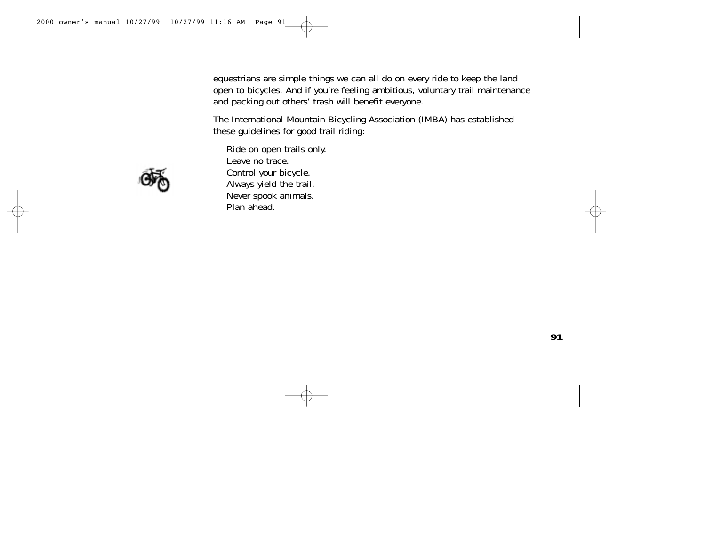equestrians are simple things we can all do on every ride to keep the land open to bicycles. And if you're feeling ambitious, voluntary trail maintenance and packing out others' trash will benefit everyone.

The International Mountain Bicycling Association (IMBA) has established these guidelines for good trail riding:



Ride on open trails only. Leave no trace. Control your bicycle. Always yield the trail. Never spook animals. Plan ahead.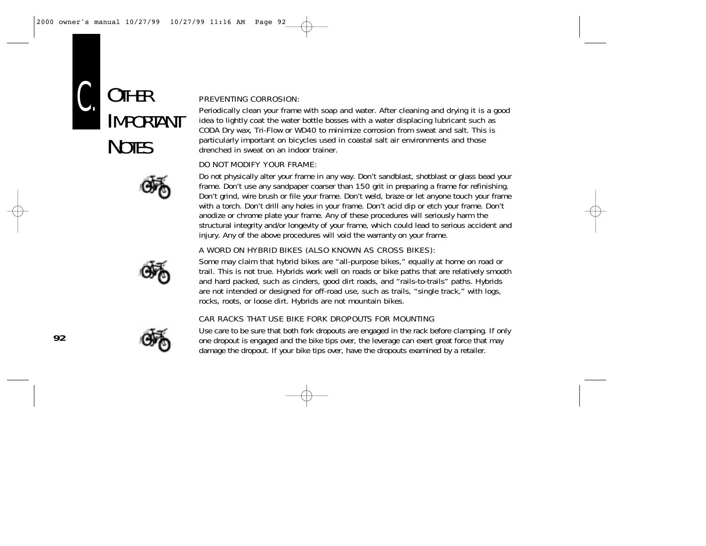



#### PREVENTING CORROSION:

Periodically clean your frame with soap and water. After cleaning and drying it is a good idea to lightly coat the water bottle bosses with a water displacing lubricant such as CODA Dry wax, Tri-Flow or WD40 to minimize corrosion from sweat and salt. This is particularly important on bicycles used in coastal salt air environments and those drenched in sweat on an indoor trainer.

#### DO NOT MODIFY YOUR FRAME:

Do not physically alter your frame in any way. Don't sandblast, shotblast or glass bead your frame. Don't use any sandpaper coarser than 150 grit in preparing a frame for refinishing. Don't grind, wire brush or file your frame. Don't weld, braze or let anyone touch your frame with a torch. Don't drill any holes in your frame. Don't acid dip or etch your frame. Don't anodize or chrome plate your frame. Any of these procedures will seriously harm the structural integrity and/or longevity of your frame, which could lead to serious accident and injury. Any of the above procedures will void the warranty on your frame.

#### A WORD ON HYBRID BIKES (ALSO KNOWN AS CROSS BIKES):



Some may claim that hybrid bikes are "all-purpose bikes," equally at home on road or trail. This is not true. Hybrids work well on roads or bike paths that are relatively smooth and hard packed, such as cinders, good dirt roads, and "rails-to-trails" paths. Hybrids are not intended or designed for off-road use, such as trails, "single track," with logs, rocks, roots, or loose dirt. Hybrids are not mountain bikes.

#### CAR RACKS THAT USE BIKE FORK DROPOUTS FOR MOUNTING



Use care to be sure that both fork dropouts are engaged in the rack before clamping. If only one dropout is engaged and the bike tips over, the leverage can exert great force that may damage the dropout. If your bike tips over, have the dropouts examined by a retailer.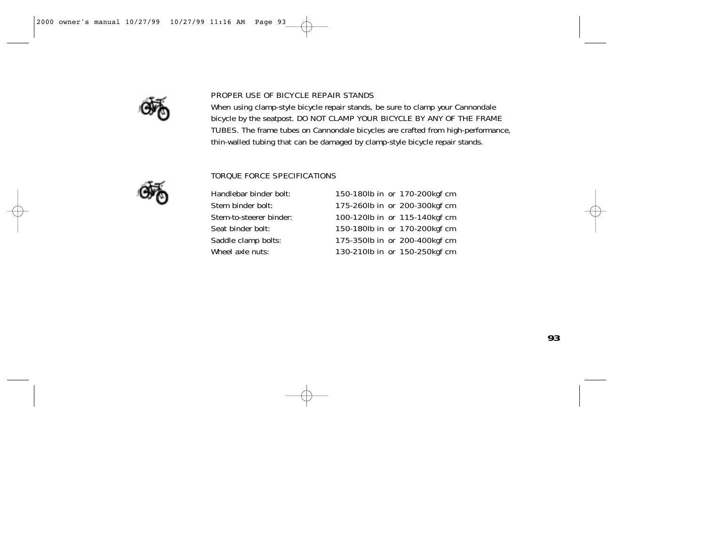

#### PROPER USE OF BICYCLE REPAIR STANDS

When using clamp-style bicycle repair stands, be sure to clamp your Cannondale bicycle by the seatpost. DO NOT CLAMP YOUR BICYCLE BY ANY OF THE FRAME TUBES. The frame tubes on Cannondale bicycles are crafted from high-performance, thin-walled tubing that can be damaged by clamp-style bicycle repair stands.



#### TORQUE FORCE SPECIFICATIONS

Handlebar binder bolt: 150-180lb in or 170-200kgf cm Stem binder bolt: 175-260lb in or 200-300kgf cm Stem-to-steerer binder: 100-120lb in or 115-140kgf cm Seat binder bolt: 150-180lb in or 170-200kgf cm Saddle clamp bolts: 175-350lb in or 200-400kgf cm Wheel axle nuts: 130-210lb in or 150-250kgf cm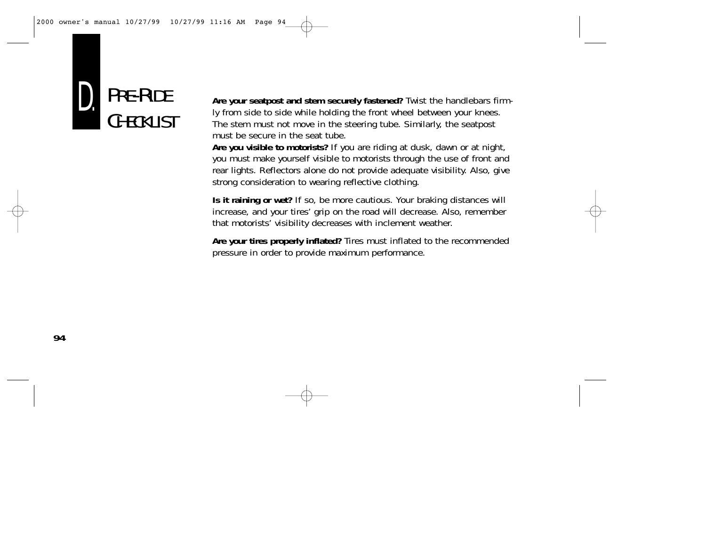

**Are your seatpost and stem securely fastened?** Twist the handlebars firmly from side to side while holding the front wheel between your knees. The stem must not move in the steering tube. Similarly, the seatpost must be secure in the seat tube.

**Are you visible to motorists?** If you are riding at dusk, dawn or at night, you must make yourself visible to motorists through the use of front and rear lights. Reflectors alone do not provide adequate visibility. Also, give strong consideration to wearing reflective clothing.

**Is it raining or wet?** If so, be more cautious. Your braking distances will increase, and your tires' grip on the road will decrease. Also, remember that motorists' visibility decreases with inclement weather.

**Are your tires properly inflated?** Tires must inflated to the recommended pressure in order to provide maximum performance.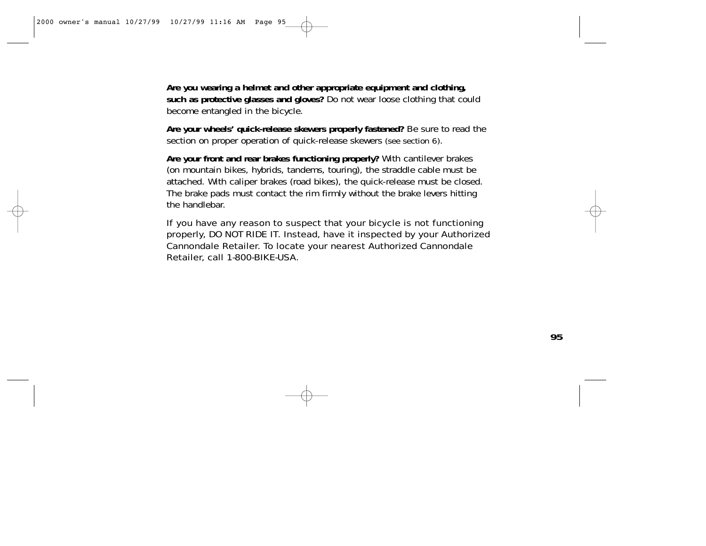**Are you wearing a helmet and other appropriate equipment and clothing, such as protective glasses and gloves?** Do not wear loose clothing that could become entangled in the bicycle.

**Are your wheels' quick-release skewers properly fastened?** Be sure to read the section on proper operation of quick-release skewers (see section 6).

**Are your front and rear brakes functioning properly?** With cantilever brakes (on mountain bikes, hybrids, tandems, touring), the straddle cable must be attached. With caliper brakes (road bikes), the quick-release must be closed. The brake pads must contact the rim firmly without the brake levers hitting the handlebar.

If you have any reason to suspect that your bicycle is not functioning properly, DO NOT RIDE IT. Instead, have it inspected by your Authorized Cannondale Retailer. To locate your nearest Authorized Cannondale Retailer, call 1-800-BIKE-USA.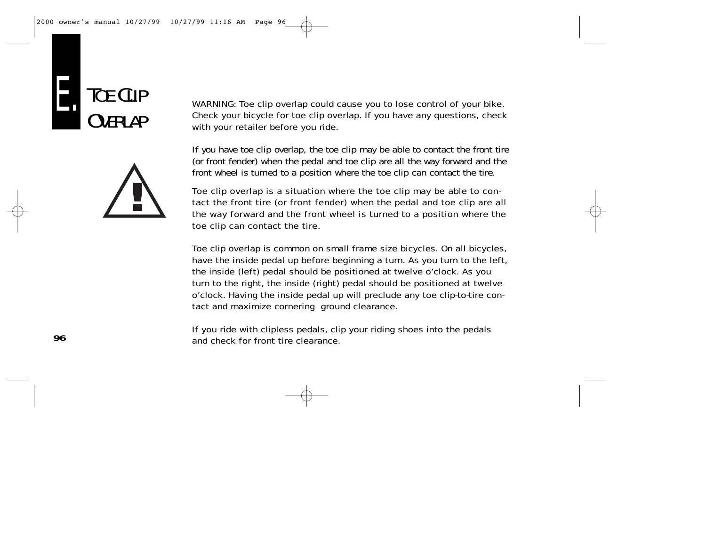



WARNING: Toe clip overlap could cause you to lose control of your bike. Check your bicycle for toe clip overlap. If you have any questions, check with your retailer before you ride.

If you have toe clip overlap, the toe clip may be able to contact the front tire (or front fender) when the pedal and toe clip are all the way forward and the front wheel is turned to a position where the toe clip can contact the tire.

Toe clip overlap is a situation where the toe clip may be able to contact the front tire (or front fender) when the pedal and toe clip are all the way forward and the front wheel is turned to a position where the toe clip can contact the tire.

Toe clip overlap is common on small frame size bicycles. On all bicycles, have the inside pedal up before beginning a turn. As you turn to the left, the inside (left) pedal should be positioned at twelve o'clock. As you turn to the right, the inside (right) pedal should be positioned at twelve o'clock. Having the inside pedal up will preclude any toe clip-to-tire contact and maximize cornering ground clearance.

If you ride with clipless pedals, clip your riding shoes into the pedals and check for front tire clearance.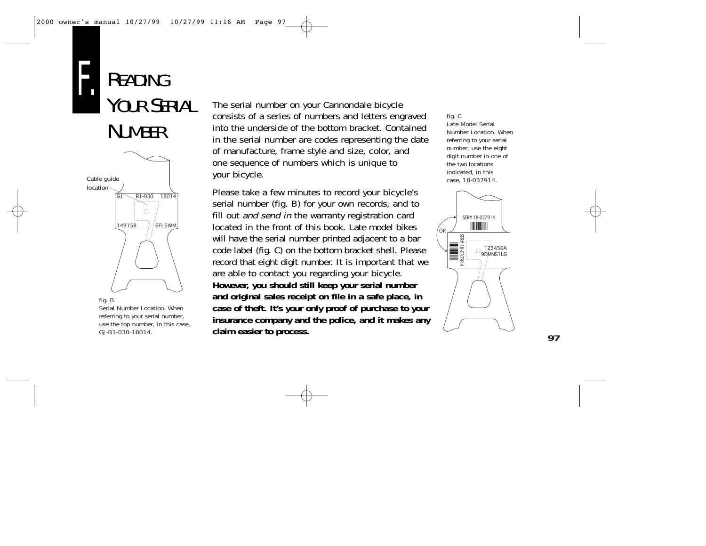



fig. B

Serial Number Location. When referring to your serial number, use the top number, in this case, GJ-B1-030-18014.

The serial number on your Cannondale bicycle consists of a series of numbers and letters engraved into the underside of the bottom bracket. Contained in the serial number are codes representing the date of manufacture, frame style and size, color, and one sequence of numbers which is unique to your bicycle.

Please take a few minutes to record your bicycle's serial number (fig. B) for your own records, and to fill out and send in the warranty registration card located in the front of this book. Late model bikes will have the serial number printed adjacent to a bar code label (fig. C) on the bottom bracket shell. Please record that eight digit number. It is important that we are able to contact you regarding your bicycle. **However, you should still keep your serial number and original sales receipt on file in a safe place, in case of theft. It's your only proof of purchase to your insurance company and the police, and it makes any claim easier to process.**

fig. C Late Model Serial Number Location. When referring to your serial number, use the eight digit number in one of the two locations indicated, in this case, 18-037914.

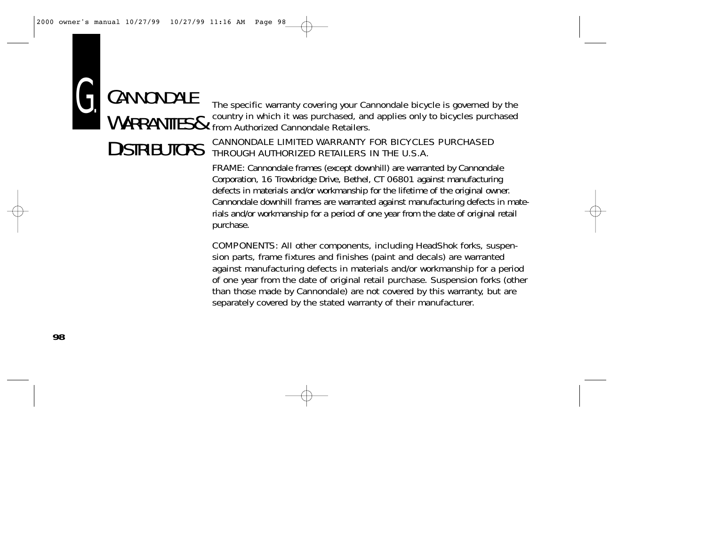

The specific warranty covering your Cannondale bicycle is governed by the country in which it was purchased, and applies only to bicycles purchased from Authorized Cannondale Retailers.

## CANNONDALE LIMITED WARRANTY FOR BICYCLES PURCHASED THROUGH AUTHORIZED RETAILERS IN THE U.S.A.

FRAME: Cannondale frames (except downhill) are warranted by Cannondale Corporation, 16 Trowbridge Drive, Bethel, CT 06801 against manufacturing defects in materials and/or workmanship for the lifetime of the original owner. Cannondale downhill frames are warranted against manufacturing defects in materials and/or workmanship for a period of one year from the date of original retail purchase.

COMPONENTS: All other components, including HeadShok forks, suspension parts, frame fixtures and finishes (paint and decals) are warranted against manufacturing defects in materials and/or workmanship for a period of one year from the date of original retail purchase. Suspension forks (other than those made by Cannondale) are not covered by this warranty, but are separately covered by the stated warranty of their manufacturer.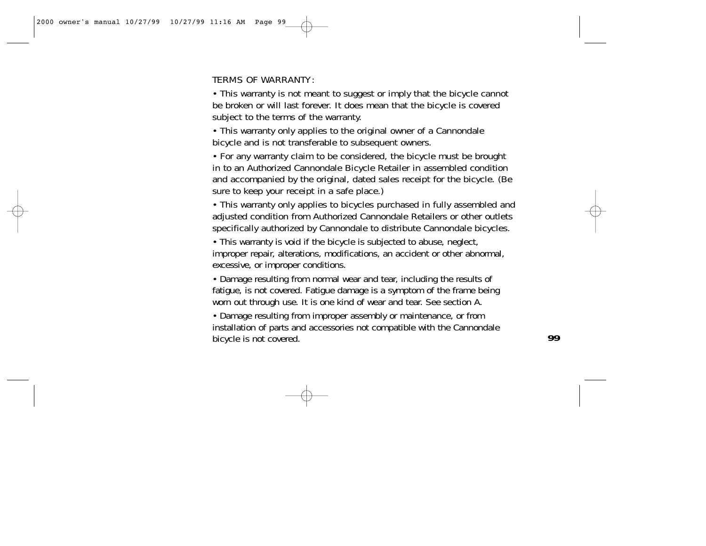## TERMS OF WARRANTY:

• This warranty is not meant to suggest or imply that the bicycle cannot be broken or will last forever. It does mean that the bicycle is covered subject to the terms of the warranty.

• This warranty only applies to the original owner of a Cannondale bicycle and is not transferable to subsequent owners.

• For any warranty claim to be considered, the bicycle must be brought in to an Authorized Cannondale Bicycle Retailer in assembled condition and accompanied by the original, dated sales receipt for the bicycle. (Be sure to keep your receipt in a safe place.)

• This warranty only applies to bicycles purchased in fully assembled and adjusted condition from Authorized Cannondale Retailers or other outlets specifically authorized by Cannondale to distribute Cannondale bicycles.

• This warranty is void if the bicycle is subjected to abuse, neglect, improper repair, alterations, modifications, an accident or other abnormal, excessive, or improper conditions.

• Damage resulting from normal wear and tear, including the results of fatigue, is not covered. Fatigue damage is a symptom of the frame being worn out through use. It is one kind of wear and tear. See section A.

• Damage resulting from improper assembly or maintenance, or from installation of parts and accessories not compatible with the Cannondale bicycle is not covered.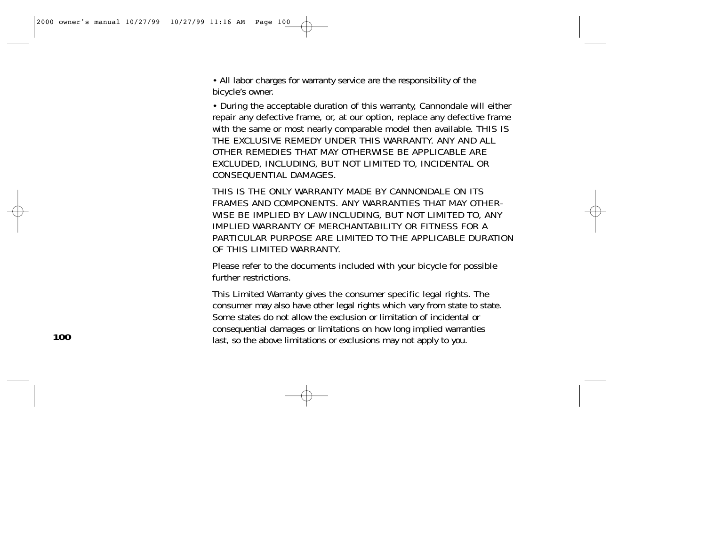• All labor charges for warranty service are the responsibility of the bicycle's owner.

• During the acceptable duration of this warranty, Cannondale will either repair any defective frame, or, at our option, replace any defective frame with the same or most nearly comparable model then available. THIS IS THE EXCLUSIVE REMEDY UNDER THIS WARRANTY. ANY AND ALL OTHER REMEDIES THAT MAY OTHERWISE BE APPLICABLE ARE EXCLUDED, INCLUDING, BUT NOT LIMITED TO, INCIDENTAL OR CONSEQUENTIAL DAMAGES.

THIS IS THE ONLY WARRANTY MADE BY CANNONDALE ON ITS FRAMES AND COMPONENTS. ANY WARRANTIES THAT MAY OTHER-WISE BE IMPLIED BY LAW INCLUDING, BUT NOT LIMITED TO, ANY IMPLIED WARRANTY OF MERCHANTABILITY OR FITNESS FOR A PARTICULAR PURPOSE ARE LIMITED TO THE APPLICABLE DURATION OF THIS LIMITED WARRANTY.

Please refer to the documents included with your bicycle for possible further restrictions.

This Limited Warranty gives the consumer specific legal rights. The consumer may also have other legal rights which vary from state to state. Some states do not allow the exclusion or limitation of incidental or consequential damages or limitations on how long implied warranties last, so the above limitations or exclusions may not apply to you.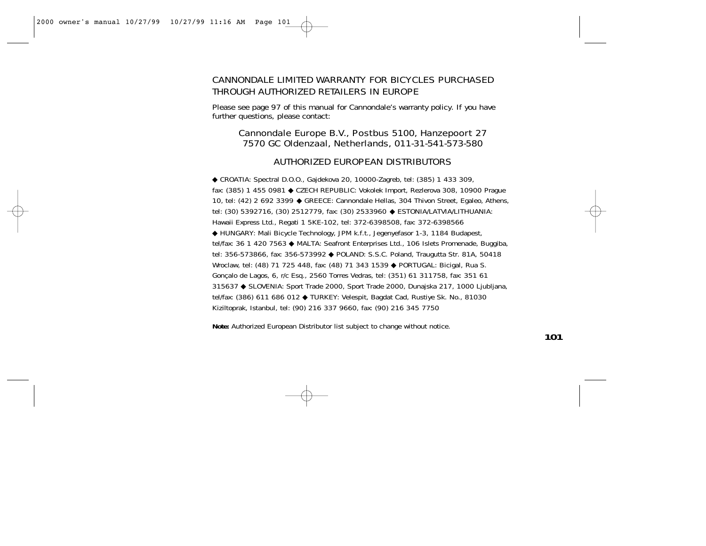## CANNONDALE LIMITED WARRANTY FOR BICYCLES PURCHASED THROUGH AUTHORIZED RETAILERS IN EUROPE

Please see page 97 of this manual for Cannondale's warranty policy. If you have further questions, please contact:

## Cannondale Europe B.V., Postbus 5100, Hanzepoort 27 7570 GC Oldenzaal, Netherlands, 011-31-541-573-580

#### AUTHORIZED EUROPEAN DISTRIBUTORS

◆ CROATIA: Spectral D.O.O., Gajdekova 20, 10000-Zagreb, tel: (385) 1 433 309, fax: (385) 1 455 0981 ◆ CZECH REPUBLIC: Vokolek Import, Rezlerova 308, 10900 Prague 10, tel: (42) 2 692 3399 ◆ GREECE: Cannondale Hellas, 304 Thivon Street, Egaleo, Athens, tel: (30) 5392716, (30) 2512779, fax: (30) 2533960 ◆ ESTONIA/LATVIA/LITHUANIA: Hawaii Express Ltd., Regati 1 5KE-102, tel: 372-6398508, fax: 372-6398566 ◆ HUNGARY: Mali Bicycle Technology, JPM k.f.t., Jegenyefasor 1-3, 1184 Budapest, tel/fax: 36 1 420 7563 ◆ MALTA: Seafront Enterprises Ltd., 106 Islets Promenade, Buggiba, tel: 356-573866, fax: 356-573992 ◆ POLAND: S.S.C. Poland, Traugutta Str. 81A, 50418 Wroclaw, tel: (48) 71 725 448, fax: (48) 71 343 1539 ◆ PORTUGAL: Bicigal, Rua S. Gonçalo de Lagos, 6, r/c Esq., 2560 Torres Vedras, tel: (351) 61 311758, fax: 351 61 315637 ◆ SLOVENIA: Sport Trade 2000, Sport Trade 2000, Dunajska 217, 1000 Ljubljana, tel/fax: (386) 611 686 012 ◆ TURKEY: Velespit, Bagdat Cad, Rustiye Sk. No., 81030 Kiziltoprak, Istanbul, tel: (90) 216 337 9660, fax: (90) 216 345 7750

**Note:** Authorized European Distributor list subject to change without notice.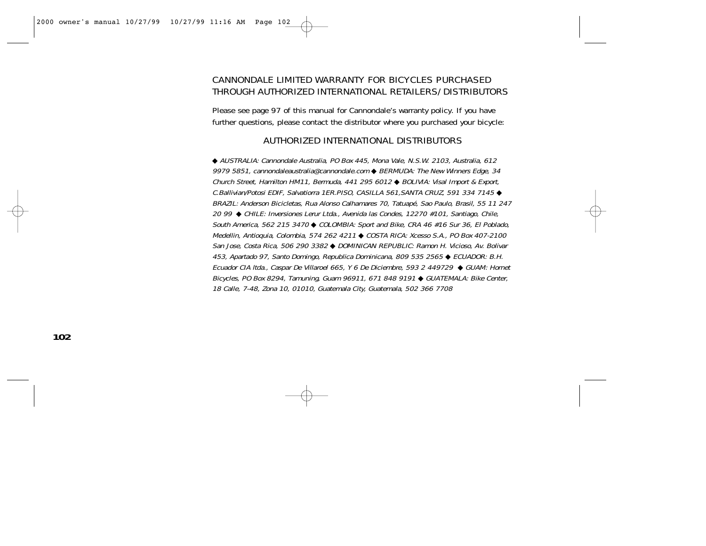## CANNONDALE LIMITED WARRANTY FOR BICYCLES PURCHASED THROUGH AUTHORIZED INTERNATIONAL RETAILERS/DISTRIBUTORS

Please see page 97 of this manual for Cannondale's warranty policy. If you have further questions, please contact the distributor where you purchased your bicycle:

#### AUTHORIZED INTERNATIONAL DISTRIBUTORS

◆ AUSTRALIA: Cannondale Australia, PO Box 445, Mona Vale, N.S.W. 2103, Australia, 612 9979 5851, cannondaleaustralia@cannondale.com ♦ BERMUDA: The New Winners Edge, 34 Church Street, Hamilton HM11, Bermuda, 441 295 6012 ◆ BOLIVIA: Visal Import & Export, C.Ballivian/Potosi EDIF, Salvatiorra 1ER.PISO, CASILLA 561,SANTA CRUZ, 591 334 7145 ◆ BRAZIL: Anderson Bicicletas, Rua Alonso Calhamares 70, Tatuapé, Sao Paulo, Brasil, 55 11 247 20 99 ◆ CHILE: Inversiones Lerur Ltda., Avenida las Condes, 12270 #101, Santiago, Chile, South America, 562 215 3470 ◆ COLOMBIA: Sport and Bike, CRA 46 #16 Sur 36, El Poblado, Medellin, Antioquia, Colombia, 574 262 4211 ◆ COSTA RICA: Xcesso S.A., PO Box 407-2100 San Jose, Costa Rica, 506 290 3382 ◆ DOMINICAN REPUBLIC: Ramon H. Vicioso, Av. Bolivar 453, Apartado 97, Santo Domingo, Republica Dominicana, 809 535 2565 ◆ ECUADOR: B.H. Ecuador CIA ltda., Caspar De Villaroel 665, Y 6 De Diciembre, 593 2 449729 ◆ GUAM: Hornet Bicycles, PO Box 8294, Tamuning, Guam 96911, 671 848 9191 ◆ GUATEMALA: Bike Center, 18 Calle, 7-48, Zona 10, 01010, Guatemala City, Guatemala, 502 366 7708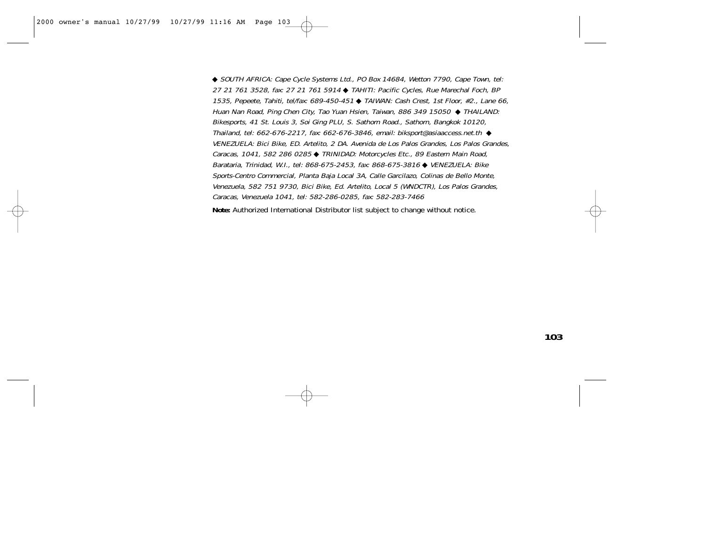◆ SOUTH AFRICA: Cape Cycle Systems Ltd., PO Box 14684, Wetton 7790, Cape Town, tel: 27 21 761 3528, fax: 27 21 761 5914 ◆ TAHITI: Pacific Cycles, Rue Marechal Foch, BP 1535, Pepeete, Tahiti, tel/fax: 689-450-451 ◆ TAIWAN: Cash Crest, 1st Floor, #2., Lane 66, Huan Nan Road, Ping Chen City, Tao Yuan Hsien, Taiwan, 886 349 15050 ◆ THAILAND: Bikesports, 41 St. Louis 3, Soi Ging PLU, S. Sathorn Road., Sathorn, Bangkok 10120, Thailand, tel: 662-676-2217, fax: 662-676-3846, email: biksport@asiaaccess.net.th  $\triangleleft$ VENEZUELA: Bici Bike, ED. Artelito, 2 DA. Avenida de Los Palos Grandes, Los Palos Grandes, Caracas, 1041, 582 286 0285 ◆ TRINIDAD: Motorcycles Etc., 89 Eastern Main Road, Barataria, Trinidad, W.I., tel: 868-675-2453, fax: 868-675-3816 ◆ VENEZUELA: Bike Sports-Centro Commercial, Planta Baja Local 3A, Calle Garcilazo, Colinas de Bello Monte, Venezuela, 582 751 9730, Bici Bike, Ed. Artelito, Local 5 (WNDCTR), Los Palos Grandes, Caracas, Venezuela 1041, tel: 582-286-0285, fax: 582-283-7466

**Note:** Authorized International Distributor list subject to change without notice.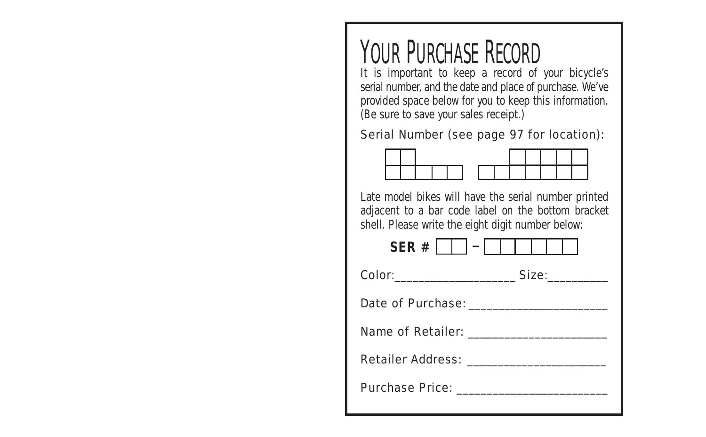## YOUR PURCHASE RECORD

It is important to keep a record of your bicycle's serial number, and the date and place of purchase. We've provided space below for you to keep this information. (Be sure to save your sales receipt.)

## Serial Number (see page 97 for location):



Late model bikes will have the serial number printed adjacent to a bar code label on the bottom bracket shell. Please write the eight digit number below: